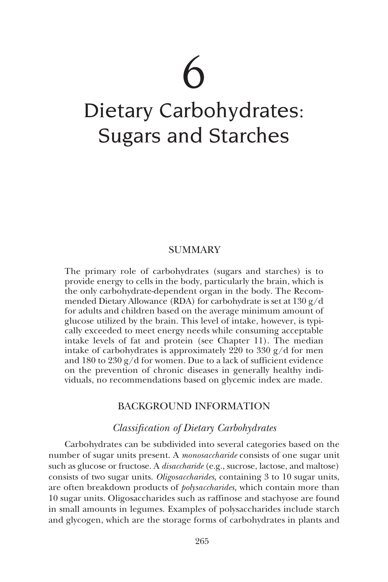# 6

# Dietary Carbohydrates: Sugars and Starches

#### **SUMMARY**

The primary role of carbohydrates (sugars and starches) is to provide energy to cells in the body, particularly the brain, which is the only carbohydrate-dependent organ in the body. The Recommended Dietary Allowance (RDA) for carbohydrate is set at  $130 \text{ g/d}$ for adults and children based on the average minimum amount of glucose utilized by the brain. This level of intake, however, is typically exceeded to meet energy needs while consuming acceptable intake levels of fat and protein (see Chapter 11). The median intake of carbohydrates is approximately 220 to 330 g/d for men and 180 to 230 g/d for women. Due to a lack of sufficient evidence on the prevention of chronic diseases in generally healthy individuals, no recommendations based on glycemic index are made.

#### BACKGROUND INFORMATION

# *Classification of Dietary Carbohydrates*

Carbohydrates can be subdivided into several categories based on the number of sugar units present. A *monosaccharide* consists of one sugar unit such as glucose or fructose. A *disaccharide* (e.g., sucrose, lactose, and maltose) consists of two sugar units. *Oligosaccharides*, containing 3 to 10 sugar units, are often breakdown products of *polysaccharides,* which contain more than 10 sugar units. Oligosaccharides such as raffinose and stachyose are found in small amounts in legumes. Examples of polysaccharides include starch and glycogen, which are the storage forms of carbohydrates in plants and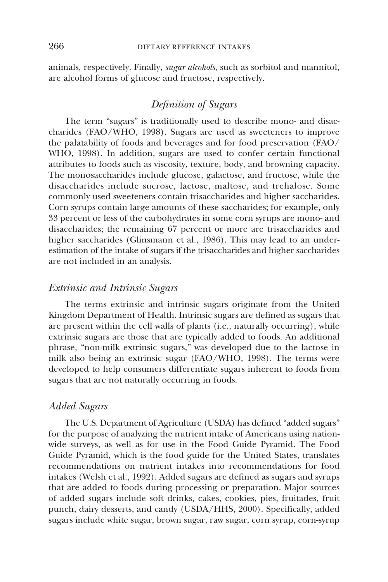animals, respectively. Finally, *sugar alcohols*, such as sorbitol and mannitol, are alcohol forms of glucose and fructose, respectively.

# *Definition of Sugars*

The term "sugars" is traditionally used to describe mono- and disaccharides (FAO/WHO, 1998). Sugars are used as sweeteners to improve the palatability of foods and beverages and for food preservation (FAO/ WHO, 1998). In addition, sugars are used to confer certain functional attributes to foods such as viscosity, texture, body, and browning capacity. The monosaccharides include glucose, galactose, and fructose, while the disaccharides include sucrose, lactose, maltose, and trehalose. Some commonly used sweeteners contain trisaccharides and higher saccharides. Corn syrups contain large amounts of these saccharides; for example, only 33 percent or less of the carbohydrates in some corn syrups are mono- and disaccharides; the remaining 67 percent or more are trisaccharides and higher saccharides (Glinsmann et al., 1986). This may lead to an underestimation of the intake of sugars if the trisaccharides and higher saccharides are not included in an analysis.

#### *Extrinsic and Intrinsic Sugars*

The terms extrinsic and intrinsic sugars originate from the United Kingdom Department of Health. Intrinsic sugars are defined as sugars that are present within the cell walls of plants (i.e., naturally occurring), while extrinsic sugars are those that are typically added to foods. An additional phrase, "non-milk extrinsic sugars," was developed due to the lactose in milk also being an extrinsic sugar (FAO/WHO, 1998). The terms were developed to help consumers differentiate sugars inherent to foods from sugars that are not naturally occurring in foods.

#### *Added Sugars*

The U.S. Department of Agriculture (USDA) has defined "added sugars" for the purpose of analyzing the nutrient intake of Americans using nationwide surveys, as well as for use in the Food Guide Pyramid. The Food Guide Pyramid, which is the food guide for the United States, translates recommendations on nutrient intakes into recommendations for food intakes (Welsh et al., 1992). Added sugars are defined as sugars and syrups that are added to foods during processing or preparation. Major sources of added sugars include soft drinks, cakes, cookies, pies, fruitades, fruit punch, dairy desserts, and candy (USDA/HHS, 2000). Specifically, added sugars include white sugar, brown sugar, raw sugar, corn syrup, corn-syrup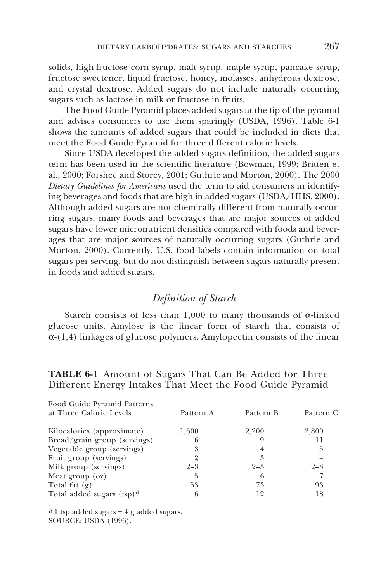solids, high-fructose corn syrup, malt syrup, maple syrup, pancake syrup, fructose sweetener, liquid fructose, honey, molasses, anhydrous dextrose, and crystal dextrose. Added sugars do not include naturally occurring sugars such as lactose in milk or fructose in fruits.

The Food Guide Pyramid places added sugars at the tip of the pyramid and advises consumers to use them sparingly (USDA, 1996). Table 6-1 shows the amounts of added sugars that could be included in diets that meet the Food Guide Pyramid for three different calorie levels.

Since USDA developed the added sugars definition, the added sugars term has been used in the scientific literature (Bowman, 1999; Britten et al., 2000; Forshee and Storey, 2001; Guthrie and Morton, 2000). The 2000 *Dietary Guidelines for Americans* used the term to aid consumers in identifying beverages and foods that are high in added sugars (USDA/HHS, 2000). Although added sugars are not chemically different from naturally occurring sugars, many foods and beverages that are major sources of added sugars have lower micronutrient densities compared with foods and beverages that are major sources of naturally occurring sugars (Guthrie and Morton, 2000). Currently, U.S. food labels contain information on total sugars per serving, but do not distinguish between sugars naturally present in foods and added sugars.

# *Definition of Starch*

Starch consists of less than 1,000 to many thousands of  $\alpha$ -linked glucose units. Amylose is the linear form of starch that consists of  $\alpha$ - $(1,4)$  linkages of glucose polymers. Amylopectin consists of the linear

| Food Guide Pyramid Patterns<br>at Three Calorie Levels | Pattern A | Pattern B | Pattern C |
|--------------------------------------------------------|-----------|-----------|-----------|
| Kilocalories (approximate)                             | 1,600     | 2,200     | 2,800     |
| Bread/grain group (servings)                           | 6         |           | 11        |
| Vegetable group (servings)                             | 3         |           | 5         |
| Fruit group (servings)                                 | 2         | 3         | 4         |
| Milk group (servings)                                  | $2 - 3$   | $2 - 3$   | $2 - 3$   |
| Meat group (oz)                                        | 5         | h         |           |
| Total fat $(g)$                                        | 53        | 73        | 93        |
| Total added sugars $(tsp)^d$                           | h         | 12        | 18        |
|                                                        |           |           |           |

**TABLE 6-1** Amount of Sugars That Can Be Added for Three Different Energy Intakes That Meet the Food Guide Pyramid

*a* 1 tsp added sugars = 4 g added sugars. SOURCE: USDA (1996).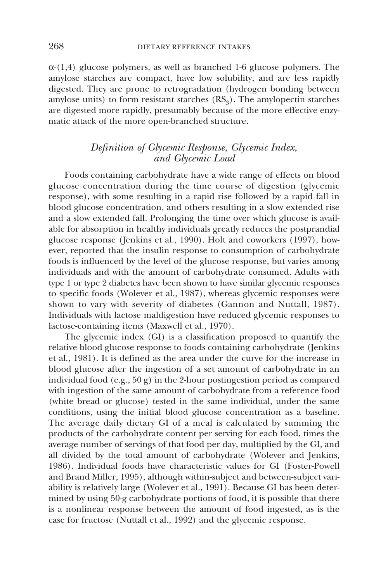$\alpha$ -(1,4) glucose polymers, as well as branched 1-6 glucose polymers. The amylose starches are compact, have low solubility, and are less rapidly digested. They are prone to retrogradation (hydrogen bonding between amylose units) to form resistant starches  $(RS_3)$ . The amylopectin starches are digested more rapidly, presumably because of the more effective enzymatic attack of the more open-branched structure.

# *Definition of Glycemic Response, Glycemic Index, and Glycemic Load*

Foods containing carbohydrate have a wide range of effects on blood glucose concentration during the time course of digestion (glycemic response), with some resulting in a rapid rise followed by a rapid fall in blood glucose concentration, and others resulting in a slow extended rise and a slow extended fall. Prolonging the time over which glucose is available for absorption in healthy individuals greatly reduces the postprandial glucose response (Jenkins et al., 1990). Holt and coworkers (1997), however, reported that the insulin response to consumption of carbohydrate foods is influenced by the level of the glucose response, but varies among individuals and with the amount of carbohydrate consumed. Adults with type 1 or type 2 diabetes have been shown to have similar glycemic responses to specific foods (Wolever et al., 1987), whereas glycemic responses were shown to vary with severity of diabetes (Gannon and Nuttall, 1987). Individuals with lactose maldigestion have reduced glycemic responses to lactose-containing items (Maxwell et al., 1970).

The glycemic index (GI) is a classification proposed to quantify the relative blood glucose response to foods containing carbohydrate (Jenkins et al., 1981). It is defined as the area under the curve for the increase in blood glucose after the ingestion of a set amount of carbohydrate in an individual food (e.g., 50 g) in the 2-hour postingestion period as compared with ingestion of the same amount of carbohydrate from a reference food (white bread or glucose) tested in the same individual, under the same conditions, using the initial blood glucose concentration as a baseline. The average daily dietary GI of a meal is calculated by summing the products of the carbohydrate content per serving for each food, times the average number of servings of that food per day, multiplied by the GI, and all divided by the total amount of carbohydrate (Wolever and Jenkins, 1986). Individual foods have characteristic values for GI (Foster-Powell and Brand Miller, 1995), although within-subject and between-subject variability is relatively large (Wolever et al., 1991). Because GI has been determined by using 50-g carbohydrate portions of food, it is possible that there is a nonlinear response between the amount of food ingested, as is the case for fructose (Nuttall et al., 1992) and the glycemic response.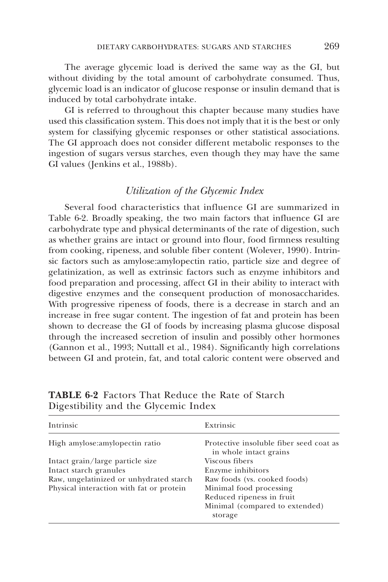The average glycemic load is derived the same way as the GI, but without dividing by the total amount of carbohydrate consumed. Thus, glycemic load is an indicator of glucose response or insulin demand that is induced by total carbohydrate intake.

GI is referred to throughout this chapter because many studies have used this classification system. This does not imply that it is the best or only system for classifying glycemic responses or other statistical associations. The GI approach does not consider different metabolic responses to the ingestion of sugars versus starches, even though they may have the same GI values (Jenkins et al., 1988b).

# *Utilization of the Glycemic Index*

Several food characteristics that influence GI are summarized in Table 6-2. Broadly speaking, the two main factors that influence GI are carbohydrate type and physical determinants of the rate of digestion, such as whether grains are intact or ground into flour, food firmness resulting from cooking, ripeness, and soluble fiber content (Wolever, 1990). Intrinsic factors such as amylose:amylopectin ratio, particle size and degree of gelatinization, as well as extrinsic factors such as enzyme inhibitors and food preparation and processing, affect GI in their ability to interact with digestive enzymes and the consequent production of monosaccharides. With progressive ripeness of foods, there is a decrease in starch and an increase in free sugar content. The ingestion of fat and protein has been shown to decrease the GI of foods by increasing plasma glucose disposal through the increased secretion of insulin and possibly other hormones (Gannon et al., 1993; Nuttall et al., 1984). Significantly high correlations between GI and protein, fat, and total caloric content were observed and

| Intrinsic                                | Extrinsic                                                         |
|------------------------------------------|-------------------------------------------------------------------|
| High amylose: amylopectin ratio          | Protective insoluble fiber seed coat as<br>in whole intact grains |
| Intact grain/large particle size         | Viscous fibers                                                    |
| Intact starch granules                   | Enzyme inhibitors                                                 |
| Raw, ungelatinized or unhydrated starch  | Raw foods (vs. cooked foods)                                      |
| Physical interaction with fat or protein | Minimal food processing                                           |
|                                          | Reduced ripeness in fruit                                         |
|                                          | Minimal (compared to extended)<br>storage                         |

**TABLE 6-2** Factors That Reduce the Rate of Starch Digestibility and the Glycemic Index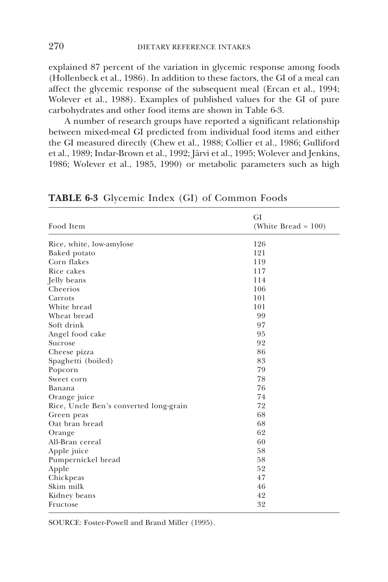explained 87 percent of the variation in glycemic response among foods (Hollenbeck et al., 1986). In addition to these factors, the GI of a meal can affect the glycemic response of the subsequent meal (Ercan et al., 1994; Wolever et al., 1988). Examples of published values for the GI of pure carbohydrates and other food items are shown in Table 6-3.

A number of research groups have reported a significant relationship between mixed-meal GI predicted from individual food items and either the GI measured directly (Chew et al., 1988; Collier et al., 1986; Gulliford et al., 1989; Indar-Brown et al., 1992; Järvi et al., 1995; Wolever and Jenkins, 1986; Wolever et al., 1985, 1990) or metabolic parameters such as high

|                                        | GI                     |
|----------------------------------------|------------------------|
| Food Item                              | (White Bread $= 100$ ) |
| Rice, white, low-amylose               | 126                    |
| Baked potato                           | 121                    |
| Corn flakes                            | 119                    |
| Rice cakes                             | 117                    |
| Jelly beans                            | 114                    |
| Cheerios                               | 106                    |
| Carrots                                | 101                    |
| White bread                            | 101                    |
| Wheat bread                            | 99                     |
| Soft drink                             | 97                     |
| Angel food cake                        | 95                     |
| Sucrose                                | 92                     |
| Cheese pizza                           | 86                     |
| Spaghetti (boiled)                     | 83                     |
| Popcorn                                | 79                     |
| Sweet corn                             | 78                     |
| Banana                                 | 76                     |
| Orange juice                           | 74                     |
| Rice, Uncle Ben's converted long-grain | 72                     |
| Green peas                             | 68                     |
| Oat bran bread                         | 68                     |
| Orange                                 | 62                     |
| All-Bran cereal                        | 60                     |
| Apple juice                            | 58                     |
| Pumpernickel bread                     | 58                     |
| Apple                                  | 52                     |
| Chickpeas                              | 47                     |
| Skim milk                              | 46                     |
| Kidney beans                           | 42                     |
| Fructose                               | 32                     |

**TABLE 6-3** Glycemic Index (GI) of Common Foods

SOURCE: Foster-Powell and Brand Miller (1995).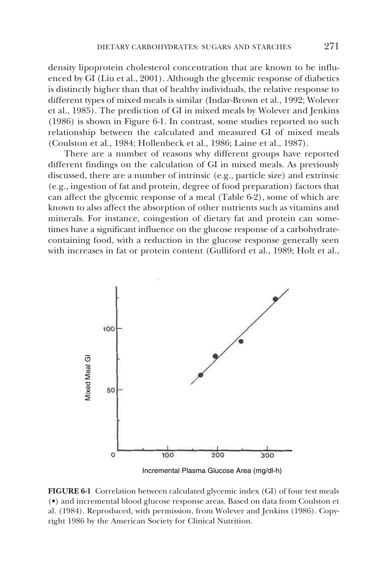density lipoprotein cholesterol concentration that are known to be influenced by GI (Liu et al., 2001). Although the glycemic response of diabetics is distinctly higher than that of healthy individuals, the relative response to different types of mixed meals is similar (Indar-Brown et al., 1992; Wolever et al., 1985). The prediction of GI in mixed meals by Wolever and Jenkins (1986) is shown in Figure 6-1. In contrast, some studies reported no such relationship between the calculated and measured GI of mixed meals (Coulston et al., 1984; Hollenbeck et al., 1986; Laine et al., 1987).

There are a number of reasons why different groups have reported different findings on the calculation of GI in mixed meals. As previously discussed, there are a number of intrinsic (e.g., particle size) and extrinsic (e.g., ingestion of fat and protein, degree of food preparation) factors that can affect the glycemic response of a meal (Table 6-2), some of which are known to also affect the absorption of other nutrients such as vitamins and minerals. For instance, coingestion of dietary fat and protein can sometimes have a significant influence on the glucose response of a carbohydratecontaining food, with a reduction in the glucose response generally seen with increases in fat or protein content (Gulliford et al., 1989; Holt et al.,



**FIGURE 6-1** Correlation between calculated glycemic index (GI) of four test meals (•) and incremental blood glucose response areas. Based on data from Coulston et al. (1984). Reproduced, with permission, from Wolever and Jenkins (1986). Copyright 1986 by the American Society for Clinical Nutrition.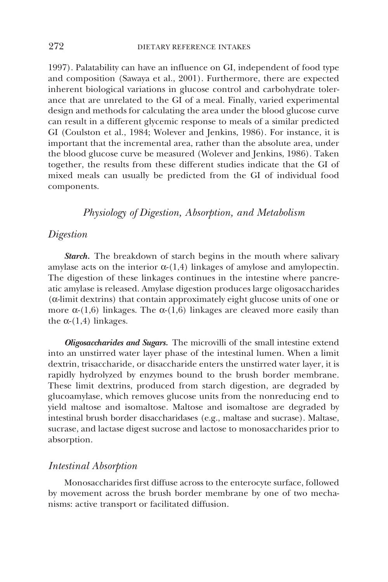1997). Palatability can have an influence on GI, independent of food type and composition (Sawaya et al., 2001). Furthermore, there are expected inherent biological variations in glucose control and carbohydrate tolerance that are unrelated to the GI of a meal. Finally, varied experimental design and methods for calculating the area under the blood glucose curve can result in a different glycemic response to meals of a similar predicted GI (Coulston et al., 1984; Wolever and Jenkins, 1986). For instance, it is important that the incremental area, rather than the absolute area, under the blood glucose curve be measured (Wolever and Jenkins, 1986). Taken together, the results from these different studies indicate that the GI of mixed meals can usually be predicted from the GI of individual food components.

# *Physiology of Digestion, Absorption, and Metabolism*

#### *Digestion*

*Starch.* The breakdown of starch begins in the mouth where salivary amylase acts on the interior  $\alpha$ - $(1,4)$  linkages of amylose and amylopectin. The digestion of these linkages continues in the intestine where pancreatic amylase is released. Amylase digestion produces large oligosaccharides (α-limit dextrins) that contain approximately eight glucose units of one or more  $\alpha$ -(1,6) linkages. The  $\alpha$ -(1,6) linkages are cleaved more easily than the  $\alpha$ -(1,4) linkages.

*Oligosaccharides and Sugars.* The microvilli of the small intestine extend into an unstirred water layer phase of the intestinal lumen. When a limit dextrin, trisaccharide, or disaccharide enters the unstirred water layer, it is rapidly hydrolyzed by enzymes bound to the brush border membrane. These limit dextrins, produced from starch digestion, are degraded by glucoamylase, which removes glucose units from the nonreducing end to yield maltose and isomaltose. Maltose and isomaltose are degraded by intestinal brush border disaccharidases (e.g., maltase and sucrase). Maltase, sucrase, and lactase digest sucrose and lactose to monosaccharides prior to absorption.

# *Intestinal Absorption*

Monosaccharides first diffuse across to the enterocyte surface, followed by movement across the brush border membrane by one of two mechanisms: active transport or facilitated diffusion.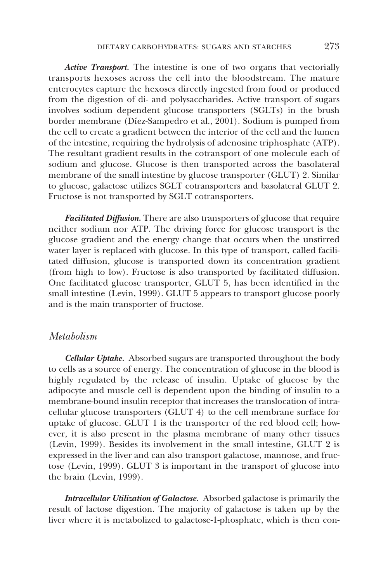*Active Transport.* The intestine is one of two organs that vectorially transports hexoses across the cell into the bloodstream. The mature enterocytes capture the hexoses directly ingested from food or produced from the digestion of di- and polysaccharides. Active transport of sugars involves sodium dependent glucose transporters (SGLTs) in the brush border membrane (Díez-Sampedro et al., 2001). Sodium is pumped from the cell to create a gradient between the interior of the cell and the lumen of the intestine, requiring the hydrolysis of adenosine triphosphate (ATP). The resultant gradient results in the cotransport of one molecule each of sodium and glucose. Glucose is then transported across the basolateral membrane of the small intestine by glucose transporter (GLUT) 2. Similar to glucose, galactose utilizes SGLT cotransporters and basolateral GLUT 2. Fructose is not transported by SGLT cotransporters.

*Facilitated Diffusion.* There are also transporters of glucose that require neither sodium nor ATP. The driving force for glucose transport is the glucose gradient and the energy change that occurs when the unstirred water layer is replaced with glucose. In this type of transport, called facilitated diffusion, glucose is transported down its concentration gradient (from high to low). Fructose is also transported by facilitated diffusion. One facilitated glucose transporter, GLUT 5, has been identified in the small intestine (Levin, 1999). GLUT 5 appears to transport glucose poorly and is the main transporter of fructose.

#### *Metabolism*

*Cellular Uptake.* Absorbed sugars are transported throughout the body to cells as a source of energy. The concentration of glucose in the blood is highly regulated by the release of insulin. Uptake of glucose by the adipocyte and muscle cell is dependent upon the binding of insulin to a membrane-bound insulin receptor that increases the translocation of intracellular glucose transporters (GLUT 4) to the cell membrane surface for uptake of glucose. GLUT 1 is the transporter of the red blood cell; however, it is also present in the plasma membrane of many other tissues (Levin, 1999). Besides its involvement in the small intestine, GLUT 2 is expressed in the liver and can also transport galactose, mannose, and fructose (Levin, 1999). GLUT 3 is important in the transport of glucose into the brain (Levin, 1999).

*Intracellular Utilization of Galactose.* Absorbed galactose is primarily the result of lactose digestion. The majority of galactose is taken up by the liver where it is metabolized to galactose-1-phosphate, which is then con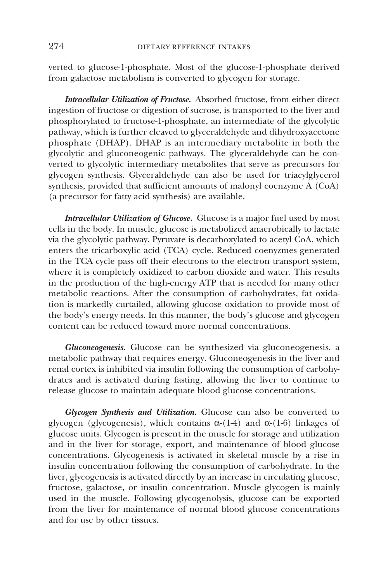verted to glucose-1-phosphate. Most of the glucose-1-phosphate derived from galactose metabolism is converted to glycogen for storage.

*Intracellular Utilization of Fructose.* Absorbed fructose, from either direct ingestion of fructose or digestion of sucrose, is transported to the liver and phosphorylated to fructose-1-phosphate, an intermediate of the glycolytic pathway, which is further cleaved to glyceraldehyde and dihydroxyacetone phosphate (DHAP). DHAP is an intermediary metabolite in both the glycolytic and gluconeogenic pathways. The glyceraldehyde can be converted to glycolytic intermediary metabolites that serve as precursors for glycogen synthesis. Glyceraldehyde can also be used for triacylglycerol synthesis, provided that sufficient amounts of malonyl coenzyme A (CoA) (a precursor for fatty acid synthesis) are available.

*Intracellular Utilization of Glucose.* Glucose is a major fuel used by most cells in the body. In muscle, glucose is metabolized anaerobically to lactate via the glycolytic pathway. Pyruvate is decarboxylated to acetyl CoA, which enters the tricarboxylic acid (TCA) cycle. Reduced coenyzmes generated in the TCA cycle pass off their electrons to the electron transport system, where it is completely oxidized to carbon dioxide and water. This results in the production of the high-energy ATP that is needed for many other metabolic reactions. After the consumption of carbohydrates, fat oxidation is markedly curtailed, allowing glucose oxidation to provide most of the body's energy needs. In this manner, the body's glucose and glycogen content can be reduced toward more normal concentrations.

*Gluconeogenesis.* Glucose can be synthesized via gluconeogenesis, a metabolic pathway that requires energy. Gluconeogenesis in the liver and renal cortex is inhibited via insulin following the consumption of carbohydrates and is activated during fasting, allowing the liver to continue to release glucose to maintain adequate blood glucose concentrations.

*Glycogen Synthesis and Utilization.* Glucose can also be converted to glycogen (glycogenesis), which contains  $α-(1-4)$  and  $α-(1-6)$  linkages of glucose units. Glycogen is present in the muscle for storage and utilization and in the liver for storage, export, and maintenance of blood glucose concentrations. Glycogenesis is activated in skeletal muscle by a rise in insulin concentration following the consumption of carbohydrate. In the liver, glycogenesis is activated directly by an increase in circulating glucose, fructose, galactose, or insulin concentration. Muscle glycogen is mainly used in the muscle. Following glycogenolysis, glucose can be exported from the liver for maintenance of normal blood glucose concentrations and for use by other tissues.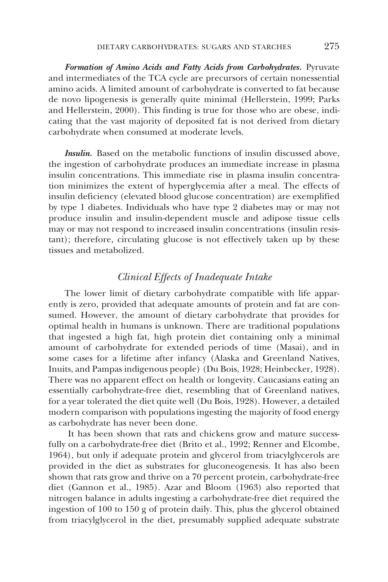*Formation of Amino Acids and Fatty Acids from Carbohydrates.* Pyruvate and intermediates of the TCA cycle are precursors of certain nonessential amino acids. A limited amount of carbohydrate is converted to fat because de novo lipogenesis is generally quite minimal (Hellerstein, 1999; Parks and Hellerstein, 2000). This finding is true for those who are obese, indicating that the vast majority of deposited fat is not derived from dietary carbohydrate when consumed at moderate levels.

*Insulin.* Based on the metabolic functions of insulin discussed above, the ingestion of carbohydrate produces an immediate increase in plasma insulin concentrations. This immediate rise in plasma insulin concentration minimizes the extent of hyperglycemia after a meal. The effects of insulin deficiency (elevated blood glucose concentration) are exemplified by type 1 diabetes. Individuals who have type 2 diabetes may or may not produce insulin and insulin-dependent muscle and adipose tissue cells may or may not respond to increased insulin concentrations (insulin resistant); therefore, circulating glucose is not effectively taken up by these tissues and metabolized.

# *Clinical Effects of Inadequate Intake*

The lower limit of dietary carbohydrate compatible with life apparently is zero, provided that adequate amounts of protein and fat are consumed. However, the amount of dietary carbohydrate that provides for optimal health in humans is unknown. There are traditional populations that ingested a high fat, high protein diet containing only a minimal amount of carbohydrate for extended periods of time (Masai), and in some cases for a lifetime after infancy (Alaska and Greenland Natives, Inuits, and Pampas indigenous people) (Du Bois, 1928; Heinbecker, 1928). There was no apparent effect on health or longevity. Caucasians eating an essentially carbohydrate-free diet, resembling that of Greenland natives, for a year tolerated the diet quite well (Du Bois, 1928). However, a detailed modern comparison with populations ingesting the majority of food energy as carbohydrate has never been done.

It has been shown that rats and chickens grow and mature successfully on a carbohydrate-free diet (Brito et al., 1992; Renner and Elcombe, 1964), but only if adequate protein and glycerol from triacylglycerols are provided in the diet as substrates for gluconeogenesis. It has also been shown that rats grow and thrive on a 70 percent protein, carbohydrate-free diet (Gannon et al., 1985). Azar and Bloom (1963) also reported that nitrogen balance in adults ingesting a carbohydrate-free diet required the ingestion of 100 to 150 g of protein daily. This, plus the glycerol obtained from triacylglycerol in the diet, presumably supplied adequate substrate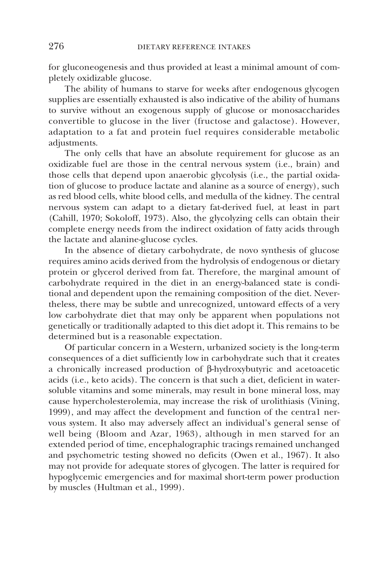for gluconeogenesis and thus provided at least a minimal amount of completely oxidizable glucose.

The ability of humans to starve for weeks after endogenous glycogen supplies are essentially exhausted is also indicative of the ability of humans to survive without an exogenous supply of glucose or monosaccharides convertible to glucose in the liver (fructose and galactose). However, adaptation to a fat and protein fuel requires considerable metabolic adjustments.

The only cells that have an absolute requirement for glucose as an oxidizable fuel are those in the central nervous system (i.e., brain) and those cells that depend upon anaerobic glycolysis (i.e., the partial oxidation of glucose to produce lactate and alanine as a source of energy), such as red blood cells, white blood cells, and medulla of the kidney. The central nervous system can adapt to a dietary fat-derived fuel, at least in part (Cahill, 1970; Sokoloff, 1973). Also, the glycolyzing cells can obtain their complete energy needs from the indirect oxidation of fatty acids through the lactate and alanine-glucose cycles.

In the absence of dietary carbohydrate, de novo synthesis of glucose requires amino acids derived from the hydrolysis of endogenous or dietary protein or glycerol derived from fat. Therefore, the marginal amount of carbohydrate required in the diet in an energy-balanced state is conditional and dependent upon the remaining composition of the diet. Nevertheless, there may be subtle and unrecognized, untoward effects of a very low carbohydrate diet that may only be apparent when populations not genetically or traditionally adapted to this diet adopt it. This remains to be determined but is a reasonable expectation.

Of particular concern in a Western, urbanized society is the long-term consequences of a diet sufficiently low in carbohydrate such that it creates a chronically increased production of β-hydroxybutyric and acetoacetic acids (i.e., keto acids). The concern is that such a diet, deficient in watersoluble vitamins and some minerals, may result in bone mineral loss, may cause hypercholesterolemia, may increase the risk of urolithiasis (Vining, 1999), and may affect the development and function of the centra1 nervous system. It also may adversely affect an individual's general sense of well being (Bloom and Azar, 1963), although in men starved for an extended period of time, encephalographic tracings remained unchanged and psychometric testing showed no deficits (Owen et al., 1967). It also may not provide for adequate stores of glycogen. The latter is required for hypoglycemic emergencies and for maximal short-term power production by muscles (Hultman et al., 1999).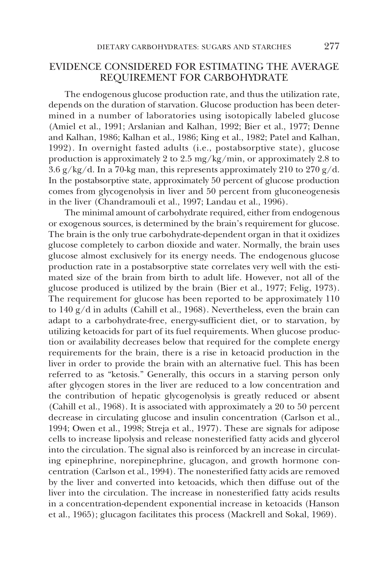# EVIDENCE CONSIDERED FOR ESTIMATING THE AVERAGE REQUIREMENT FOR CARBOHYDRATE

The endogenous glucose production rate, and thus the utilization rate, depends on the duration of starvation. Glucose production has been determined in a number of laboratories using isotopically labeled glucose (Amiel et al., 1991; Arslanian and Kalhan, 1992; Bier et al., 1977; Denne and Kalhan, 1986; Kalhan et al., 1986; King et al., 1982; Patel and Kalhan, 1992). In overnight fasted adults (i.e., postabsorptive state), glucose production is approximately 2 to 2.5 mg/kg/min, or approximately 2.8 to  $3.6$  g/kg/d. In a 70-kg man, this represents approximately 210 to 270 g/d. In the postabsorptive state, approximately 50 percent of glucose production comes from glycogenolysis in liver and 50 percent from gluconeogenesis in the liver (Chandramouli et al., 1997; Landau et al., 1996).

The minimal amount of carbohydrate required, either from endogenous or exogenous sources, is determined by the brain's requirement for glucose. The brain is the only true carbohydrate-dependent organ in that it oxidizes glucose completely to carbon dioxide and water. Normally, the brain uses glucose almost exclusively for its energy needs. The endogenous glucose production rate in a postabsorptive state correlates very well with the estimated size of the brain from birth to adult life. However, not all of the glucose produced is utilized by the brain (Bier et al., 1977; Felig, 1973). The requirement for glucose has been reported to be approximately 110 to 140 g/d in adults (Cahill et al., 1968). Nevertheless, even the brain can adapt to a carbohydrate-free, energy-sufficient diet, or to starvation, by utilizing ketoacids for part of its fuel requirements. When glucose production or availability decreases below that required for the complete energy requirements for the brain, there is a rise in ketoacid production in the liver in order to provide the brain with an alternative fuel. This has been referred to as "ketosis." Generally, this occurs in a starving person only after glycogen stores in the liver are reduced to a low concentration and the contribution of hepatic glycogenolysis is greatly reduced or absent (Cahill et al., 1968). It is associated with approximately a 20 to 50 percent decrease in circulating glucose and insulin concentration (Carlson et al., 1994; Owen et al., 1998; Streja et al., 1977). These are signals for adipose cells to increase lipolysis and release nonesterified fatty acids and glycerol into the circulation. The signal also is reinforced by an increase in circulating epinephrine, norepinephrine, glucagon, and growth hormone concentration (Carlson et al., 1994). The nonesterified fatty acids are removed by the liver and converted into ketoacids, which then diffuse out of the liver into the circulation. The increase in nonesterified fatty acids results in a concentration-dependent exponential increase in ketoacids (Hanson et al., 1965); glucagon facilitates this process (Mackrell and Sokal, 1969).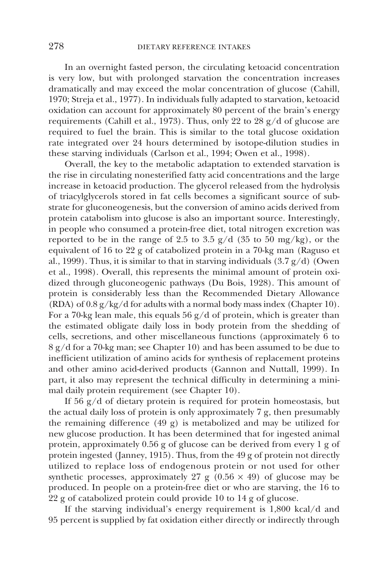In an overnight fasted person, the circulating ketoacid concentration is very low, but with prolonged starvation the concentration increases dramatically and may exceed the molar concentration of glucose (Cahill, 1970; Streja et al., 1977). In individuals fully adapted to starvation, ketoacid oxidation can account for approximately 80 percent of the brain's energy requirements (Cahill et al., 1973). Thus, only 22 to 28 g/d of glucose are required to fuel the brain. This is similar to the total glucose oxidation rate integrated over 24 hours determined by isotope-dilution studies in these starving individuals (Carlson et al., 1994; Owen et al., 1998).

Overall, the key to the metabolic adaptation to extended starvation is the rise in circulating nonesterified fatty acid concentrations and the large increase in ketoacid production. The glycerol released from the hydrolysis of triacylglycerols stored in fat cells becomes a significant source of substrate for gluconeogenesis, but the conversion of amino acids derived from protein catabolism into glucose is also an important source. Interestingly, in people who consumed a protein-free diet, total nitrogen excretion was reported to be in the range of 2.5 to 3.5  $g/d$  (35 to 50 mg/kg), or the equivalent of 16 to 22 g of catabolized protein in a 70-kg man (Raguso et al., 1999). Thus, it is similar to that in starving individuals  $(3.7 \text{ g/d})$  (Owen et al., 1998). Overall, this represents the minimal amount of protein oxidized through gluconeogenic pathways (Du Bois, 1928). This amount of protein is considerably less than the Recommended Dietary Allowance (RDA) of 0.8  $g/kg/d$  for adults with a normal body mass index (Chapter 10). For a 70-kg lean male, this equals  $56 \frac{\text{g}}{\text{d}}$  of protein, which is greater than the estimated obligate daily loss in body protein from the shedding of cells, secretions, and other miscellaneous functions (approximately 6 to 8 g/d for a 70-kg man; see Chapter 10) and has been assumed to be due to inefficient utilization of amino acids for synthesis of replacement proteins and other amino acid-derived products (Gannon and Nuttall, 1999). In part, it also may represent the technical difficulty in determining a minimal daily protein requirement (see Chapter 10).

If 56 g/d of dietary protein is required for protein homeostasis, but the actual daily loss of protein is only approximately 7 g, then presumably the remaining difference (49 g) is metabolized and may be utilized for new glucose production. It has been determined that for ingested animal protein, approximately 0.56 g of glucose can be derived from every 1 g of protein ingested (Janney, 1915). Thus, from the 49 g of protein not directly utilized to replace loss of endogenous protein or not used for other synthetic processes, approximately 27 g  $(0.56 \times 49)$  of glucose may be produced. In people on a protein-free diet or who are starving, the 16 to 22 g of catabolized protein could provide 10 to 14 g of glucose.

If the starving individual's energy requirement is 1,800 kcal/d and 95 percent is supplied by fat oxidation either directly or indirectly through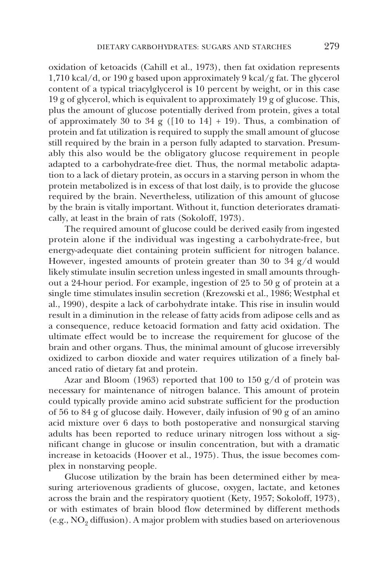oxidation of ketoacids (Cahill et al., 1973), then fat oxidation represents 1,710 kcal/d, or 190 g based upon approximately 9 kcal/g fat. The glycerol content of a typical triacylglycerol is 10 percent by weight, or in this case 19 g of glycerol, which is equivalent to approximately 19 g of glucose. This, plus the amount of glucose potentially derived from protein, gives a total of approximately 30 to 34 g ( $[10 \text{ to } 14] + 19$ ). Thus, a combination of protein and fat utilization is required to supply the small amount of glucose still required by the brain in a person fully adapted to starvation. Presumably this also would be the obligatory glucose requirement in people adapted to a carbohydrate-free diet. Thus, the normal metabolic adaptation to a lack of dietary protein, as occurs in a starving person in whom the protein metabolized is in excess of that lost daily, is to provide the glucose required by the brain. Nevertheless, utilization of this amount of glucose by the brain is vitally important. Without it, function deteriorates dramatically, at least in the brain of rats (Sokoloff, 1973).

The required amount of glucose could be derived easily from ingested protein alone if the individual was ingesting a carbohydrate-free, but energy-adequate diet containing protein sufficient for nitrogen balance. However, ingested amounts of protein greater than 30 to 34 g/d would likely stimulate insulin secretion unless ingested in small amounts throughout a 24-hour period. For example, ingestion of 25 to 50 g of protein at a single time stimulates insulin secretion (Krezowski et al., 1986; Westphal et al., 1990), despite a lack of carbohydrate intake. This rise in insulin would result in a diminution in the release of fatty acids from adipose cells and as a consequence, reduce ketoacid formation and fatty acid oxidation. The ultimate effect would be to increase the requirement for glucose of the brain and other organs. Thus, the minimal amount of glucose irreversibly oxidized to carbon dioxide and water requires utilization of a finely balanced ratio of dietary fat and protein.

Azar and Bloom (1963) reported that 100 to 150  $g/d$  of protein was necessary for maintenance of nitrogen balance. This amount of protein could typically provide amino acid substrate sufficient for the production of 56 to 84 g of glucose daily. However, daily infusion of 90 g of an amino acid mixture over 6 days to both postoperative and nonsurgical starving adults has been reported to reduce urinary nitrogen loss without a significant change in glucose or insulin concentration, but with a dramatic increase in ketoacids (Hoover et al., 1975). Thus, the issue becomes complex in nonstarving people.

Glucose utilization by the brain has been determined either by measuring arteriovenous gradients of glucose, oxygen, lactate, and ketones across the brain and the respiratory quotient (Kety, 1957; Sokoloff, 1973), or with estimates of brain blood flow determined by different methods (e.g., NO<sub>2</sub> diffusion). A major problem with studies based on arteriovenous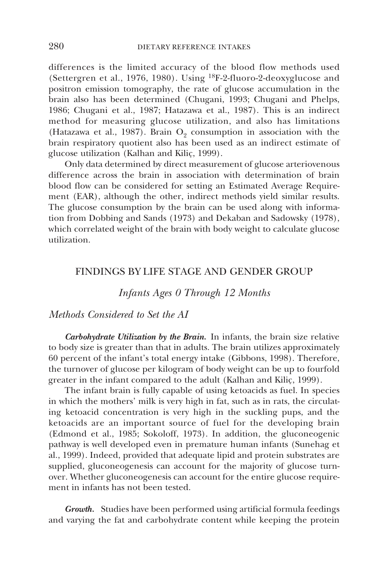differences is the limited accuracy of the blood flow methods used (Settergren et al., 1976, 1980). Using 18F-2-fluoro-2-deoxyglucose and positron emission tomography, the rate of glucose accumulation in the brain also has been determined (Chugani, 1993; Chugani and Phelps, 1986; Chugani et al., 1987; Hatazawa et al., 1987). This is an indirect method for measuring glucose utilization, and also has limitations (Hatazawa et al., 1987). Brain  $O<sub>9</sub>$  consumption in association with the brain respiratory quotient also has been used as an indirect estimate of glucose utilization (Kalhan and Kiliç, 1999).

Only data determined by direct measurement of glucose arteriovenous difference across the brain in association with determination of brain blood flow can be considered for setting an Estimated Average Requirement (EAR), although the other, indirect methods yield similar results. The glucose consumption by the brain can be used along with information from Dobbing and Sands (1973) and Dekaban and Sadowsky (1978), which correlated weight of the brain with body weight to calculate glucose utilization.

#### FINDINGS BY LIFE STAGE AND GENDER GROUP

#### *Infants Ages 0 Through 12 Months*

#### *Methods Considered to Set the AI*

*Carbohydrate Utilization by the Brain.* In infants, the brain size relative to body size is greater than that in adults. The brain utilizes approximately 60 percent of the infant's total energy intake (Gibbons, 1998). Therefore, the turnover of glucose per kilogram of body weight can be up to fourfold greater in the infant compared to the adult (Kalhan and Kiliç, 1999).

The infant brain is fully capable of using ketoacids as fuel. In species in which the mothers' milk is very high in fat, such as in rats, the circulating ketoacid concentration is very high in the suckling pups, and the ketoacids are an important source of fuel for the developing brain (Edmond et al., 1985; Sokoloff, 1973). In addition, the gluconeogenic pathway is well developed even in premature human infants (Sunehag et al., 1999). Indeed, provided that adequate lipid and protein substrates are supplied, gluconeogenesis can account for the majority of glucose turnover. Whether gluconeogenesis can account for the entire glucose requirement in infants has not been tested.

*Growth.* Studies have been performed using artificial formula feedings and varying the fat and carbohydrate content while keeping the protein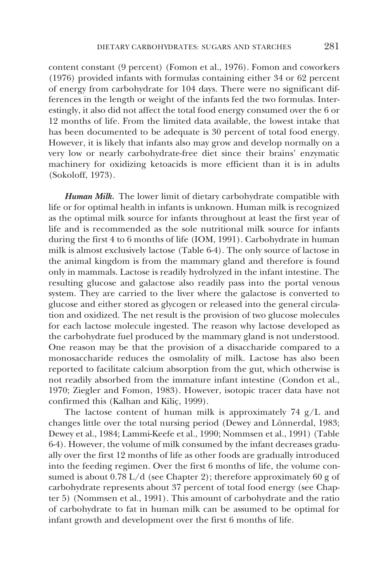content constant (9 percent) (Fomon et al., 1976). Fomon and coworkers (1976) provided infants with formulas containing either 34 or 62 percent of energy from carbohydrate for 104 days. There were no significant differences in the length or weight of the infants fed the two formulas. Interestingly, it also did not affect the total food energy consumed over the 6 or 12 months of life. From the limited data available, the lowest intake that has been documented to be adequate is 30 percent of total food energy. However, it is likely that infants also may grow and develop normally on a very low or nearly carbohydrate-free diet since their brains' enzymatic machinery for oxidizing ketoacids is more efficient than it is in adults (Sokoloff, 1973).

*Human Milk.* The lower limit of dietary carbohydrate compatible with life or for optimal health in infants is unknown. Human milk is recognized as the optimal milk source for infants throughout at least the first year of life and is recommended as the sole nutritional milk source for infants during the first 4 to 6 months of life (IOM, 1991). Carbohydrate in human milk is almost exclusively lactose (Table 6-4). The only source of lactose in the animal kingdom is from the mammary gland and therefore is found only in mammals. Lactose is readily hydrolyzed in the infant intestine. The resulting glucose and galactose also readily pass into the portal venous system. They are carried to the liver where the galactose is converted to glucose and either stored as glycogen or released into the general circulation and oxidized. The net result is the provision of two glucose molecules for each lactose molecule ingested. The reason why lactose developed as the carbohydrate fuel produced by the mammary gland is not understood. One reason may be that the provision of a disaccharide compared to a monosaccharide reduces the osmolality of milk. Lactose has also been reported to facilitate calcium absorption from the gut, which otherwise is not readily absorbed from the immature infant intestine (Condon et al., 1970; Ziegler and Fomon, 1983). However, isotopic tracer data have not confirmed this (Kalhan and Kiliç, 1999).

The lactose content of human milk is approximately 74  $g/L$  and changes little over the total nursing period (Dewey and Lönnerdal, 1983; Dewey et al., 1984; Lammi-Keefe et al., 1990; Nommsen et al., 1991) (Table 6-4). However, the volume of milk consumed by the infant decreases gradually over the first 12 months of life as other foods are gradually introduced into the feeding regimen. Over the first 6 months of life, the volume consumed is about 0.78 L/d (see Chapter 2); therefore approximately 60 g of carbohydrate represents about 37 percent of total food energy (see Chapter 5) (Nommsen et al., 1991). This amount of carbohydrate and the ratio of carbohydrate to fat in human milk can be assumed to be optimal for infant growth and development over the first 6 months of life.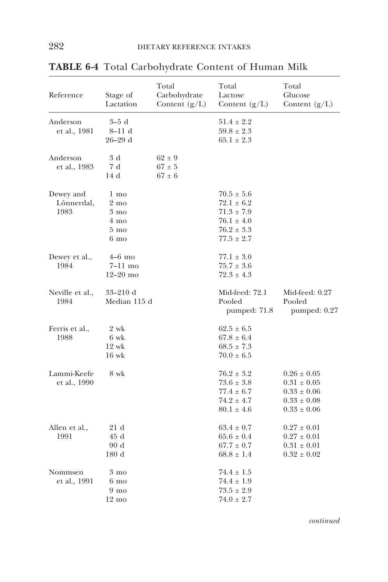| Reference                       | Stage of<br>Lactation                                                                | Total<br>Carbohydrate<br>Content $(g/L)$ | Total<br>Lactose<br>Content $(g/L)$                                                                      | Total<br>Glucose<br>Content $(g/L)$                                                         |
|---------------------------------|--------------------------------------------------------------------------------------|------------------------------------------|----------------------------------------------------------------------------------------------------------|---------------------------------------------------------------------------------------------|
| Anderson<br>et al., 1981        | $3-5$ d<br>$8-11d$<br>$26 - 29$ d                                                    |                                          | $51.4 \pm 2.2$<br>$59.8 \pm 2.3$<br>$65.1 \pm 2.3$                                                       |                                                                                             |
| Anderson<br>et al., 1983        | 3 d<br>7 d<br>14 d                                                                   | $62 \pm 9$<br>$67 \pm 5$<br>$67 \pm 6$   |                                                                                                          |                                                                                             |
| Dewey and<br>Lönnerdal,<br>1983 | 1 mo<br>$2 \text{ mo}$<br>$3 \text{ mo}$<br>$4 \text{ mo}$<br>$5 \text{ mo}$<br>6 mo |                                          | $70.5 \pm 5.6$<br>$72.1 \pm 6.2$<br>$71.3 \pm 7.9$<br>$76.1 \pm 4.0$<br>$76.2 \pm 3.3$<br>$77.5 \pm 2.7$ |                                                                                             |
| Dewey et al.,<br>1984           | $4-6$ mo<br>$7-11$ mo<br>$12 - 20$ mo                                                |                                          | $77.1 \pm 3.0$<br>$75.7 \pm 3.6$<br>$72.3 \pm 4.3$                                                       |                                                                                             |
| Neville et al.,<br>1984         | $33 - 210$ d<br>Median 115 d                                                         |                                          | Mid-feed: 72.1<br>Pooled<br>pumped: 71.8                                                                 | Mid-feed: $0.27$<br>Pooled<br>pumped: $0.27$                                                |
| Ferris et al.,<br>1988          | 2 wk<br>6 wk<br>$12 \text{ wk}$<br>$16$ wk                                           |                                          | $62.5 \pm 6.5$<br>$67.8 \pm 6.4$<br>$68.5 \pm 7.3$<br>$70.0 \pm 6.5$                                     |                                                                                             |
| Lammi-Keefe<br>et al., 1990     | 8 wk                                                                                 |                                          | $76.2 \pm 3.2$<br>$73.6 \pm 3.8$<br>$77.4 \pm 6.7$<br>$74.2 \pm 4.7$<br>$80.1 \pm 4.6$                   | $0.26 \pm 0.05$<br>$0.31 \pm 0.05$<br>$0.33 \pm 0.06$<br>$0.33 \pm 0.08$<br>$0.33 \pm 0.06$ |
| Allen et al.,<br>1991           | 21 d<br>45d<br>90d<br>180d                                                           |                                          | $63.4 \pm 0.7$<br>$65.6 \pm 0.4$<br>$67.7 \pm 0.7$<br>$68.8 \pm 1.4$                                     | $0.27 \pm 0.01$<br>$0.27 \pm 0.01$<br>$0.31 \pm 0.01$<br>$0.32 \pm 0.02$                    |
| Nommsen<br>et al., 1991         | $3 \text{ mo}$<br>$6 \text{ mo}$<br>9 <sub>mo</sub><br>$12 \text{ mo}$               |                                          | $74.4 \pm 1.5$<br>$74.4 \pm 1.9$<br>$73.5 \pm 2.9$<br>$74.0 \pm 2.7$                                     |                                                                                             |

**TABLE 6-4** Total Carbohydrate Content of Human Milk

*continued*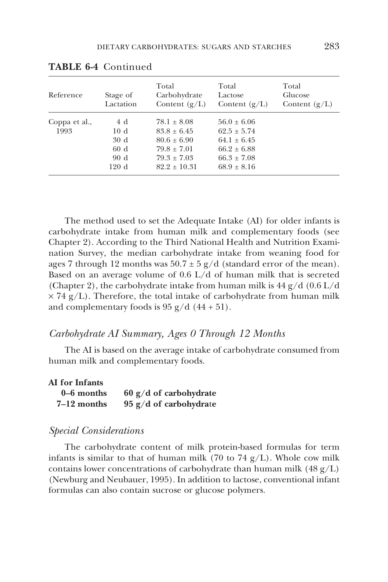| Reference             | Stage of<br>Lactation                    | Total<br>Carbohydrate<br>Content $(g/L)$                                                                    | Total<br>Lactose<br>Content $(g/L)$                                                                    | Total<br>Glucose<br>Content $(g/L)$ |
|-----------------------|------------------------------------------|-------------------------------------------------------------------------------------------------------------|--------------------------------------------------------------------------------------------------------|-------------------------------------|
| Coppa et al.,<br>1993 | 4 d<br>10d<br>30d<br>60d<br>90d<br>120 d | $78.1 \pm 8.08$<br>$83.8 \pm 6.45$<br>$80.6 \pm 6.90$<br>$79.8 + 7.01$<br>$79.3 + 7.03$<br>$82.2 \pm 10.31$ | $56.0 \pm 6.06$<br>$62.5 + 5.74$<br>$64.1 + 6.45$<br>$66.2 + 6.88$<br>$66.3 + 7.08$<br>$68.9 \pm 8.16$ |                                     |

**TABLE 6-4** Continued

The method used to set the Adequate Intake (AI) for older infants is carbohydrate intake from human milk and complementary foods (see Chapter 2). According to the Third National Health and Nutrition Examination Survey, the median carbohydrate intake from weaning food for ages 7 through 12 months was  $50.7 \pm 5$  g/d (standard error of the mean). Based on an average volume of 0.6 L/d of human milk that is secreted (Chapter 2), the carbohydrate intake from human milk is  $44 \text{ g/d}$  (0.6 L/d)  $\times$  74 g/L). Therefore, the total intake of carbohydrate from human milk and complementary foods is  $95 \text{ g}/\text{d} (44 + 51)$ .

# *Carbohydrate AI Summary, Ages 0 Through 12 Months*

The AI is based on the average intake of carbohydrate consumed from human milk and complementary foods.

#### **AI for Infants**

| $0-6$ months  | $60 \text{ g}/d$ of carbohydrate        |
|---------------|-----------------------------------------|
| $7-12$ months | $95 \text{ g}/\text{d}$ of carbohydrate |

#### *Special Considerations*

The carbohydrate content of milk protein-based formulas for term infants is similar to that of human milk (70 to 74  $g/L$ ). Whole cow milk contains lower concentrations of carbohydrate than human milk  $(48 \text{ g/L})$ (Newburg and Neubauer, 1995). In addition to lactose, conventional infant formulas can also contain sucrose or glucose polymers.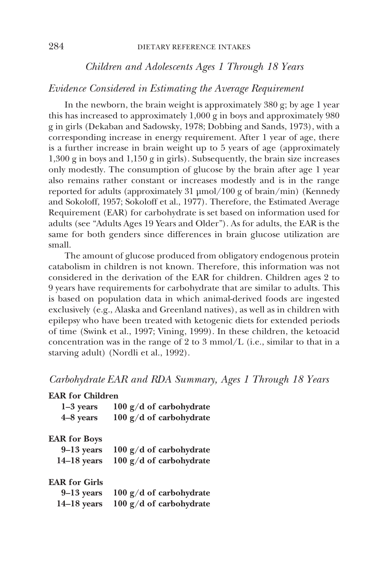# *Children and Adolescents Ages 1 Through 18 Years*

# *Evidence Considered in Estimating the Average Requirement*

In the newborn, the brain weight is approximately  $380$  g; by age 1 year this has increased to approximately 1,000 g in boys and approximately 980 g in girls (Dekaban and Sadowsky, 1978; Dobbing and Sands, 1973), with a corresponding increase in energy requirement. After 1 year of age, there is a further increase in brain weight up to 5 years of age (approximately 1,300 g in boys and 1,150 g in girls). Subsequently, the brain size increases only modestly. The consumption of glucose by the brain after age 1 year also remains rather constant or increases modestly and is in the range reported for adults (approximately 31 µmol/100 g of brain/min) (Kennedy and Sokoloff, 1957; Sokoloff et al., 1977). Therefore, the Estimated Average Requirement (EAR) for carbohydrate is set based on information used for adults (see "Adults Ages 19 Years and Older"). As for adults, the EAR is the same for both genders since differences in brain glucose utilization are small.

The amount of glucose produced from obligatory endogenous protein catabolism in children is not known. Therefore, this information was not considered in the derivation of the EAR for children. Children ages 2 to 9 years have requirements for carbohydrate that are similar to adults. This is based on population data in which animal-derived foods are ingested exclusively (e.g., Alaska and Greenland natives), as well as in children with epilepsy who have been treated with ketogenic diets for extended periods of time (Swink et al., 1997; Vining, 1999). In these children, the ketoacid concentration was in the range of 2 to 3 mmol/ $\overline{L}$  (i.e., similar to that in a starving adult) (Nordli et al., 1992).

# *Carbohydrate EAR and RDA Summary, Ages 1 Through 18 Years*

# **EAR for Children**

| $1-3$ years          | $100$ g/d of carbohydrate         |
|----------------------|-----------------------------------|
| 4-8 years            | $100$ g/d of carbohydrate         |
| <b>EAR</b> for Boys  |                                   |
| $9-13$ years         | $100 \text{ g}/d$ of carbohydrate |
| $14-18$ years        | 100 $g/d$ of carbohydrate         |
| <b>EAR for Girls</b> |                                   |
| $9-13$ years         | $100$ g/d of carbohydrate         |
| $14-18$ years        | $100 \text{ g}/d$ of carbohydrate |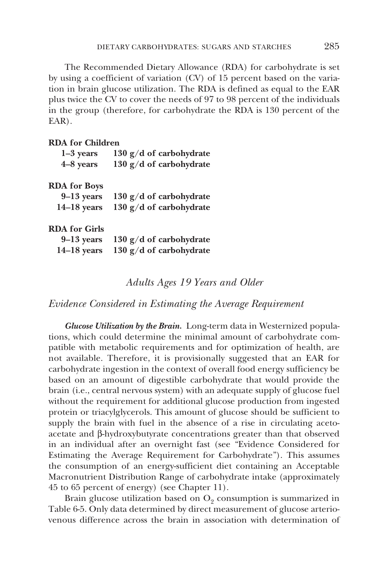The Recommended Dietary Allowance (RDA) for carbohydrate is set by using a coefficient of variation (CV) of 15 percent based on the variation in brain glucose utilization. The RDA is defined as equal to the EAR plus twice the CV to cover the needs of 97 to 98 percent of the individuals in the group (therefore, for carbohydrate the RDA is 130 percent of the EAR).

#### **RDA for Children**

| $1-3$ years          | 130 $g/d$ of carbohydrate         |
|----------------------|-----------------------------------|
| 4-8 years            | 130 $g/d$ of carbohydrate         |
| <b>RDA</b> for Boys  |                                   |
| $9-13$ years         | $130 \text{ g}/d$ of carbohydrate |
| $14-18$ years        | 130 $g/d$ of carbohydrate         |
| <b>RDA for Girls</b> |                                   |
| $9-13$ years         | 130 $g/d$ of carbohydrate         |
| $14-18$ years        | 130 $g/d$ of carbohydrate         |
|                      |                                   |

#### *Adults Ages 19 Years and Older*

# *Evidence Considered in Estimating the Average Requirement*

*Glucose Utilization by the Brain.* Long-term data in Westernized populations, which could determine the minimal amount of carbohydrate compatible with metabolic requirements and for optimization of health, are not available. Therefore, it is provisionally suggested that an EAR for carbohydrate ingestion in the context of overall food energy sufficiency be based on an amount of digestible carbohydrate that would provide the brain (i.e., central nervous system) with an adequate supply of glucose fuel without the requirement for additional glucose production from ingested protein or triacylglycerols. This amount of glucose should be sufficient to supply the brain with fuel in the absence of a rise in circulating acetoacetate and β-hydroxybutyrate concentrations greater than that observed in an individual after an overnight fast (see "Evidence Considered for Estimating the Average Requirement for Carbohydrate"). This assumes the consumption of an energy-sufficient diet containing an Acceptable Macronutrient Distribution Range of carbohydrate intake (approximately 45 to 65 percent of energy) (see Chapter 11).

Brain glucose utilization based on  $O<sub>9</sub>$  consumption is summarized in Table 6-5. Only data determined by direct measurement of glucose arteriovenous difference across the brain in association with determination of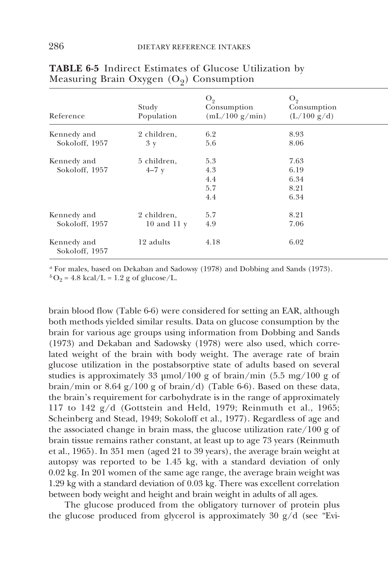| Reference                     | Study<br>Population           | $O_{\rm o}$<br>Consumption<br>(mL/100 g/min) | $O_{\rm 9}$<br>Consumption<br>(L/100 g/d) |  |
|-------------------------------|-------------------------------|----------------------------------------------|-------------------------------------------|--|
| Kennedy and<br>Sokoloff, 1957 | 2 children,<br>3 <sub>y</sub> | 6.2<br>5.6                                   | 8.93<br>8.06                              |  |
| Kennedy and<br>Sokoloff, 1957 | 5 children,<br>$4-7$ y        | 5.3<br>4.3<br>4.4<br>5.7<br>4.4              | 7.63<br>6.19<br>6.34<br>8.21<br>6.34      |  |
| Kennedy and<br>Sokoloff, 1957 | 2 children,<br>10 and 11 y    | 5.7<br>4.9                                   | 8.21<br>7.06                              |  |
| Kennedy and<br>Sokoloff, 1957 | 12 adults                     | 4.18                                         | 6.02                                      |  |

| TABLE 6-5 Indirect Estimates of Glucose Utilization by |  |  |
|--------------------------------------------------------|--|--|
| Measuring Brain Oxygen $(O_9)$ Consumption             |  |  |

*<sup>a</sup>* For males, based on Dekaban and Sadowsy (1978) and Dobbing and Sands (1973).

 $^{b}$  O<sub>2</sub> = 4.8 kcal/L = 1.2 g of glucose/L.

brain blood flow (Table 6-6) were considered for setting an EAR, although both methods yielded similar results. Data on glucose consumption by the brain for various age groups using information from Dobbing and Sands (1973) and Dekaban and Sadowsky (1978) were also used, which correlated weight of the brain with body weight. The average rate of brain glucose utilization in the postabsorptive state of adults based on several studies is approximately 33  $\mu$ mol/100 g of brain/min (5.5 mg/100 g of brain/min or  $8.64$  g/100 g of brain/d) (Table 6-6). Based on these data, the brain's requirement for carbohydrate is in the range of approximately 117 to  $142 \text{ g}/\text{d}$  (Gottstein and Held, 1979; Reinmuth et al., 1965; Scheinberg and Stead, 1949; Sokoloff et al., 1977). Regardless of age and the associated change in brain mass, the glucose utilization rate/100 g of brain tissue remains rather constant, at least up to age 73 years (Reinmuth et al., 1965). In 351 men (aged 21 to 39 years), the average brain weight at autopsy was reported to be 1.45 kg, with a standard deviation of only 0.02 kg. In 201 women of the same age range, the average brain weight was 1.29 kg with a standard deviation of 0.03 kg. There was excellent correlation between body weight and height and brain weight in adults of all ages.

The glucose produced from the obligatory turnover of protein plus the glucose produced from glycerol is approximately 30  $g/d$  (see "Evi-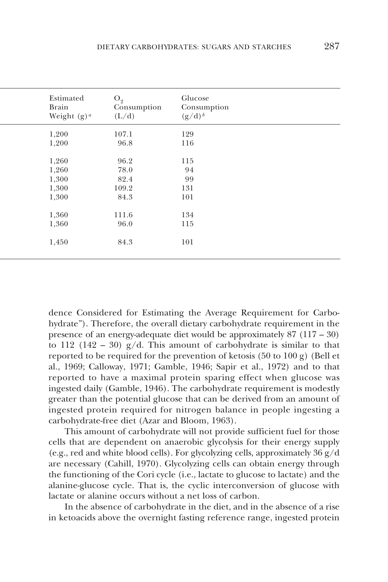| Estimated<br><b>Brain</b><br>Weight $(g)^a$ | O <sub>9</sub><br>Consumption<br>(L/d) | Glucose<br>Consumption<br>$(g/d)^b$ |
|---------------------------------------------|----------------------------------------|-------------------------------------|
| 1,200                                       | 107.1                                  | 129                                 |
| 1,200                                       | 96.8                                   | 116                                 |
| 1,260                                       | 96.2                                   | 115                                 |
| 1,260                                       | 78.0                                   | 94                                  |
| 1,300                                       | 82.4                                   | 99                                  |
| 1,300                                       | 109.2                                  | 131                                 |
| 1,300                                       | 84.3                                   | 101                                 |
| 1,360                                       | 111.6                                  | 134                                 |
| 1,360                                       | 96.0                                   | 115                                 |
| 1,450                                       | 84.3                                   | 101                                 |

dence Considered for Estimating the Average Requirement for Carbohydrate"). Therefore, the overall dietary carbohydrate requirement in the presence of an energy-adequate diet would be approximately 87 (117 – 30) to 112 (142 – 30)  $g/d$ . This amount of carbohydrate is similar to that reported to be required for the prevention of ketosis (50 to 100 g) (Bell et al., 1969; Calloway, 1971; Gamble, 1946; Sapir et al., 1972) and to that reported to have a maximal protein sparing effect when glucose was ingested daily (Gamble, 1946). The carbohydrate requirement is modestly greater than the potential glucose that can be derived from an amount of ingested protein required for nitrogen balance in people ingesting a carbohydrate-free diet (Azar and Bloom, 1963).

This amount of carbohydrate will not provide sufficient fuel for those cells that are dependent on anaerobic glycolysis for their energy supply (e.g., red and white blood cells). For glycolyzing cells, approximately  $36 \text{ g/d}$ are necessary (Cahill, 1970). Glycolyzing cells can obtain energy through the functioning of the Cori cycle (i.e., lactate to glucose to lactate) and the alanine-glucose cycle. That is, the cyclic interconversion of glucose with lactate or alanine occurs without a net loss of carbon.

In the absence of carbohydrate in the diet, and in the absence of a rise in ketoacids above the overnight fasting reference range, ingested protein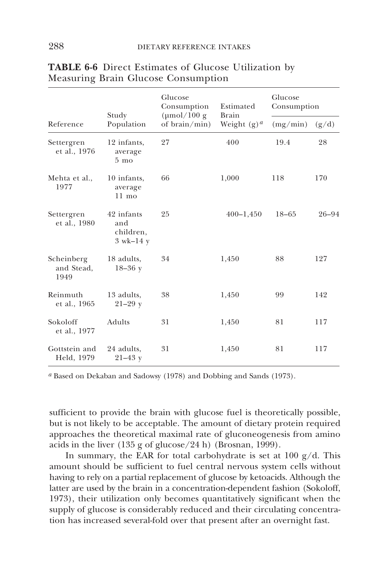|                                  |                                               | Glucose<br>Consumption              | Estimated                      | Glucose<br>Consumption |           |
|----------------------------------|-----------------------------------------------|-------------------------------------|--------------------------------|------------------------|-----------|
| Reference                        | Study<br>Population                           | $(\mu$ mol/100 g<br>of $brain/min)$ | <b>Brain</b><br>Weight $(g)^a$ | (mg/min)               | (g/d)     |
| Settergren<br>et al., 1976       | 12 infants,<br>average<br>$5 \text{ mo}$      | 27                                  | 400                            | 19.4                   | 28        |
| Mehta et al.,<br>1977            | 10 infants,<br>average<br>$11 \text{ mo}$     | 66                                  | 1,000                          | 118                    | 170       |
| Settergren<br>et al., 1980       | 42 infants<br>and<br>children,<br>$3$ wk-14 y | 25                                  | $400 - 1,450$                  | $18 - 65$              | $26 - 94$ |
| Scheinberg<br>and Stead,<br>1949 | 18 adults,<br>$18 - 36$ y                     | 34                                  | 1,450                          | 88                     | 127       |
| Reinmuth<br>et al., 1965         | 13 adults,<br>$21 - 29y$                      | 38                                  | 1,450                          | 99                     | 142       |
| Sokoloff<br>et al., 1977         | Adults                                        | 31                                  | 1,450                          | 81                     | 117       |
| Gottstein and<br>Held, 1979      | 24 adults,<br>$21 - 43$ y                     | 31                                  | 1,450                          | 81                     | 117       |

## **TABLE 6-6** Direct Estimates of Glucose Utilization by Measuring Brain Glucose Consumption

*a* Based on Dekaban and Sadowsy (1978) and Dobbing and Sands (1973).

sufficient to provide the brain with glucose fuel is theoretically possible, but is not likely to be acceptable. The amount of dietary protein required approaches the theoretical maximal rate of gluconeogenesis from amino acids in the liver (135 g of glucose/24 h) (Brosnan, 1999).

In summary, the EAR for total carbohydrate is set at  $100 \text{ g/d}$ . This amount should be sufficient to fuel central nervous system cells without having to rely on a partial replacement of glucose by ketoacids. Although the latter are used by the brain in a concentration-dependent fashion (Sokoloff, 1973), their utilization only becomes quantitatively significant when the supply of glucose is considerably reduced and their circulating concentration has increased several-fold over that present after an overnight fast.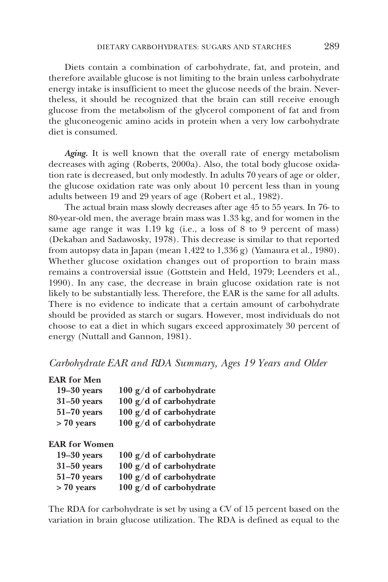Diets contain a combination of carbohydrate, fat, and protein, and therefore available glucose is not limiting to the brain unless carbohydrate energy intake is insufficient to meet the glucose needs of the brain. Nevertheless, it should be recognized that the brain can still receive enough glucose from the metabolism of the glycerol component of fat and from the gluconeogenic amino acids in protein when a very low carbohydrate diet is consumed.

*Aging.* It is well known that the overall rate of energy metabolism decreases with aging (Roberts, 2000a). Also, the total body glucose oxidation rate is decreased, but only modestly. In adults 70 years of age or older, the glucose oxidation rate was only about 10 percent less than in young adults between 19 and 29 years of age (Robert et al., 1982).

The actual brain mass slowly decreases after age 45 to 55 years. In 76- to 80-year-old men, the average brain mass was 1.33 kg, and for women in the same age range it was 1.19 kg (i.e., a loss of 8 to 9 percent of mass) (Dekaban and Sadawosky, 1978). This decrease is similar to that reported from autopsy data in Japan (mean  $1,422$  to  $1,336$  g) (Yamaura et al., 1980). Whether glucose oxidation changes out of proportion to brain mass remains a controversial issue (Gottstein and Held, 1979; Leenders et al., 1990). In any case, the decrease in brain glucose oxidation rate is not likely to be substantially less. Therefore, the EAR is the same for all adults. There is no evidence to indicate that a certain amount of carbohydrate should be provided as starch or sugars. However, most individuals do not choose to eat a diet in which sugars exceed approximately 30 percent of energy (Nuttall and Gannon, 1981).

# *Carbohydrate EAR and RDA Summary, Ages 19 Years and Older*

| <b>EAR</b> for Men |                           |
|--------------------|---------------------------|
| $19-30$ years      | 100 $g/d$ of carbohydrate |

| To oo icura   | $100 \leq$ and $100 \leq$ and $100$      |
|---------------|------------------------------------------|
| $31-50$ years | $100 \text{ g/d of car}$ of carbohydrate |
| $51-70$ years | $100 \text{ g/d of car}$ of carbohydrate |
| $> 70$ years  | $100 \text{ g/d of car}$ of carbohydrate |

#### **EAR for Women**

| $19-30$ years | $100$ g/d of carbohydrate |
|---------------|---------------------------|
| $31-50$ years | $100$ g/d of carbohydrate |
| $51-70$ years | $100$ g/d of carbohydrate |
| $> 70$ years  | $100$ g/d of carbohydrate |

The RDA for carbohydrate is set by using a CV of 15 percent based on the variation in brain glucose utilization. The RDA is defined as equal to the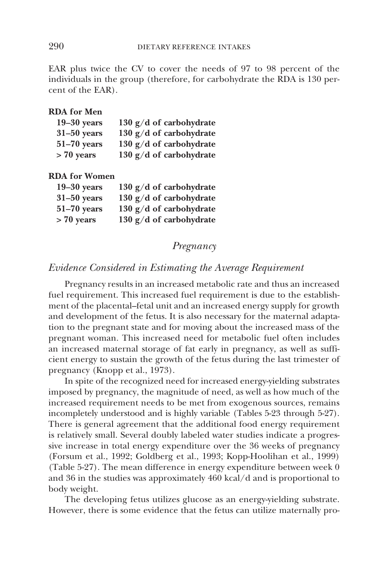EAR plus twice the CV to cover the needs of 97 to 98 percent of the individuals in the group (therefore, for carbohydrate the RDA is 130 percent of the EAR).

#### **RDA for Men**

| $19-30$ years | 130 $g/d$ of carbohydrate |
|---------------|---------------------------|
| $31-50$ years | 130 $g/d$ of carbohydrate |
| $51-70$ years | 130 $g/d$ of carbohydrate |
| $> 70$ years  | 130 $g/d$ of carbohydrate |

#### **RDA for Women**

| $19-30$ years | 130 $g/d$ of carbohydrate |
|---------------|---------------------------|
| $31-50$ years | 130 $g/d$ of carbohydrate |
| $51-70$ years | 130 $g/d$ of carbohydrate |
| $> 70$ years  | 130 $g/d$ of carbohydrate |

# *Pregnancy*

# *Evidence Considered in Estimating the Average Requirement*

Pregnancy results in an increased metabolic rate and thus an increased fuel requirement. This increased fuel requirement is due to the establishment of the placental–fetal unit and an increased energy supply for growth and development of the fetus. It is also necessary for the maternal adaptation to the pregnant state and for moving about the increased mass of the pregnant woman. This increased need for metabolic fuel often includes an increased maternal storage of fat early in pregnancy, as well as sufficient energy to sustain the growth of the fetus during the last trimester of pregnancy (Knopp et al., 1973).

In spite of the recognized need for increased energy-yielding substrates imposed by pregnancy, the magnitude of need, as well as how much of the increased requirement needs to be met from exogenous sources, remains incompletely understood and is highly variable (Tables 5-23 through 5-27). There is general agreement that the additional food energy requirement is relatively small. Several doubly labeled water studies indicate a progressive increase in total energy expenditure over the 36 weeks of pregnancy (Forsum et al., 1992; Goldberg et al., 1993; Kopp-Hoolihan et al., 1999) (Table 5-27). The mean difference in energy expenditure between week 0 and 36 in the studies was approximately 460 kcal/d and is proportional to body weight.

The developing fetus utilizes glucose as an energy-yielding substrate. However, there is some evidence that the fetus can utilize maternally pro-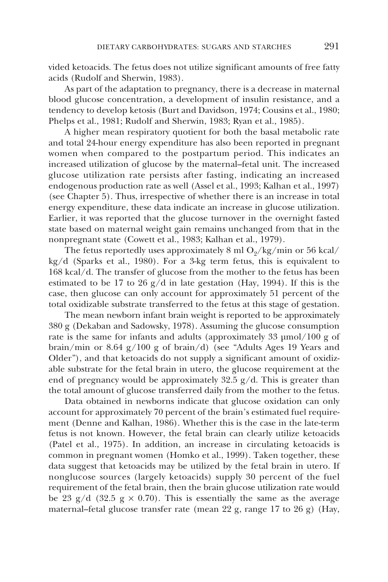vided ketoacids. The fetus does not utilize significant amounts of free fatty acids (Rudolf and Sherwin, 1983).

As part of the adaptation to pregnancy, there is a decrease in maternal blood glucose concentration, a development of insulin resistance, and a tendency to develop ketosis (Burt and Davidson, 1974; Cousins et al., 1980; Phelps et al., 1981; Rudolf and Sherwin, 1983; Ryan et al., 1985).

A higher mean respiratory quotient for both the basal metabolic rate and total 24-hour energy expenditure has also been reported in pregnant women when compared to the postpartum period. This indicates an increased utilization of glucose by the maternal–fetal unit. The increased glucose utilization rate persists after fasting, indicating an increased endogenous production rate as well (Assel et al., 1993; Kalhan et al., 1997) (see Chapter 5). Thus, irrespective of whether there is an increase in total energy expenditure, these data indicate an increase in glucose utilization. Earlier, it was reported that the glucose turnover in the overnight fasted state based on maternal weight gain remains unchanged from that in the nonpregnant state (Cowett et al., 1983; Kalhan et al., 1979).

The fetus reportedly uses approximately 8 ml  $O<sub>9</sub>/kg/min$  or 56 kcal/ kg/d (Sparks et al., 1980). For a 3-kg term fetus, this is equivalent to 168 kcal/d. The transfer of glucose from the mother to the fetus has been estimated to be 17 to 26  $g/d$  in late gestation (Hay, 1994). If this is the case, then glucose can only account for approximately 51 percent of the total oxidizable substrate transferred to the fetus at this stage of gestation.

The mean newborn infant brain weight is reported to be approximately 380 g (Dekaban and Sadowsky, 1978). Assuming the glucose consumption rate is the same for infants and adults (approximately 33 µmol/100 g of brain/min or 8.64 g/100 g of brain/d) (see "Adults Ages 19 Years and Older"), and that ketoacids do not supply a significant amount of oxidizable substrate for the fetal brain in utero, the glucose requirement at the end of pregnancy would be approximately  $32.5 \text{ g/d}$ . This is greater than the total amount of glucose transferred daily from the mother to the fetus.

Data obtained in newborns indicate that glucose oxidation can only account for approximately 70 percent of the brain's estimated fuel requirement (Denne and Kalhan, 1986). Whether this is the case in the late-term fetus is not known. However, the fetal brain can clearly utilize ketoacids (Patel et al., 1975). In addition, an increase in circulating ketoacids is common in pregnant women (Homko et al., 1999). Taken together, these data suggest that ketoacids may be utilized by the fetal brain in utero. If nonglucose sources (largely ketoacids) supply 30 percent of the fuel requirement of the fetal brain, then the brain glucose utilization rate would be 23 g/d (32.5 g  $\times$  0.70). This is essentially the same as the average maternal–fetal glucose transfer rate (mean 22 g, range 17 to 26 g) (Hay,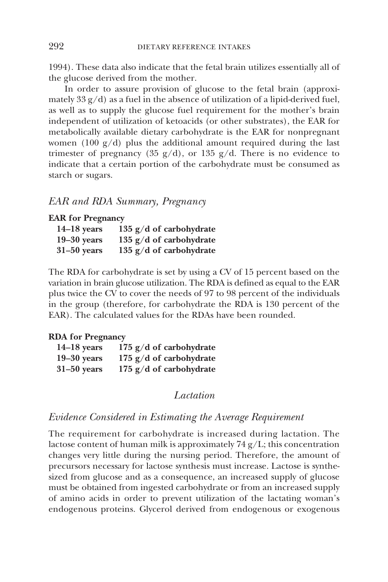1994). These data also indicate that the fetal brain utilizes essentially all of the glucose derived from the mother.

In order to assure provision of glucose to the fetal brain (approximately  $33 \text{ g}/\text{d}$ ) as a fuel in the absence of utilization of a lipid-derived fuel, as well as to supply the glucose fuel requirement for the mother's brain independent of utilization of ketoacids (or other substrates), the EAR for metabolically available dietary carbohydrate is the EAR for nonpregnant women (100  $g/d$ ) plus the additional amount required during the last trimester of pregnancy (35  $g/d$ ), or 135  $g/d$ . There is no evidence to indicate that a certain portion of the carbohydrate must be consumed as starch or sugars.

# *EAR and RDA Summary, Pregnancy*

#### **EAR for Pregnancy**

| $14-18$ years | 135 $g/d$ of carbohydrate |
|---------------|---------------------------|
| $19-30$ years | 135 $g/d$ of carbohydrate |
| $31-50$ years | 135 $g/d$ of carbohydrate |

The RDA for carbohydrate is set by using a CV of 15 percent based on the variation in brain glucose utilization. The RDA is defined as equal to the EAR plus twice the CV to cover the needs of 97 to 98 percent of the individuals in the group (therefore, for carbohydrate the RDA is 130 percent of the EAR). The calculated values for the RDAs have been rounded.

#### **RDA for Pregnancy**

| $14-18$ years | 175 $g/d$ of carbohydrate |
|---------------|---------------------------|
| $19-30$ years | 175 $g/d$ of carbohydrate |
| $31-50$ years | 175 $g/d$ of carbohydrate |

#### *Lactation*

# *Evidence Considered in Estimating the Average Requirement*

The requirement for carbohydrate is increased during lactation. The lactose content of human milk is approximately  $74$  g/L; this concentration changes very little during the nursing period. Therefore, the amount of precursors necessary for lactose synthesis must increase. Lactose is synthesized from glucose and as a consequence, an increased supply of glucose must be obtained from ingested carbohydrate or from an increased supply of amino acids in order to prevent utilization of the lactating woman's endogenous proteins. Glycerol derived from endogenous or exogenous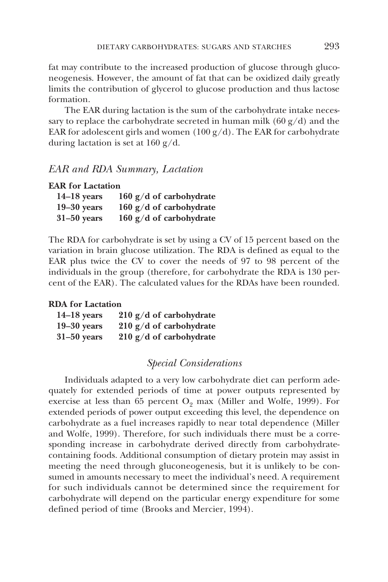fat may contribute to the increased production of glucose through gluconeogenesis. However, the amount of fat that can be oxidized daily greatly limits the contribution of glycerol to glucose production and thus lactose formation.

The EAR during lactation is the sum of the carbohydrate intake necessary to replace the carbohydrate secreted in human milk  $(60 \text{ g}/d)$  and the EAR for adolescent girls and women  $(100 \text{ g/d})$ . The EAR for carbohydrate during lactation is set at  $160 \text{ g/d}$ .

#### *EAR and RDA Summary, Lactation*

#### **EAR for Lactation**

| $14-18$ years | $160$ g/d of carbohydrate |
|---------------|---------------------------|
| $19-30$ years | 160 $g/d$ of carbohydrate |
| $31-50$ years | $160$ g/d of carbohydrate |

The RDA for carbohydrate is set by using a CV of 15 percent based on the variation in brain glucose utilization. The RDA is defined as equal to the EAR plus twice the CV to cover the needs of 97 to 98 percent of the individuals in the group (therefore, for carbohydrate the RDA is 130 percent of the EAR). The calculated values for the RDAs have been rounded.

#### **RDA for Lactation**

| $14-18$ years   | $210 \text{ g}/d$ of carbohydrate |
|-----------------|-----------------------------------|
| $19 - 30$ years | $210 \text{ g}/d$ of carbohydrate |
| $31-50$ years   | $210 \text{ g}/d$ of carbohydrate |

# *Special Considerations*

Individuals adapted to a very low carbohydrate diet can perform adequately for extended periods of time at power outputs represented by exercise at less than 65 percent  $O_9$  max (Miller and Wolfe, 1999). For extended periods of power output exceeding this level, the dependence on carbohydrate as a fuel increases rapidly to near total dependence (Miller and Wolfe, 1999). Therefore, for such individuals there must be a corresponding increase in carbohydrate derived directly from carbohydratecontaining foods. Additional consumption of dietary protein may assist in meeting the need through gluconeogenesis, but it is unlikely to be consumed in amounts necessary to meet the individual's need. A requirement for such individuals cannot be determined since the requirement for carbohydrate will depend on the particular energy expenditure for some defined period of time (Brooks and Mercier, 1994).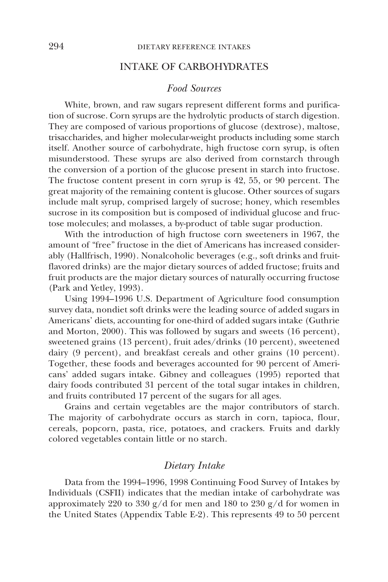#### INTAKE OF CARBOHYDRATES

#### *Food Sources*

White, brown, and raw sugars represent different forms and purification of sucrose. Corn syrups are the hydrolytic products of starch digestion. They are composed of various proportions of glucose (dextrose), maltose, trisaccharides, and higher molecular-weight products including some starch itself. Another source of carbohydrate, high fructose corn syrup, is often misunderstood. These syrups are also derived from cornstarch through the conversion of a portion of the glucose present in starch into fructose. The fructose content present in corn syrup is 42, 55, or 90 percent. The great majority of the remaining content is glucose. Other sources of sugars include malt syrup, comprised largely of sucrose; honey, which resembles sucrose in its composition but is composed of individual glucose and fructose molecules; and molasses, a by-product of table sugar production.

With the introduction of high fructose corn sweeteners in 1967, the amount of "free" fructose in the diet of Americans has increased considerably (Hallfrisch, 1990). Nonalcoholic beverages (e.g., soft drinks and fruitflavored drinks) are the major dietary sources of added fructose; fruits and fruit products are the major dietary sources of naturally occurring fructose (Park and Yetley, 1993).

Using 1994–1996 U.S. Department of Agriculture food consumption survey data, nondiet soft drinks were the leading source of added sugars in Americans' diets, accounting for one-third of added sugars intake (Guthrie and Morton, 2000). This was followed by sugars and sweets (16 percent), sweetened grains (13 percent), fruit ades/drinks (10 percent), sweetened dairy (9 percent), and breakfast cereals and other grains (10 percent). Together, these foods and beverages accounted for 90 percent of Americans' added sugars intake. Gibney and colleagues (1995) reported that dairy foods contributed 31 percent of the total sugar intakes in children, and fruits contributed 17 percent of the sugars for all ages.

Grains and certain vegetables are the major contributors of starch. The majority of carbohydrate occurs as starch in corn, tapioca, flour, cereals, popcorn, pasta, rice, potatoes, and crackers. Fruits and darkly colored vegetables contain little or no starch.

# *Dietary Intake*

Data from the 1994–1996, 1998 Continuing Food Survey of Intakes by Individuals (CSFII) indicates that the median intake of carbohydrate was approximately 220 to 330 g/d for men and 180 to 230 g/d for women in the United States (Appendix Table E-2). This represents 49 to 50 percent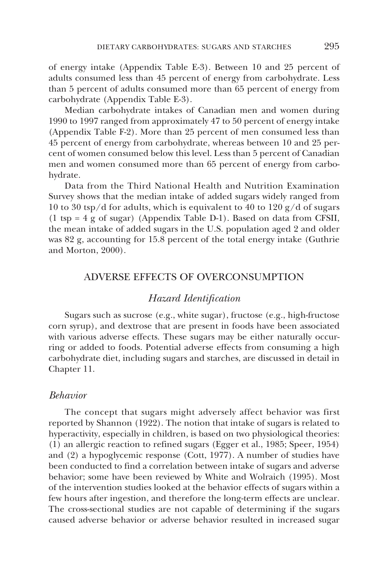of energy intake (Appendix Table E-3). Between 10 and 25 percent of adults consumed less than 45 percent of energy from carbohydrate. Less than 5 percent of adults consumed more than 65 percent of energy from carbohydrate (Appendix Table E-3).

Median carbohydrate intakes of Canadian men and women during 1990 to 1997 ranged from approximately 47 to 50 percent of energy intake (Appendix Table F-2). More than 25 percent of men consumed less than 45 percent of energy from carbohydrate, whereas between 10 and 25 percent of women consumed below this level. Less than 5 percent of Canadian men and women consumed more than 65 percent of energy from carbohydrate.

Data from the Third National Health and Nutrition Examination Survey shows that the median intake of added sugars widely ranged from 10 to 30 tsp/d for adults, which is equivalent to 40 to 120  $g/d$  of sugars (1 tsp = 4 g of sugar) (Appendix Table D-1). Based on data from CFSII, the mean intake of added sugars in the U.S. population aged 2 and older was 82 g, accounting for 15.8 percent of the total energy intake (Guthrie and Morton, 2000).

#### ADVERSE EFFECTS OF OVERCONSUMPTION

#### *Hazard Identification*

Sugars such as sucrose (e.g., white sugar), fructose (e.g., high-fructose corn syrup), and dextrose that are present in foods have been associated with various adverse effects. These sugars may be either naturally occurring or added to foods. Potential adverse effects from consuming a high carbohydrate diet, including sugars and starches, are discussed in detail in Chapter 11.

#### *Behavior*

The concept that sugars might adversely affect behavior was first reported by Shannon (1922). The notion that intake of sugars is related to hyperactivity, especially in children, is based on two physiological theories: (1) an allergic reaction to refined sugars (Egger et al., 1985; Speer, 1954) and (2) a hypoglycemic response (Cott, 1977). A number of studies have been conducted to find a correlation between intake of sugars and adverse behavior; some have been reviewed by White and Wolraich (1995). Most of the intervention studies looked at the behavior effects of sugars within a few hours after ingestion, and therefore the long-term effects are unclear. The cross-sectional studies are not capable of determining if the sugars caused adverse behavior or adverse behavior resulted in increased sugar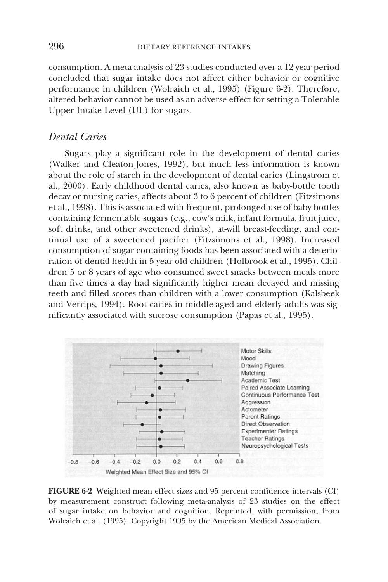consumption. A meta-analysis of 23 studies conducted over a 12-year period concluded that sugar intake does not affect either behavior or cognitive performance in children (Wolraich et al., 1995) (Figure 6-2). Therefore, altered behavior cannot be used as an adverse effect for setting a Tolerable Upper Intake Level (UL) for sugars.

#### *Dental Caries*

Sugars play a significant role in the development of dental caries (Walker and Cleaton-Jones, 1992), but much less information is known about the role of starch in the development of dental caries (Lingstrom et al., 2000). Early childhood dental caries, also known as baby-bottle tooth decay or nursing caries, affects about 3 to 6 percent of children (Fitzsimons et al., 1998). This is associated with frequent, prolonged use of baby bottles containing fermentable sugars (e.g., cow's milk, infant formula, fruit juice, soft drinks, and other sweetened drinks), at-will breast-feeding, and continual use of a sweetened pacifier (Fitzsimons et al., 1998). Increased consumption of sugar-containing foods has been associated with a deterioration of dental health in 5-year-old children (Holbrook et al., 1995). Children 5 or 8 years of age who consumed sweet snacks between meals more than five times a day had significantly higher mean decayed and missing teeth and filled scores than children with a lower consumption (Kalsbeek and Verrips, 1994). Root caries in middle-aged and elderly adults was significantly associated with sucrose consumption (Papas et al., 1995).



**FIGURE 6-2** Weighted mean effect sizes and 95 percent confidence intervals (CI) by measurement construct following meta-analysis of 23 studies on the effect of sugar intake on behavior and cognition. Reprinted, with permission, from Wolraich et al. (1995). Copyright 1995 by the American Medical Association.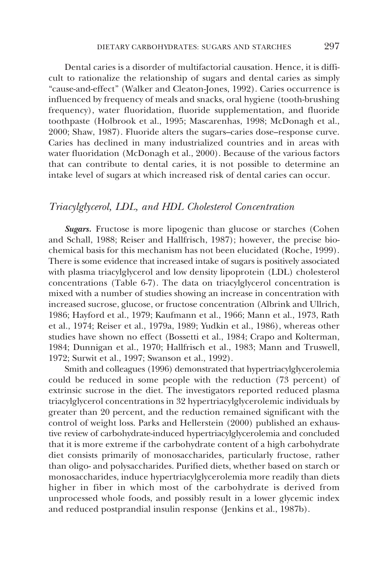Dental caries is a disorder of multifactorial causation. Hence, it is difficult to rationalize the relationship of sugars and dental caries as simply "cause-and-effect" (Walker and Cleaton-Jones, 1992). Caries occurrence is influenced by frequency of meals and snacks, oral hygiene (tooth-brushing frequency), water fluoridation, fluoride supplementation, and fluoride toothpaste (Holbrook et al., 1995; Mascarenhas, 1998; McDonagh et al., 2000; Shaw, 1987). Fluoride alters the sugars–caries dose–response curve. Caries has declined in many industrialized countries and in areas with water fluoridation (McDonagh et al., 2000). Because of the various factors that can contribute to dental caries, it is not possible to determine an intake level of sugars at which increased risk of dental caries can occur.

#### *Triacylglycerol, LDL, and HDL Cholesterol Concentration*

*Sugars.* Fructose is more lipogenic than glucose or starches (Cohen and Schall, 1988; Reiser and Hallfrisch, 1987); however, the precise biochemical basis for this mechanism has not been elucidated (Roche, 1999). There is some evidence that increased intake of sugars is positively associated with plasma triacylglycerol and low density lipoprotein (LDL) cholesterol concentrations (Table 6-7). The data on triacylglycerol concentration is mixed with a number of studies showing an increase in concentration with increased sucrose, glucose, or fructose concentration (Albrink and Ullrich, 1986; Hayford et al., 1979; Kaufmann et al., 1966; Mann et al., 1973, Rath et al., 1974; Reiser et al., 1979a, 1989; Yudkin et al., 1986), whereas other studies have shown no effect (Bossetti et al., 1984; Crapo and Kolterman, 1984; Dunnigan et al., 1970; Hallfrisch et al., 1983; Mann and Truswell, 1972; Surwit et al., 1997; Swanson et al., 1992).

Smith and colleagues (1996) demonstrated that hypertriacylglycerolemia could be reduced in some people with the reduction (73 percent) of extrinsic sucrose in the diet. The investigators reported reduced plasma triacylglycerol concentrations in 32 hypertriacylglycerolemic individuals by greater than 20 percent, and the reduction remained significant with the control of weight loss. Parks and Hellerstein (2000) published an exhaustive review of carbohydrate-induced hypertriacylglycerolemia and concluded that it is more extreme if the carbohydrate content of a high carbohydrate diet consists primarily of monosaccharides, particularly fructose, rather than oligo- and polysaccharides. Purified diets, whether based on starch or monosaccharides, induce hypertriacylglycerolemia more readily than diets higher in fiber in which most of the carbohydrate is derived from unprocessed whole foods, and possibly result in a lower glycemic index and reduced postprandial insulin response (Jenkins et al., 1987b).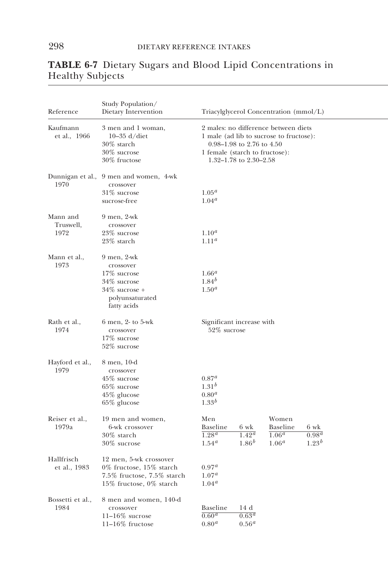| Reference                     | Study Population/<br>Dietary Intervention                                                                    | Triacylglycerol Concentration (mmol/L)                                                                                                                                                                   |
|-------------------------------|--------------------------------------------------------------------------------------------------------------|----------------------------------------------------------------------------------------------------------------------------------------------------------------------------------------------------------|
| Kaufmann<br>et al., 1966      | 3 men and 1 woman,<br>$10-35$ d/diet<br>30% starch<br>30% sucrose<br>30% fructose                            | 2 males: no difference between diets<br>1 male (ad lib to sucrose to fructose):<br>$0.98 - 1.98$ to 2.76 to 4.50<br>1 female (starch to fructose):<br>1.32-1.78 to 2.30-2.58                             |
| 1970                          | Dunnigan et al., 9 men and women, 4-wk<br>crossover<br>31\% sucrose<br>sucrose-free                          | 1.05 <sup>a</sup><br>$1.04^{\mu}$                                                                                                                                                                        |
| Mann and<br>Truswell,<br>1972 | 9 men, 2-wk<br>crossover<br>23% sucrose<br>23% starch                                                        | $1.10^{a}$<br>1.11 <sup>a</sup>                                                                                                                                                                          |
| Mann et al.,<br>1973          | 9 men, 2-wk<br>crossover<br>17% sucrose<br>34% sucrose<br>$34\%$ sucrose +<br>polyunsaturated<br>fatty acids | 1.66 <sup>a</sup><br>$1.84^{b}$<br>1.50 <sup>a</sup>                                                                                                                                                     |
| Rath et al.,<br>1974          | 6 men, 2- to 5-wk<br>crossover<br>17% sucrose<br>52% sucrose                                                 | Significant increase with<br>52% sucrose                                                                                                                                                                 |
| Hayford et al.,<br>1979       | 8 men, 10-d<br>crossover<br>45% sucrose<br>65% sucrose<br>45% glucose<br>65% glucose                         | $0.87^{a}$<br>$1.31^{b}$<br>$0.80^{a}$<br>$1.33^{b}$                                                                                                                                                     |
| Reiser et al.,<br>1979a       | 19 men and women,<br>6-wk crossover<br>30% starch<br>30% sucrose                                             | Men<br>Women<br>Baseline<br>Baseline<br>6 wk<br>6 wk<br>$1.42^{\overline{a}}$<br>$\overline{1.28^a}$<br>$\overline{1.06^a}$<br>0.98 <sup>a</sup><br>$1.86^{b}$<br>$1.23^{b}$<br>$1.54^{a}$<br>$1.06^{a}$ |
| Hallfrisch<br>et al., 1983    | 12 men, 5-wk crossover<br>0% fructose, 15% starch<br>7.5% fructose, 7.5% starch<br>15% fructose, 0% starch   | $0.97^{a}$<br>$1.07^{a}$<br>1.04 <sup>a</sup>                                                                                                                                                            |
| Bossetti et al.,<br>1984      | 8 men and women, 140-d<br>crossover<br>$11-16\%$ sucrose<br>$11-16\%$ fructose                               | Baseline<br>14 d<br>$0.60^{a}$<br>$0.63^{a}$<br>$0.56^{a}$<br>$0.80^{a}$                                                                                                                                 |

# **TABLE 6-7** Dietary Sugars and Blood Lipid Concentrations in Healthy Subjects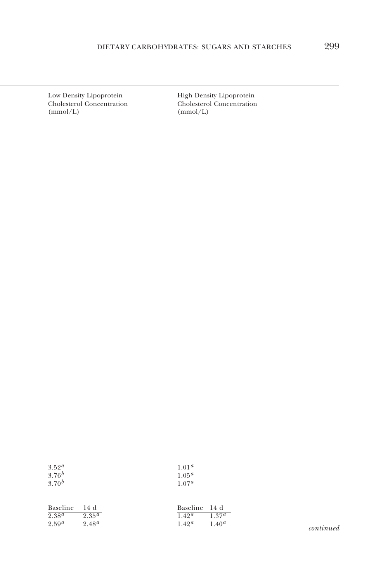# DIETARY CARBOHYDRATES: SUGARS AND STARCHES 299

Cholesterol Concentration Cholesterol Concentration  $(mmol/L)$  (mmol/L)

Low Density Lipoprotein High Density Lipoprotein

| $3.52^{\circ}$<br>$3.76^{b}$ | $1.01^{\mu}$<br>$1.05^{a}$ |
|------------------------------|----------------------------|
| $3.70^{b}$                   | $1.07^{\mu}$               |
|                              |                            |

| Baseline 14 d     |              | Baseline 14 d     |                   |
|-------------------|--------------|-------------------|-------------------|
| $2.38^{a}$        | $2.35^{\mu}$ | $1.42^a$ $1.37^a$ |                   |
| 2.59 <sup>a</sup> | $2.48^{a}$   | $1.42^{a}$        | 1.40 <sup>a</sup> |

*continued*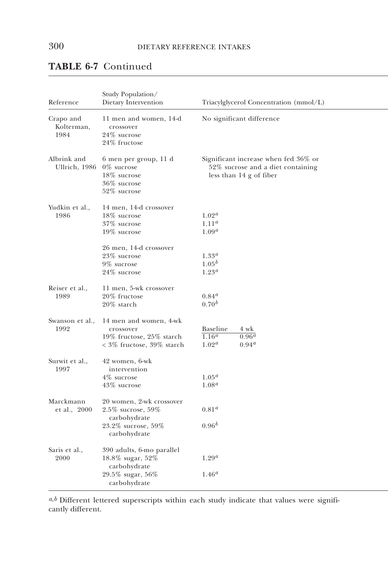| Reference                       | Study Population/<br>Dietary Intervention                                                               | Triacylglycerol Concentration (mmol/L)                                                               |
|---------------------------------|---------------------------------------------------------------------------------------------------------|------------------------------------------------------------------------------------------------------|
| Crapo and<br>Kolterman,<br>1984 | 11 men and women, 14-d<br>crossover<br>24\% sucrose<br>24% fructose                                     | No significant difference                                                                            |
| Albrink and<br>Ullrich, 1986    | 6 men per group, 11 d<br>0% sucrose<br>18% sucrose<br>36% sucrose<br>52% sucrose                        | Significant increase when fed 36% or<br>52% sucrose and a diet containing<br>less than 14 g of fiber |
| Yudkin et al.,<br>1986          | 14 men, 14-d crossover<br>18% sucrose<br>37% sucrose<br>19% sucrose                                     | 1.02 <sup>a</sup><br>1.11 <sup>a</sup><br>1.09 <sup>a</sup>                                          |
|                                 | 26 men, 14-d crossover<br>23% sucrose<br>9% sucrose<br>24% sucrose                                      | $1.33^{a}$<br>$1.05^{b}$<br>$1.23^{a}$                                                               |
| Reiser et al.,<br>1989          | 11 men, 5-wk crossover<br>20% fructose<br>20% starch                                                    | $0.84^{a}$<br>$0.70^{b}$                                                                             |
| Swanson et al.,<br>1992         | 14 men and women, 4-wk<br>crossover<br>19% fructose, 25% starch<br>< 3% fructose, 39% starch            | Baseline<br>4 wk<br>1.16 <sup>a</sup><br>0.96 <sup>a</sup><br>1.02 <sup>a</sup><br>$0.94^{a}$        |
| Surwit et al.,<br>1997          | 42 women, 6-wk<br>intervention<br>4% sucrose<br>43% sucrose                                             | 1.05 <sup>a</sup><br>1.08 <sup>a</sup>                                                               |
| Marckmann<br>et al., 2000       | 20 women, 2-wk crossover<br>$2.5\%$ sucrose, 59%<br>carbohydrate<br>23.2% sucrose, 59%<br>carbohydrate  | 0.81 <sup>a</sup><br>$0.96^{b}$                                                                      |
| Saris et al.,<br>2000           | 390 adults, 6-mo parallel<br>18.8% sugar, 52%<br>carbohydrate<br>$29.5\%$ sugar, $56\%$<br>carbohydrate | 1.29 <sup>a</sup><br>$1.46^{a}$                                                                      |

# **TABLE 6-7** Continued

*a,b* Different lettered superscripts within each study indicate that values were significantly different.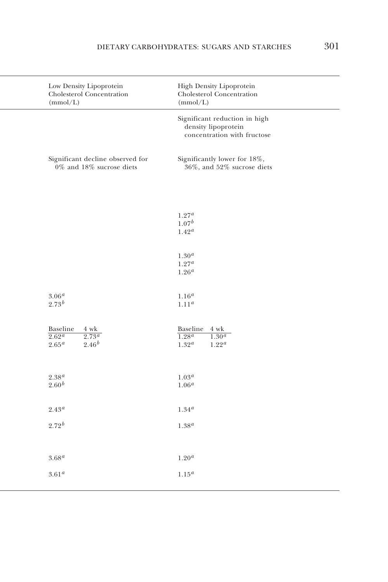| Low Density Lipoprotein<br>Cholesterol Concentration<br>(mmol/L)                       | High Density Lipoprotein<br>Cholesterol Concentration<br>(mmol/L)                               |
|----------------------------------------------------------------------------------------|-------------------------------------------------------------------------------------------------|
|                                                                                        | Significant reduction in high<br>density lipoprotein<br>concentration with fructose             |
| Significant decline observed for<br>$0\%$ and $18\%$ sucrose diets                     | Significantly lower for 18%,<br>36%, and 52% sucrose diets                                      |
|                                                                                        | $1.27^{\textit{a}}$<br>$1.07^{b}$<br>$1.42^{\,a}$                                               |
|                                                                                        | 1.30 <sup>a</sup><br>$1.27^{\,a}$<br>1.26 <sup>a</sup>                                          |
| $3.06^{\it a}$<br>$2.73^{b}$                                                           | $1.16^{a}$<br>1.11 <sup>a</sup>                                                                 |
| Baseline<br>4 wk<br>2.62 <sup>a</sup><br>$2.73^{a}$<br>2.65 <sup>a</sup><br>$2.46^{b}$ | Baseline<br>4 wk<br>$\overline{1.28^a}$<br>1.30 <sup>a</sup><br>1.32 <sup>a</sup><br>$1.22^{a}$ |
| $2.38^{a}$<br>$2.60^{b}$                                                               | 1.03 <sup>a</sup><br>1.06 <sup>a</sup>                                                          |
| $2.43^{a}$                                                                             | $1.34^{a}$                                                                                      |
| $2.72^{b}$                                                                             | $1.38^{a}$                                                                                      |
| 3.68 <sup>a</sup>                                                                      | 1.20 <sup>a</sup>                                                                               |
| 3.61 <sup>a</sup>                                                                      | $1.15^{\it a}$                                                                                  |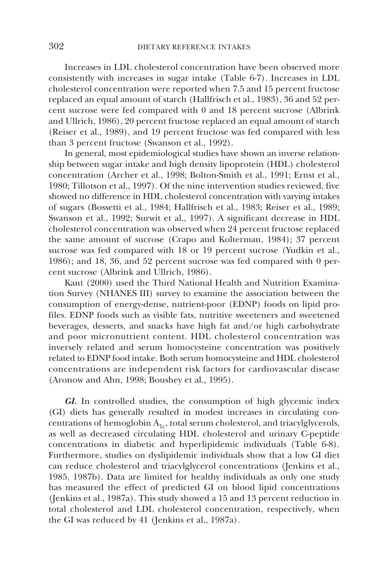Increases in LDL cholesterol concentration have been observed more consistently with increases in sugar intake (Table 6-7). Increases in LDL cholesterol concentration were reported when 7.5 and 15 percent fructose replaced an equal amount of starch (Hallfrisch et al., 1983), 36 and 52 percent sucrose were fed compared with 0 and 18 percent sucrose (Albrink and Ullrich, 1986), 20 percent fructose replaced an equal amount of starch (Reiser et al., 1989), and 19 percent fructose was fed compared with less than 3 percent fructose (Swanson et al., 1992).

In general, most epidemiological studies have shown an inverse relationship between sugar intake and high density lipoprotein (HDL) cholesterol concentration (Archer et al., 1998; Bolton-Smith et al., 1991; Ernst et al., 1980; Tillotson et al., 1997). Of the nine intervention studies reviewed, five showed no difference in HDL cholesterol concentration with varying intakes of sugars (Bossetti et al., 1984; Hallfrisch et al., 1983; Reiser et al., 1989; Swanson et al., 1992; Surwit et al., 1997). A significant decrease in HDL cholesterol concentration was observed when 24 percent fructose replaced the same amount of sucrose (Crapo and Kolterman, 1984); 37 percent sucrose was fed compared with 18 or 19 percent sucrose (Yudkin et al., 1986); and 18, 36, and 52 percent sucrose was fed compared with 0 percent sucrose (Albrink and Ullrich, 1986).

Kant (2000) used the Third National Health and Nutrition Examination Survey (NHANES III) survey to examine the association between the consumption of energy-dense, nutrient-poor (EDNP) foods on lipid profiles. EDNP foods such as visible fats, nutritive sweeteners and sweetened beverages, desserts, and snacks have high fat and/or high carbohydrate and poor micronutrient content. HDL cholesterol concentration was inversely related and serum homocysteine concentration was positively related to EDNP food intake. Both serum homocysteine and HDL cholesterol concentrations are independent risk factors for cardiovascular disease (Aronow and Ahn, 1998; Boushey et al., 1995).

*GI.* In controlled studies, the consumption of high glycemic index (GI) diets has generally resulted in modest increases in circulating concentrations of hemoglobin  $A_{1c}$ , total serum cholesterol, and triacylglycerols, as well as decreased circulating HDL cholesterol and urinary C-peptide concentrations in diabetic and hyperlipidemic individuals (Table 6-8). Furthermore, studies on dyslipidemic individuals show that a low GI diet can reduce cholesterol and triacylglycerol concentrations (Jenkins et al., 1985, 1987b). Data are limited for healthy individuals as only one study has measured the effect of predicted GI on blood lipid concentrations (Jenkins et al., 1987a). This study showed a 15 and 13 percent reduction in total cholesterol and LDL cholesterol concentration, respectively, when the GI was reduced by 41 (Jenkins et al., 1987a).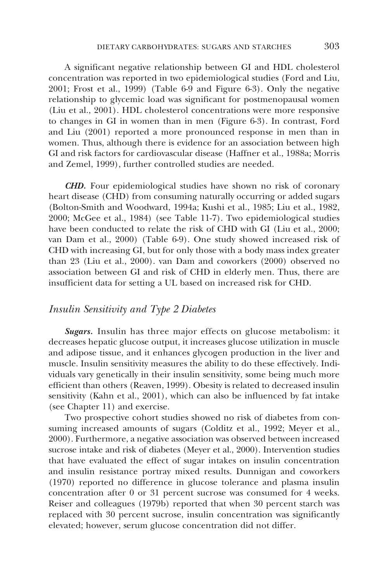A significant negative relationship between GI and HDL cholesterol concentration was reported in two epidemiological studies (Ford and Liu, 2001; Frost et al., 1999) (Table 6-9 and Figure 6-3). Only the negative relationship to glycemic load was significant for postmenopausal women (Liu et al., 2001). HDL cholesterol concentrations were more responsive to changes in GI in women than in men (Figure 6-3). In contrast, Ford and Liu (2001) reported a more pronounced response in men than in women. Thus, although there is evidence for an association between high GI and risk factors for cardiovascular disease (Haffner et al., 1988a; Morris and Zemel, 1999), further controlled studies are needed.

*CHD.* Four epidemiological studies have shown no risk of coronary heart disease (CHD) from consuming naturally occurring or added sugars (Bolton-Smith and Woodward, 1994a; Kushi et al., 1985; Liu et al., 1982, 2000; McGee et al., 1984) (see Table 11-7). Two epidemiological studies have been conducted to relate the risk of CHD with GI (Liu et al., 2000; van Dam et al., 2000) (Table 6-9). One study showed increased risk of CHD with increasing GI, but for only those with a body mass index greater than 23 (Liu et al., 2000). van Dam and coworkers (2000) observed no association between GI and risk of CHD in elderly men. Thus, there are insufficient data for setting a UL based on increased risk for CHD.

# *Insulin Sensitivity and Type 2 Diabetes*

*Sugars.* Insulin has three major effects on glucose metabolism: it decreases hepatic glucose output, it increases glucose utilization in muscle and adipose tissue, and it enhances glycogen production in the liver and muscle. Insulin sensitivity measures the ability to do these effectively. Individuals vary genetically in their insulin sensitivity, some being much more efficient than others (Reaven, 1999). Obesity is related to decreased insulin sensitivity (Kahn et al., 2001), which can also be influenced by fat intake (see Chapter 11) and exercise.

Two prospective cohort studies showed no risk of diabetes from consuming increased amounts of sugars (Colditz et al., 1992; Meyer et al., 2000). Furthermore, a negative association was observed between increased sucrose intake and risk of diabetes (Meyer et al., 2000). Intervention studies that have evaluated the effect of sugar intakes on insulin concentration and insulin resistance portray mixed results. Dunnigan and coworkers (1970) reported no difference in glucose tolerance and plasma insulin concentration after 0 or 31 percent sucrose was consumed for 4 weeks. Reiser and colleagues (1979b) reported that when 30 percent starch was replaced with 30 percent sucrose, insulin concentration was significantly elevated; however, serum glucose concentration did not differ.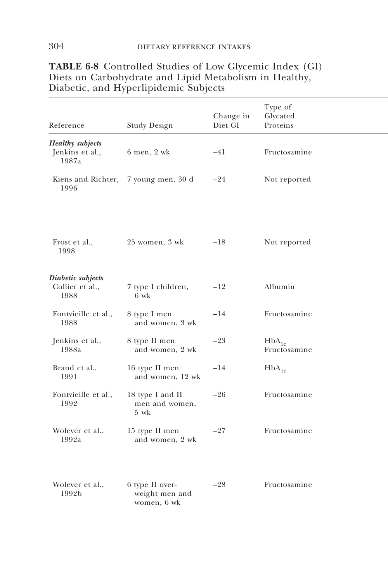| Reference                                           | <b>Study Design</b>                                  | Change in<br>Diet GI | Type of<br>Glycated<br>Proteins |
|-----------------------------------------------------|------------------------------------------------------|----------------------|---------------------------------|
| <b>Healthy subjects</b><br>Jenkins et al.,<br>1987a | $6$ men, $2$ wk                                      | $-41$                | Fructosamine                    |
| 1996                                                | Kiens and Richter, 7 young men, 30 d                 | $-24$                | Not reported                    |
| Frost et al.,<br>1998                               | 25 women, 3 wk                                       | $-18$                | Not reported                    |
| Diabetic subjects<br>Collier et al.,<br>1988        | 7 type I children,<br>6 wk                           | $-12$                | Albumin                         |
| Fontvieille et al.,<br>1988                         | 8 type I men<br>and women, 3 wk                      | $-14$                | Fructosamine                    |
| Jenkins et al.,<br>1988a                            | 8 type II men<br>and women, 2 wk                     | $-23$                | $HbA_{1c}$<br>Fructosamine      |
| Brand et al.,<br>1991                               | 16 type II men<br>and women, 12 wk                   | $-14$                | $HbA_{1c}$                      |
| Fontvieille et al.,<br>1992                         | 18 type I and II<br>men and women,<br>$5 \text{ wk}$ | $-26$                | Fructosamine                    |
| Wolever et al.,<br>1992a                            | 15 type II men<br>and women, 2 wk                    | $-27$                | Fructosamine                    |
| Wolever et al.,<br>1992b                            | 6 type II over-<br>weight men and<br>women, 6 wk     | $-28$                | Fructosamine                    |

# **TABLE 6-8** Controlled Studies of Low Glycemic Index (GI) Diets on Carbohydrate and Lipid Metabolism in Healthy, Diabetic, and Hyperlipidemic Subjects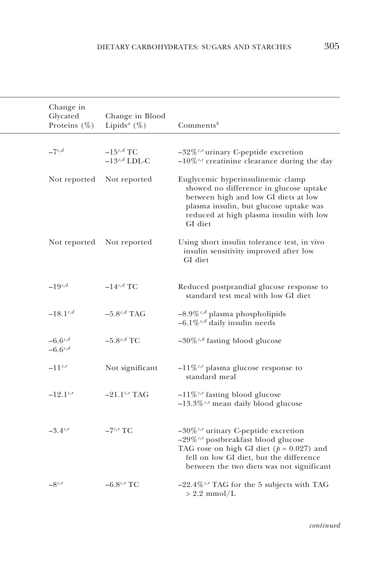| Change in<br>Glycated<br>Proteins $(\%)$ | Change in Blood<br>Lipids <sup><i>a</i></sup> $(\%)$ | Comments <sup><math>b</math></sup>                                                                                                                                                                                                            |
|------------------------------------------|------------------------------------------------------|-----------------------------------------------------------------------------------------------------------------------------------------------------------------------------------------------------------------------------------------------|
| $-7^{c,d}$                               | $-15^{c,d}$ TC<br>$-13^{\mathit{c,d}}$ LDL-C         | $-32\%$ <sup>c,e</sup> urinary C-peptide excretion<br>$-10\%$ <sup>c,e</sup> creatinine clearance during the day                                                                                                                              |
| Not reported                             | Not reported                                         | Euglycemic hyperinsulinemic clamp<br>showed no difference in glucose uptake<br>between high and low GI diets at low<br>plasma insulin, but glucose uptake was<br>reduced at high plasma insulin with low<br>GI diet                           |
| Not reported                             | Not reported                                         | Using short insulin tolerance test, in vivo<br>insulin sensitivity improved after low<br>GI diet                                                                                                                                              |
| $-19^{c,d}$                              | $-14^{c,d}$ TC                                       | Reduced postprandial glucose response to<br>standard test meal with low GI diet                                                                                                                                                               |
| $-18.1^{c,d}$                            | $-5.8$ <sup>c,d</sup> TAG                            | $-8.9\%$ <sup>c,d</sup> plasma phospholipids<br>$-6.1\%$ <sup>c,d</sup> daily insulin needs                                                                                                                                                   |
| $-6.6^{c,d}$<br>$-6.6^{c,d}$             | $-5.8^{c,d}$ TC                                      | $-30\%$ <sup>c,d</sup> fasting blood glucose                                                                                                                                                                                                  |
| $-11^{c,e}$                              | Not significant                                      | $-11\%$ <sup>c,e</sup> plasma glucose response to<br>standard meal                                                                                                                                                                            |
| $-12.1$ <sup>c,e</sup>                   | $-21.1$ <sup>c,e</sup> TAG                           | $-11\%$ <sup>c,e</sup> fasting blood glucose<br>$-13.3\%$ <sup>c,e</sup> mean daily blood glucose                                                                                                                                             |
| $-3.4^{\ell,e}$                          | $-7^{c,e}$ TC                                        | $-30\%$ <sup>c,e</sup> urinary C-peptide excretion<br>-29% <sup>c,e</sup> postbreakfast blood glucose<br>TAG rose on high GI diet ( $p = 0.027$ ) and<br>fell on low GI diet, but the difference<br>between the two diets was not significant |
| $-8^{c,e}$                               | $-6.8^{c,e}$ TC                                      | $-22.4\%$ <sup>c,e</sup> TAG for the 5 subjects with TAG<br>$> 2.2$ mmol/L                                                                                                                                                                    |

*continued*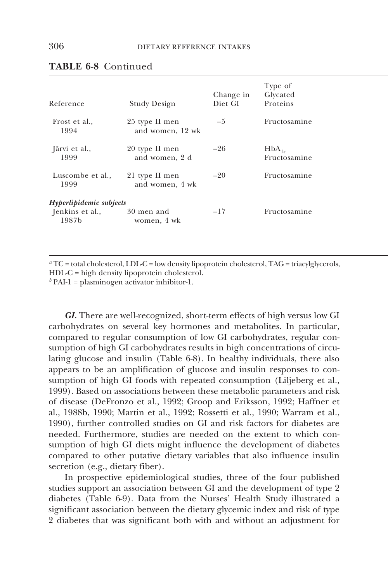| Reference                                           | <b>Study Design</b>                | Change in<br>Diet GI | Type of<br>Glycated<br>Proteins |
|-----------------------------------------------------|------------------------------------|----------------------|---------------------------------|
| Frost et al.,<br>1994                               | 25 type II men<br>and women, 12 wk | $-5$                 | Fructosamine                    |
| Järvi et al.,<br>1999                               | 20 type II men<br>and women, 2 d   | $-26$                | $HbA_{1c}$<br>Fructosamine      |
| Luscombe et al.,<br>1999                            | 21 type II men<br>and women, 4 wk  | $-20$                | Fructosamine                    |
| Hyperlipidemic subjects<br>Jenkins et al.,<br>1987b | 30 men and<br>women, 4 wk          | $-17$                | Fructosamine                    |

## **TABLE 6-8** Continued

*<sup>a</sup>* TC = total cholesterol, LDL-C = low density lipoprotein cholesterol, TAG = triacylglycerols, HDL-C = high density lipoprotein cholesterol.

 $<sup>b</sup>$  PAI-1 = plasminogen activator inhibitor-1.</sup>

*GI.* There are well-recognized, short-term effects of high versus low GI carbohydrates on several key hormones and metabolites. In particular, compared to regular consumption of low GI carbohydrates, regular consumption of high GI carbohydrates results in high concentrations of circulating glucose and insulin (Table 6-8). In healthy individuals, there also appears to be an amplification of glucose and insulin responses to consumption of high GI foods with repeated consumption (Liljeberg et al., 1999). Based on associations between these metabolic parameters and risk of disease (DeFronzo et al., 1992; Groop and Eriksson, 1992; Haffner et al., 1988b, 1990; Martin et al., 1992; Rossetti et al., 1990; Warram et al., 1990), further controlled studies on GI and risk factors for diabetes are needed. Furthermore, studies are needed on the extent to which consumption of high GI diets might influence the development of diabetes compared to other putative dietary variables that also influence insulin secretion (e.g., dietary fiber).

In prospective epidemiological studies, three of the four published studies support an association between GI and the development of type 2 diabetes (Table 6-9). Data from the Nurses' Health Study illustrated a significant association between the dietary glycemic index and risk of type 2 diabetes that was significant both with and without an adjustment for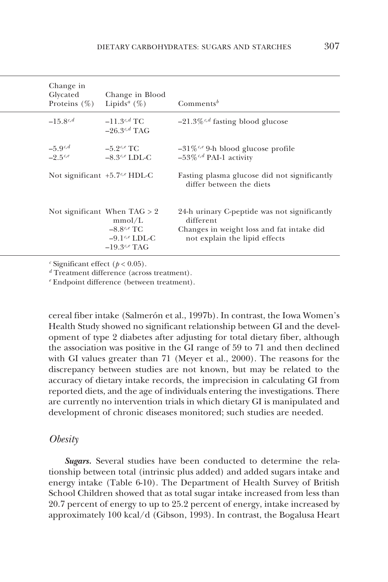| Change in<br>Glycated<br>Proteins $(\%)$    | Change in Blood<br>Lipids <sup><i>a</i></sup> $(\%)$                                                                     | Comments <sup>b</sup>                                                                                                                   |
|---------------------------------------------|--------------------------------------------------------------------------------------------------------------------------|-----------------------------------------------------------------------------------------------------------------------------------------|
| $-15.8^{c,d}$                               | $-11.3^{c,d}$ TC<br>$-26.3$ <sup>c,d</sup> TAG                                                                           | $-21.3\%$ <sup>c,d</sup> fasting blood glucose                                                                                          |
| $-5.9^{c,d}$<br>$-2.5^{c,e}$                | $-5.2$ <sup>c,e</sup> TC<br>$-8.3$ <sup>c,e</sup> LDL-C                                                                  | $-31\%$ <sup>c,e</sup> 9-h blood glucose profile<br>$-53\%$ <sup>c,d</sup> PAI-1 activity                                               |
| Not significant $+5.7$ <sup>c,e</sup> HDL-C |                                                                                                                          | Fasting plasma glucose did not significantly<br>differ between the diets                                                                |
|                                             | Not significant When $TAG > 2$<br>mmol/L<br>$-8.8$ <sup>c,e</sup> TC<br>$-9.1$ <sup>c,e</sup> LDL-C<br>$-19.3^{c,e}$ TAG | 24-h urinary C-peptide was not significantly<br>different<br>Changes in weight loss and fat intake did<br>not explain the lipid effects |
| $C \sim 0.05$                               |                                                                                                                          |                                                                                                                                         |

Significant effect ( $p < 0.05$ ).

*<sup>d</sup>* Treatment difference (across treatment).

*<sup>e</sup>* Endpoint difference (between treatment).

cereal fiber intake (Salmerón et al., 1997b). In contrast, the Iowa Women's Health Study showed no significant relationship between GI and the development of type 2 diabetes after adjusting for total dietary fiber, although the association was positive in the GI range of 59 to 71 and then declined with GI values greater than 71 (Meyer et al., 2000). The reasons for the discrepancy between studies are not known, but may be related to the accuracy of dietary intake records, the imprecision in calculating GI from reported diets, and the age of individuals entering the investigations. There are currently no intervention trials in which dietary GI is manipulated and development of chronic diseases monitored; such studies are needed.

## *Obesity*

*Sugars.* Several studies have been conducted to determine the relationship between total (intrinsic plus added) and added sugars intake and energy intake (Table 6-10). The Department of Health Survey of British School Children showed that as total sugar intake increased from less than 20.7 percent of energy to up to 25.2 percent of energy, intake increased by approximately 100 kcal/d (Gibson, 1993). In contrast, the Bogalusa Heart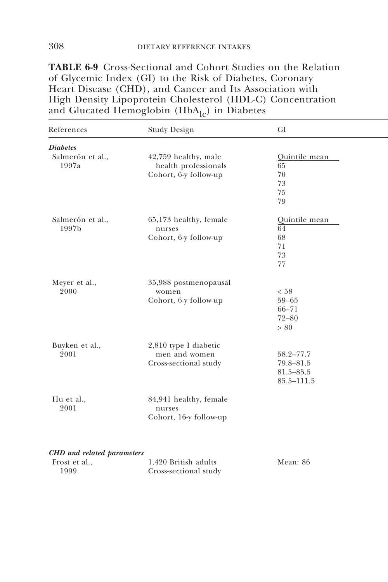**TABLE 6-9** Cross-Sectional and Cohort Studies on the Relation of Glycemic Index (GI) to the Risk of Diabetes, Coronary Heart Disease (CHD), and Cancer and Its Association with High Density Lipoprotein Cholesterol (HDL-C) Concentration and Glucated Hemoglobin ( $HbA<sub>1c</sub>$ ) in Diabetes

| References                        | <b>Study Design</b>                                                   | GI                                                        |
|-----------------------------------|-----------------------------------------------------------------------|-----------------------------------------------------------|
| <i>Diabetes</i>                   |                                                                       |                                                           |
| Salmerón et al.,<br>1997a         | 42,759 healthy, male<br>health professionals<br>Cohort, 6-y follow-up | Quintile mean<br>65<br>70<br>73<br>75<br>79               |
| Salmerón et al.,<br>1997b         | 65,173 healthy, female<br>nurses<br>Cohort, 6-y follow-up             | Quintile mean<br>64<br>68<br>71<br>73<br>77               |
| Meyer et al.,<br>2000             | 35,988 postmenopausal<br>women<br>Cohort, 6-y follow-up               | < 58<br>$59 - 65$<br>66-71<br>$72 - 80$<br>> 80           |
| Buyken et al.,<br>2001            | 2,810 type I diabetic<br>men and women<br>Cross-sectional study       | 58.2-77.7<br>$79.8 - 81.5$<br>$81.5 - 85.5$<br>85.5-111.5 |
| Hu et al.,<br>2001                | 84,941 healthy, female<br>nurses<br>Cohort, 16-y follow-up            |                                                           |
| <b>CHD</b> and related parameters |                                                                       |                                                           |
| Frost et al.,<br>1999             | 1,420 British adults<br>Cross-sectional study                         | Mean: 86                                                  |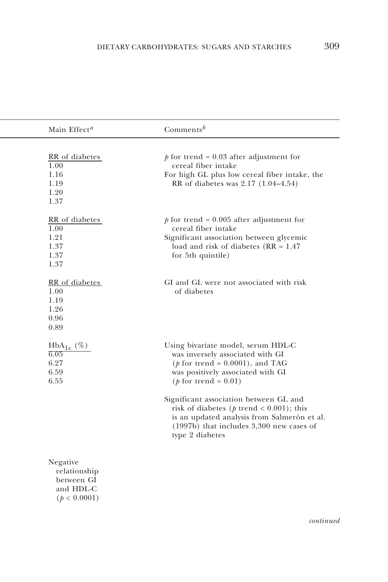| Main Effect <sup>a</sup>                                            | Comments <sup>b</sup>                                                                                                                                                                                 |
|---------------------------------------------------------------------|-------------------------------------------------------------------------------------------------------------------------------------------------------------------------------------------------------|
| RR of diabetes<br>1.00<br>1.16<br>1.19<br>1.20<br>1.37              | $\dot{p}$ for trend = 0.03 after adjustment for<br>cereal fiber intake<br>For high GL plus low cereal fiber intake, the<br>RR of diabetes was 2.17 (1.04–4.54)                                        |
| RR of diabetes<br>1.00<br>1.21<br>1.37<br>1.37<br>1.37              | $\dot{p}$ for trend = 0.005 after adjustment for<br>cereal fiber intake<br>Significant association between glycemic<br>load and risk of diabetes $(RR = 1.47)$<br>for 5th quintile)                   |
| RR of diabetes<br>1.00<br>1.19<br>1.26<br>0.96<br>0.89              | GI and GL were not associated with risk<br>of diabetes                                                                                                                                                |
| $HbA_{1c}$ (%)<br>6.05<br>6.27<br>6.59<br>6.55                      | Using bivariate model, serum HDL-C<br>was inversely associated with GI<br>( $\phi$ for trend = 0.0001), and TAG<br>was positively associated with GI<br>( <i>p</i> for trend = $0.01$ )               |
|                                                                     | Significant association between GL and<br>risk of diabetes ( $p$ trend < 0.001); this<br>is an updated analysis from Salmerón et al.<br>$(1997b)$ that includes 3,300 new cases of<br>type 2 diabetes |
| Negative<br>relationship<br>between GI<br>and HDL-C<br>(p < 0.0001) |                                                                                                                                                                                                       |

*continued*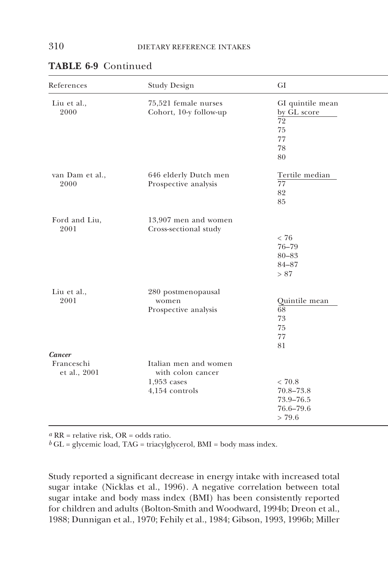| References                                  | <b>Study Design</b>                                                           | GI                                                              |
|---------------------------------------------|-------------------------------------------------------------------------------|-----------------------------------------------------------------|
| Liu et al.,<br>2000                         | 75,521 female nurses<br>Cohort, 10-y follow-up                                | GI quintile mean<br>by GL score<br>72<br>75<br>77<br>78<br>80   |
| van Dam et al.,<br>2000                     | 646 elderly Dutch men<br>Prospective analysis                                 | Tertile median<br>77<br>82<br>85                                |
| Ford and Liu,<br>2001                       | 13,907 men and women<br>Cross-sectional study                                 | < 76<br>76-79<br>80-83<br>84-87<br>> 87                         |
| Liu et al.,<br>2001                         | 280 postmenopausal<br>women<br>Prospective analysis                           | Quintile mean<br>68<br>73<br>75<br>$77\,$<br>81                 |
| <b>Cancer</b><br>Franceschi<br>et al., 2001 | Italian men and women<br>with colon cancer<br>$1,953$ cases<br>4,154 controls | < 70.8<br>$70.8 - 73.8$<br>73.9-76.5<br>$76.6 - 79.6$<br>> 79.6 |

# **TABLE 6-9** Continued

*a* RR = relative risk, OR = odds ratio.

 $b$  GL = glycemic load, TAG = triacylglycerol, BMI = body mass index.

Study reported a significant decrease in energy intake with increased total sugar intake (Nicklas et al., 1996). A negative correlation between total sugar intake and body mass index (BMI) has been consistently reported for children and adults (Bolton-Smith and Woodward, 1994b; Dreon et al., 1988; Dunnigan et al., 1970; Fehily et al., 1984; Gibson, 1993, 1996b; Miller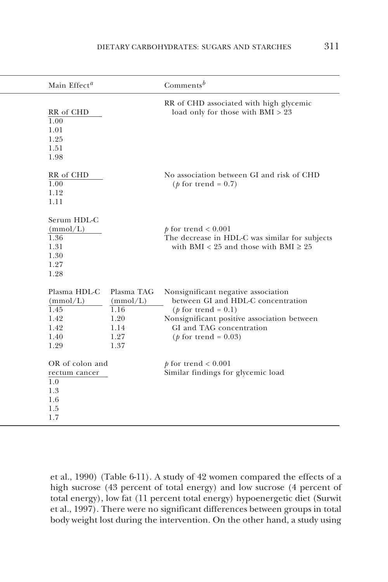| Main Effect <sup>a</sup>                                            |                                                                | Comments <sup>b</sup>                                                                                                                                                                                             |
|---------------------------------------------------------------------|----------------------------------------------------------------|-------------------------------------------------------------------------------------------------------------------------------------------------------------------------------------------------------------------|
| RR of CHD<br>1.00<br>1.01<br>1.25<br>1.51<br>1.98                   |                                                                | RR of CHD associated with high glycemic<br>load only for those with $BMI > 23$                                                                                                                                    |
| RR of CHD<br>1.00<br>1.12<br>1.11                                   |                                                                | No association between GI and risk of CHD<br>( <i>p</i> for trend = $0.7$ )                                                                                                                                       |
| Serum HDL-C<br>(mmol/L)<br>1.36<br>1.31<br>1.30<br>1.27<br>1.28     |                                                                | $p$ for trend < 0.001<br>The decrease in HDL-C was similar for subjects<br>with BMI < 25 and those with BMI $\geq 25$                                                                                             |
| Plasma HDL-C<br>(mmol/L)<br>1.45<br>1.42<br>1.42<br>1.40<br>1.29    | Plasma TAG<br>(mmol/L)<br>1.16<br>1.20<br>1.14<br>1.27<br>1.37 | Nonsignificant negative association<br>between GI and HDL-C concentration<br>( <i>p</i> for trend = $0.1$ )<br>Nonsignificant positive association between<br>GI and TAG concentration<br>( $p$ for trend = 0.03) |
| OR of colon and<br>rectum cancer<br>1.0<br>1.3<br>1.6<br>1.5<br>1.7 |                                                                | $p$ for trend < 0.001<br>Similar findings for glycemic load                                                                                                                                                       |

et al., 1990) (Table 6-11). A study of 42 women compared the effects of a high sucrose (43 percent of total energy) and low sucrose (4 percent of total energy), low fat (11 percent total energy) hypoenergetic diet (Surwit et al., 1997). There were no significant differences between groups in total body weight lost during the intervention. On the other hand, a study using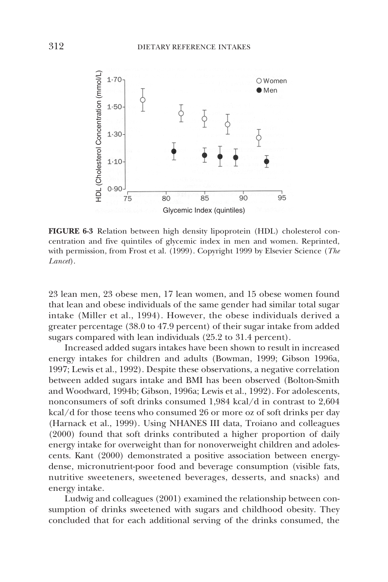

**FIGURE 6-3** Relation between high density lipoprotein (HDL) cholesterol concentration and five quintiles of glycemic index in men and women. Reprinted, with permission, from Frost et al. (1999). Copyright 1999 by Elsevier Science (*The Lancet*).

23 lean men, 23 obese men, 17 lean women, and 15 obese women found that lean and obese individuals of the same gender had similar total sugar intake (Miller et al., 1994). However, the obese individuals derived a greater percentage (38.0 to 47.9 percent) of their sugar intake from added sugars compared with lean individuals (25.2 to 31.4 percent).

Increased added sugars intakes have been shown to result in increased energy intakes for children and adults (Bowman, 1999; Gibson 1996a, 1997; Lewis et al., 1992). Despite these observations, a negative correlation between added sugars intake and BMI has been observed (Bolton-Smith and Woodward, 1994b; Gibson, 1996a; Lewis et al., 1992). For adolescents, nonconsumers of soft drinks consumed 1,984 kcal/d in contrast to 2,604 kcal/d for those teens who consumed 26 or more oz of soft drinks per day (Harnack et al., 1999). Using NHANES III data, Troiano and colleagues (2000) found that soft drinks contributed a higher proportion of daily energy intake for overweight than for nonoverweight children and adolescents. Kant (2000) demonstrated a positive association between energydense, micronutrient-poor food and beverage consumption (visible fats, nutritive sweeteners, sweetened beverages, desserts, and snacks) and energy intake.

Ludwig and colleagues (2001) examined the relationship between consumption of drinks sweetened with sugars and childhood obesity. They concluded that for each additional serving of the drinks consumed, the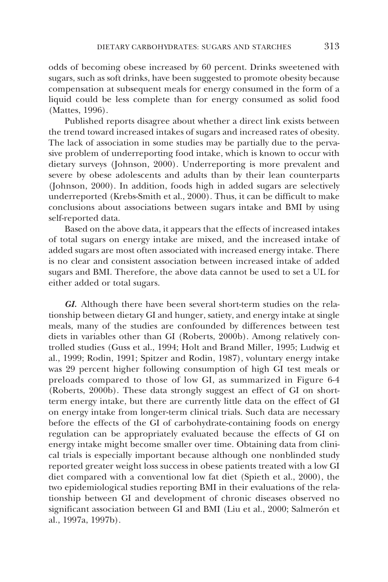odds of becoming obese increased by 60 percent. Drinks sweetened with sugars, such as soft drinks, have been suggested to promote obesity because compensation at subsequent meals for energy consumed in the form of a liquid could be less complete than for energy consumed as solid food (Mattes, 1996).

Published reports disagree about whether a direct link exists between the trend toward increased intakes of sugars and increased rates of obesity. The lack of association in some studies may be partially due to the pervasive problem of underreporting food intake, which is known to occur with dietary surveys (Johnson, 2000). Underreporting is more prevalent and severe by obese adolescents and adults than by their lean counterparts (Johnson, 2000). In addition, foods high in added sugars are selectively underreported (Krebs-Smith et al., 2000). Thus, it can be difficult to make conclusions about associations between sugars intake and BMI by using self-reported data.

Based on the above data, it appears that the effects of increased intakes of total sugars on energy intake are mixed, and the increased intake of added sugars are most often associated with increased energy intake. There is no clear and consistent association between increased intake of added sugars and BMI. Therefore, the above data cannot be used to set a UL for either added or total sugars.

*GI.* Although there have been several short-term studies on the relationship between dietary GI and hunger, satiety, and energy intake at single meals, many of the studies are confounded by differences between test diets in variables other than GI (Roberts, 2000b). Among relatively controlled studies (Guss et al., 1994; Holt and Brand Miller, 1995; Ludwig et al., 1999; Rodin, 1991; Spitzer and Rodin, 1987), voluntary energy intake was 29 percent higher following consumption of high GI test meals or preloads compared to those of low GI, as summarized in Figure 6-4 (Roberts, 2000b). These data strongly suggest an effect of GI on shortterm energy intake, but there are currently little data on the effect of GI on energy intake from longer-term clinical trials. Such data are necessary before the effects of the GI of carbohydrate-containing foods on energy regulation can be appropriately evaluated because the effects of GI on energy intake might become smaller over time. Obtaining data from clinical trials is especially important because although one nonblinded study reported greater weight loss success in obese patients treated with a low GI diet compared with a conventional low fat diet (Spieth et al., 2000), the two epidemiological studies reporting BMI in their evaluations of the relationship between GI and development of chronic diseases observed no significant association between GI and BMI (Liu et al., 2000; Salmerón et al., 1997a, 1997b).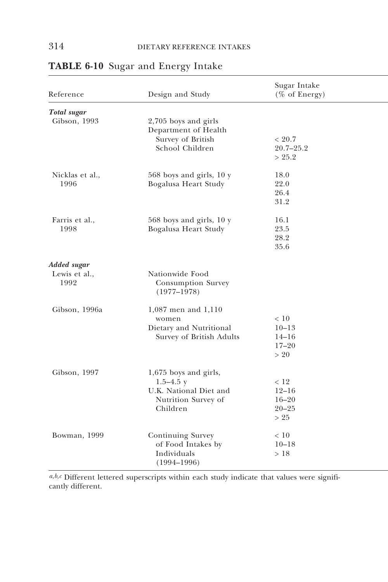| Reference<br>Design and Study        |                                                                                                     | Sugar Intake<br>$(\%$ of Energy)                    |  |
|--------------------------------------|-----------------------------------------------------------------------------------------------------|-----------------------------------------------------|--|
| Total sugar<br>Gibson, 1993          | 2,705 boys and girls<br>Department of Health                                                        |                                                     |  |
|                                      | Survey of British<br>School Children                                                                | ${}< 20.7$<br>$20.7 - 25.2$<br>> 25.2               |  |
| Nicklas et al.,<br>1996              | 568 boys and girls, 10 y<br>Bogalusa Heart Study                                                    | 18.0<br>22.0<br>26.4<br>31.2                        |  |
| Farris et al.,<br>1998               | 568 boys and girls, 10 y<br>Bogalusa Heart Study                                                    | 16.1<br>23.5<br>28.2<br>35.6                        |  |
| Added sugar<br>Lewis et al.,<br>1992 | Nationwide Food<br>Consumption Survey<br>$(1977 - 1978)$                                            |                                                     |  |
| Gibson, 1996a                        | 1,087 men and 1,110<br>women<br>Dietary and Nutritional<br>Survey of British Adults                 | < 10<br>$10 - 13$<br>14–16<br>$17 - 20$<br>> 20     |  |
| Gibson, 1997                         | 1,675 boys and girls,<br>$1.5 - 4.5$ y<br>U.K. National Diet and<br>Nutrition Survey of<br>Children | < 12<br>$12 - 16$<br>$16 - 20$<br>$20 - 25$<br>> 25 |  |
| Bowman, 1999                         | Continuing Survey<br>of Food Intakes by<br>Individuals<br>$(1994 - 1996)$                           | < 10<br>$10 - 18$<br>>18                            |  |

# **TABLE 6-10** Sugar and Energy Intake

*a,b,c* Different lettered superscripts within each study indicate that values were significantly different.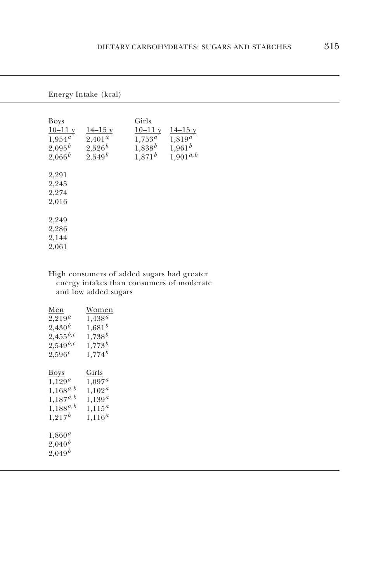|                 | Energy Intake (kcal) |                 |                             |  |  |
|-----------------|----------------------|-----------------|-----------------------------|--|--|
|                 |                      |                 |                             |  |  |
| <b>Boys</b>     |                      | Girls           |                             |  |  |
| $10-11 y$       | $14-15y$             | $10-11 y$       | $\frac{14-15 \text{ y}}{2}$ |  |  |
| $1,954^{\circ}$ | $2,401^{\mu}$        | $1,753^{\circ}$ | $1,819^{\circ}$             |  |  |
| $2,095^b$       | $2,526^{b}$          | $1,838^b$       | $1,961^b$                   |  |  |
| $2,066^b$       | $2,549^b$            | $1,871^b$       | $1,901^{a,b}$               |  |  |
| 2,291           |                      |                 |                             |  |  |
| 2,245           |                      |                 |                             |  |  |
| 2,274           |                      |                 |                             |  |  |
| 2,016           |                      |                 |                             |  |  |
|                 |                      |                 |                             |  |  |
| 2,249           |                      |                 |                             |  |  |
| 2,286           |                      |                 |                             |  |  |
| 2,144           |                      |                 |                             |  |  |
| 2,061           |                      |                 |                             |  |  |

#### High consumers of added sugars had greater energy intakes than consumers of moderate and low added sugars

| Men                | Women            |
|--------------------|------------------|
| $2,219^{\circ}$    | $1,438^{\circ}$  |
| 2,430 <sup>b</sup> | $1,681^{b}$      |
| $2,455^{b,c}$      | $1,738^{b}$      |
| $2,549^{b,c}$      | $1,773^b$        |
| 2,596c             | $1,774^{b}$      |
|                    |                  |
| <b>Boys</b>        | Girls            |
| $1,129^{\,a}$      | $1,097^{\circ}$  |
| $1,168^{a,b}$      | $1,102^{\,a}$    |
| $1,187^{a,b}$      | $1,139^{\,a}$    |
| $1,188^{a,b}$      | $1, 115^{\circ}$ |
| $1,217^b$          | $1,116^{\circ}$  |
|                    |                  |
| $1,860^{\,a}$      |                  |
| $2,040^b$          |                  |
| $2,049^b$          |                  |
|                    |                  |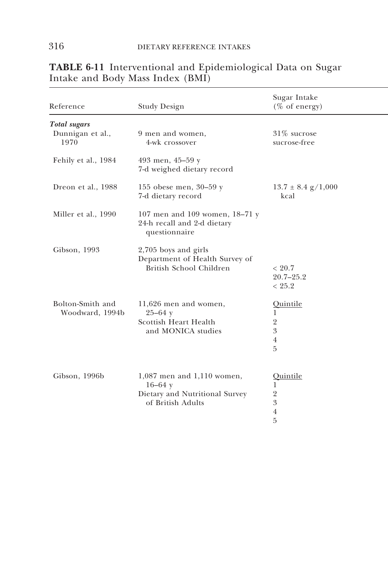| Reference                                       | <b>Study Design</b>                                                                              | Sugar Intake<br>$(\%$ of energy)                                         |  |
|-------------------------------------------------|--------------------------------------------------------------------------------------------------|--------------------------------------------------------------------------|--|
| <b>Total sugars</b><br>Dunnigan et al.,<br>1970 | 9 men and women,<br>4-wk crossover                                                               | 31% sucrose<br>sucrose-free                                              |  |
| Fehily et al., 1984                             | 493 men, $45-59y$<br>7-d weighed dietary record                                                  |                                                                          |  |
| Dreon et al., 1988                              | 155 obese men, 30-59 y<br>7-d dietary record                                                     | $13.7 \pm 8.4$ g/1,000<br>kcal                                           |  |
| Miller et al., 1990                             | 107 men and 109 women, $18-71y$<br>24-h recall and 2-d dietary<br>questionnaire                  |                                                                          |  |
| Gibson, 1993                                    | 2,705 boys and girls<br>Department of Health Survey of<br>British School Children                | < 20.7<br>$20.7 - 25.2$<br>< 25.2                                        |  |
| Bolton-Smith and<br>Woodward, 1994b             | 11,626 men and women,<br>$25 - 64$ y<br>Scottish Heart Health<br>and MONICA studies              | Quintile<br>1<br>$\overline{2}$<br>$\mathfrak{B}$<br>$\overline{4}$<br>5 |  |
| Gibson, 1996b                                   | 1,087 men and 1,110 women,<br>$16 - 64$ y<br>Dietary and Nutritional Survey<br>of British Adults | Quintile<br>1<br>$\overline{2}$<br>$\mathfrak{B}$<br>$\overline{4}$<br>5 |  |

# **TABLE 6-11** Interventional and Epidemiological Data on Sugar Intake and Body Mass Index (BMI)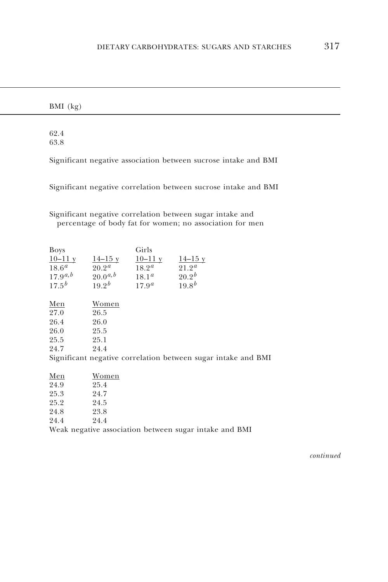| BMI (kg)    |                                                 |                                                     |                                                                                                                                                                                                                                                                                                                                                                                                                                                  |
|-------------|-------------------------------------------------|-----------------------------------------------------|--------------------------------------------------------------------------------------------------------------------------------------------------------------------------------------------------------------------------------------------------------------------------------------------------------------------------------------------------------------------------------------------------------------------------------------------------|
|             |                                                 |                                                     |                                                                                                                                                                                                                                                                                                                                                                                                                                                  |
| 62.4        |                                                 |                                                     |                                                                                                                                                                                                                                                                                                                                                                                                                                                  |
| 63.8        |                                                 |                                                     |                                                                                                                                                                                                                                                                                                                                                                                                                                                  |
|             |                                                 |                                                     |                                                                                                                                                                                                                                                                                                                                                                                                                                                  |
|             |                                                 |                                                     |                                                                                                                                                                                                                                                                                                                                                                                                                                                  |
|             |                                                 |                                                     |                                                                                                                                                                                                                                                                                                                                                                                                                                                  |
|             |                                                 |                                                     |                                                                                                                                                                                                                                                                                                                                                                                                                                                  |
| <b>Boys</b> |                                                 | Girls                                               |                                                                                                                                                                                                                                                                                                                                                                                                                                                  |
| $10-11y$    | $14 - 15y$                                      | $10-11$ y                                           | $14 - 15$ y                                                                                                                                                                                                                                                                                                                                                                                                                                      |
|             |                                                 |                                                     | 21.2 <sup>a</sup>                                                                                                                                                                                                                                                                                                                                                                                                                                |
|             |                                                 |                                                     | $20.2^{b}$                                                                                                                                                                                                                                                                                                                                                                                                                                       |
|             |                                                 |                                                     | $19.8^{b}$                                                                                                                                                                                                                                                                                                                                                                                                                                       |
| $Men$       | Women                                           |                                                     |                                                                                                                                                                                                                                                                                                                                                                                                                                                  |
| 27.0        | 26.5                                            |                                                     |                                                                                                                                                                                                                                                                                                                                                                                                                                                  |
| 26.4        | 26.0                                            |                                                     |                                                                                                                                                                                                                                                                                                                                                                                                                                                  |
| 26.0        | 25.5                                            |                                                     |                                                                                                                                                                                                                                                                                                                                                                                                                                                  |
| 25.5        | 25.1                                            |                                                     |                                                                                                                                                                                                                                                                                                                                                                                                                                                  |
| 24.7        | 24.4                                            |                                                     |                                                                                                                                                                                                                                                                                                                                                                                                                                                  |
|             |                                                 |                                                     |                                                                                                                                                                                                                                                                                                                                                                                                                                                  |
| Men         | Women                                           |                                                     |                                                                                                                                                                                                                                                                                                                                                                                                                                                  |
| 24.9        | 25.4                                            |                                                     |                                                                                                                                                                                                                                                                                                                                                                                                                                                  |
| 25.3        | 24.7                                            |                                                     |                                                                                                                                                                                                                                                                                                                                                                                                                                                  |
| 25.2        | 24.5                                            |                                                     |                                                                                                                                                                                                                                                                                                                                                                                                                                                  |
| 24.8        | 23.8                                            |                                                     |                                                                                                                                                                                                                                                                                                                                                                                                                                                  |
| 24.4        | 24.4                                            |                                                     |                                                                                                                                                                                                                                                                                                                                                                                                                                                  |
|             |                                                 |                                                     |                                                                                                                                                                                                                                                                                                                                                                                                                                                  |
|             | 18.6 <sup>a</sup><br>$17.9^{a,b}$<br>$17.5^{b}$ | $20.2^{\overline{a}}$<br>$20.0^{a,b}$<br>$19.2^{b}$ | Significant negative association between sucrose intake and BMI<br>Significant negative correlation between sucrose intake and BMI<br>Significant negative correlation between sugar intake and<br>percentage of body fat for women; no association for men<br>$18.2^{\,a}$<br>18.1 <sup>a</sup><br>17.9 <sup>a</sup><br>Significant negative correlation between sugar intake and BMI<br>Weak negative association between sugar intake and BMI |

*continued*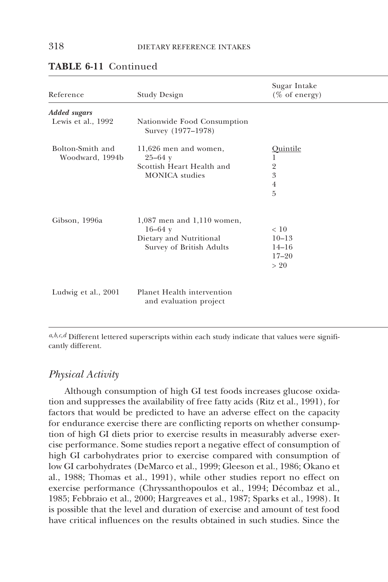| Reference                                 | <b>Study Design</b>                                                                                  | Sugar Intake<br>$(\%$ of energy)                                                      |
|-------------------------------------------|------------------------------------------------------------------------------------------------------|---------------------------------------------------------------------------------------|
| <b>Added sugars</b><br>Lewis et al., 1992 | Nationwide Food Consumption<br>Survey (1977–1978)                                                    |                                                                                       |
| Bolton-Smith and<br>Woodward, 1994b       | $11,626$ men and women,<br>$25 - 64$ y<br>Scottish Heart Health and<br><b>MONICA</b> studies         | Quintile<br>1<br>$\overline{c}$<br>$\overline{3}$<br>$\overline{4}$<br>$\overline{5}$ |
| Gibson, 1996a                             | $1,087$ men and $1,110$ women,<br>$16 - 64$ y<br>Dietary and Nutritional<br>Survey of British Adults | < 10<br>$10 - 13$<br>$14 - 16$<br>$17 - 20$<br>>20                                    |
| Ludwig et al., 2001                       | Planet Health intervention<br>and evaluation project                                                 |                                                                                       |

# **TABLE 6-11** Continued

*a,b,c,d* Different lettered superscripts within each study indicate that values were significantly different.

# *Physical Activity*

Although consumption of high GI test foods increases glucose oxidation and suppresses the availability of free fatty acids (Ritz et al., 1991), for factors that would be predicted to have an adverse effect on the capacity for endurance exercise there are conflicting reports on whether consumption of high GI diets prior to exercise results in measurably adverse exercise performance. Some studies report a negative effect of consumption of high GI carbohydrates prior to exercise compared with consumption of low GI carbohydrates (DeMarco et al., 1999; Gleeson et al., 1986; Okano et al., 1988; Thomas et al., 1991), while other studies report no effect on exercise performance (Chryssanthopoulos et al., 1994; Décombaz et al., 1985; Febbraio et al., 2000; Hargreaves et al., 1987; Sparks et al., 1998). It is possible that the level and duration of exercise and amount of test food have critical influences on the results obtained in such studies. Since the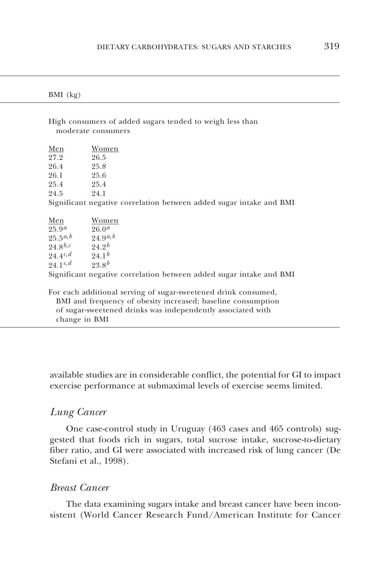| BMI | ĸσ |
|-----|----|
|-----|----|

High consumers of added sugars tended to weigh less than moderate consumers

| Men                                                                                                                                                                                           | Women                                                               |  |
|-----------------------------------------------------------------------------------------------------------------------------------------------------------------------------------------------|---------------------------------------------------------------------|--|
| 27.2                                                                                                                                                                                          | 26.5                                                                |  |
| 26.4                                                                                                                                                                                          | 25.8                                                                |  |
| 26.1                                                                                                                                                                                          | 25.6                                                                |  |
| 25.4                                                                                                                                                                                          | 25.4                                                                |  |
| 24.5                                                                                                                                                                                          | 24.1                                                                |  |
|                                                                                                                                                                                               | Significant negative correlation between added sugar intake and BMI |  |
|                                                                                                                                                                                               |                                                                     |  |
| Men                                                                                                                                                                                           | Women                                                               |  |
| $25.9^a$ $26.0^a$                                                                                                                                                                             |                                                                     |  |
| $25.5^{a,b}$ $24.9^{a,b}$                                                                                                                                                                     |                                                                     |  |
| $24.8^{b,c}$ $24.2^b$                                                                                                                                                                         |                                                                     |  |
| $24.4^{c,d}$ $24.1^{b}$                                                                                                                                                                       |                                                                     |  |
| $94.1^{c,d}$ $93.8^{b}$                                                                                                                                                                       |                                                                     |  |
| Significant negative correlation between added sugar intake and BMI                                                                                                                           |                                                                     |  |
| For each additional serving of sugar-sweetened drink consumed,<br>BMI and frequency of obesity increased; baseline consumption<br>of sugar-sweetened drinks was independently associated with |                                                                     |  |

change in BMI

available studies are in considerable conflict, the potential for GI to impact exercise performance at submaximal levels of exercise seems limited.

## *Lung Cancer*

One case-control study in Uruguay (463 cases and 465 controls) suggested that foods rich in sugars, total sucrose intake, sucrose-to-dietary fiber ratio, and GI were associated with increased risk of lung cancer (De Stefani et al., 1998).

# *Breast Cancer*

The data examining sugars intake and breast cancer have been inconsistent (World Cancer Research Fund/American Institute for Cancer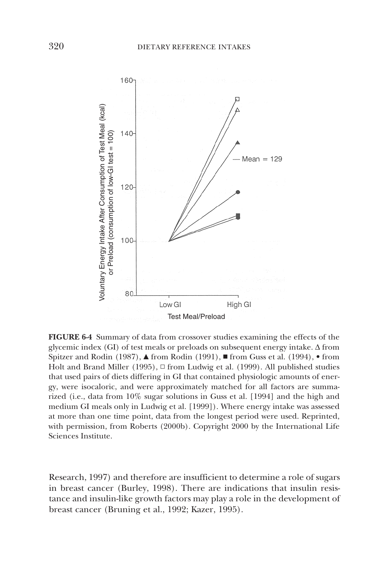

**FIGURE 6-4** Summary of data from crossover studies examining the effects of the glycemic index (GI) of test meals or preloads on subsequent energy intake. ∆ from Spitzer and Rodin (1987),  $\blacktriangle$  from Rodin (1991),  $\blacksquare$  from Guss et al. (1994),  $\bullet$  from Holt and Brand Miller (1995),  $\Box$  from Ludwig et al. (1999). All published studies that used pairs of diets differing in GI that contained physiologic amounts of energy, were isocaloric, and were approximately matched for all factors are summarized (i.e., data from 10% sugar solutions in Guss et al. [1994] and the high and medium GI meals only in Ludwig et al. [1999]). Where energy intake was assessed at more than one time point, data from the longest period were used. Reprinted, with permission, from Roberts (2000b). Copyright 2000 by the International Life Sciences Institute.

Research, 1997) and therefore are insufficient to determine a role of sugars in breast cancer (Burley, 1998). There are indications that insulin resistance and insulin-like growth factors may play a role in the development of breast cancer (Bruning et al., 1992; Kazer, 1995).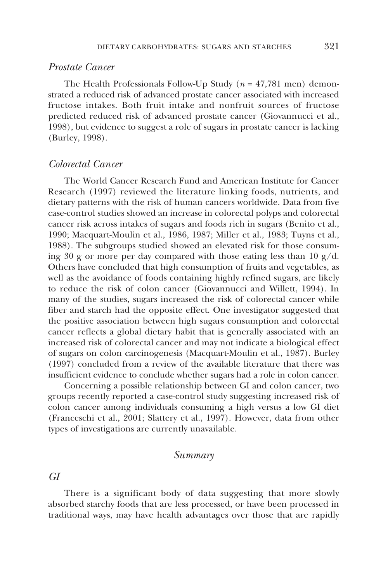## *Prostate Cancer*

The Health Professionals Follow-Up Study (*n* = 47,781 men) demonstrated a reduced risk of advanced prostate cancer associated with increased fructose intakes. Both fruit intake and nonfruit sources of fructose predicted reduced risk of advanced prostate cancer (Giovannucci et al., 1998), but evidence to suggest a role of sugars in prostate cancer is lacking (Burley, 1998).

## *Colorectal Cancer*

The World Cancer Research Fund and American Institute for Cancer Research (1997) reviewed the literature linking foods, nutrients, and dietary patterns with the risk of human cancers worldwide. Data from five case-control studies showed an increase in colorectal polyps and colorectal cancer risk across intakes of sugars and foods rich in sugars (Benito et al., 1990; Macquart-Moulin et al., 1986, 1987; Miller et al., 1983; Tuyns et al., 1988). The subgroups studied showed an elevated risk for those consuming 30 g or more per day compared with those eating less than  $10 \text{ g/d}$ . Others have concluded that high consumption of fruits and vegetables, as well as the avoidance of foods containing highly refined sugars, are likely to reduce the risk of colon cancer (Giovannucci and Willett, 1994). In many of the studies, sugars increased the risk of colorectal cancer while fiber and starch had the opposite effect. One investigator suggested that the positive association between high sugars consumption and colorectal cancer reflects a global dietary habit that is generally associated with an increased risk of colorectal cancer and may not indicate a biological effect of sugars on colon carcinogenesis (Macquart-Moulin et al., 1987). Burley (1997) concluded from a review of the available literature that there was insufficient evidence to conclude whether sugars had a role in colon cancer.

Concerning a possible relationship between GI and colon cancer, two groups recently reported a case-control study suggesting increased risk of colon cancer among individuals consuming a high versus a low GI diet (Franceschi et al., 2001; Slattery et al., 1997). However, data from other types of investigations are currently unavailable.

# *Summary*

*GI*

There is a significant body of data suggesting that more slowly absorbed starchy foods that are less processed, or have been processed in traditional ways, may have health advantages over those that are rapidly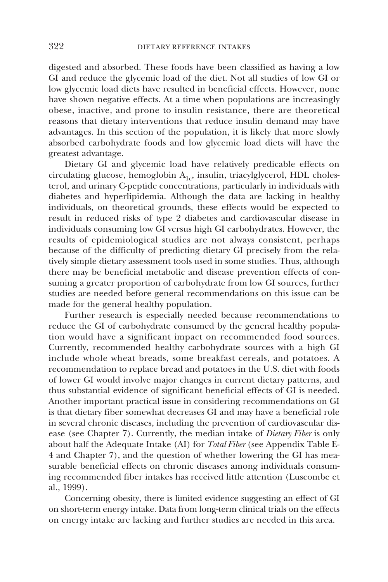digested and absorbed. These foods have been classified as having a low GI and reduce the glycemic load of the diet. Not all studies of low GI or low glycemic load diets have resulted in beneficial effects. However, none have shown negative effects. At a time when populations are increasingly obese, inactive, and prone to insulin resistance, there are theoretical reasons that dietary interventions that reduce insulin demand may have advantages. In this section of the population, it is likely that more slowly absorbed carbohydrate foods and low glycemic load diets will have the greatest advantage.

Dietary GI and glycemic load have relatively predicable effects on circulating glucose, hemoglobin  $A_{1c}$ , insulin, triacylglycerol, HDL cholesterol, and urinary C-peptide concentrations, particularly in individuals with diabetes and hyperlipidemia. Although the data are lacking in healthy individuals, on theoretical grounds, these effects would be expected to result in reduced risks of type 2 diabetes and cardiovascular disease in individuals consuming low GI versus high GI carbohydrates. However, the results of epidemiological studies are not always consistent, perhaps because of the difficulty of predicting dietary GI precisely from the relatively simple dietary assessment tools used in some studies. Thus, although there may be beneficial metabolic and disease prevention effects of consuming a greater proportion of carbohydrate from low GI sources, further studies are needed before general recommendations on this issue can be made for the general healthy population.

Further research is especially needed because recommendations to reduce the GI of carbohydrate consumed by the general healthy population would have a significant impact on recommended food sources. Currently, recommended healthy carbohydrate sources with a high GI include whole wheat breads, some breakfast cereals, and potatoes. A recommendation to replace bread and potatoes in the U.S. diet with foods of lower GI would involve major changes in current dietary patterns, and thus substantial evidence of significant beneficial effects of GI is needed. Another important practical issue in considering recommendations on GI is that dietary fiber somewhat decreases GI and may have a beneficial role in several chronic diseases, including the prevention of cardiovascular disease (see Chapter 7). Currently, the median intake of *Dietary Fiber* is only about half the Adequate Intake (AI) for *Total Fiber* (see Appendix Table E-4 and Chapter 7), and the question of whether lowering the GI has measurable beneficial effects on chronic diseases among individuals consuming recommended fiber intakes has received little attention (Luscombe et al., 1999).

Concerning obesity, there is limited evidence suggesting an effect of GI on short-term energy intake. Data from long-term clinical trials on the effects on energy intake are lacking and further studies are needed in this area.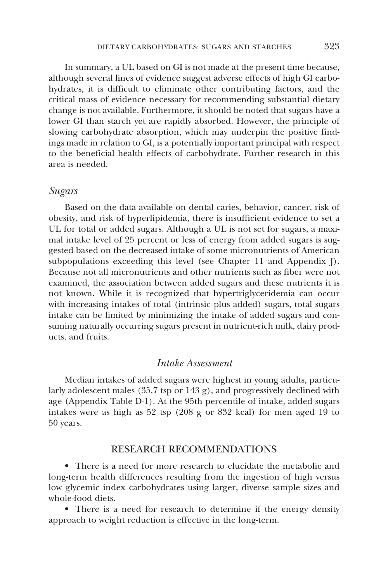In summary, a UL based on GI is not made at the present time because, although several lines of evidence suggest adverse effects of high GI carbohydrates, it is difficult to eliminate other contributing factors, and the critical mass of evidence necessary for recommending substantial dietary change is not available. Furthermore, it should be noted that sugars have a lower GI than starch yet are rapidly absorbed. However, the principle of slowing carbohydrate absorption, which may underpin the positive findings made in relation to GI, is a potentially important principal with respect to the beneficial health effects of carbohydrate. Further research in this area is needed.

#### *Sugars*

Based on the data available on dental caries, behavior, cancer, risk of obesity, and risk of hyperlipidemia, there is insufficient evidence to set a UL for total or added sugars. Although a UL is not set for sugars, a maximal intake level of 25 percent or less of energy from added sugars is suggested based on the decreased intake of some micronutrients of American subpopulations exceeding this level (see Chapter 11 and Appendix J). Because not all micronutrients and other nutrients such as fiber were not examined, the association between added sugars and these nutrients it is not known. While it is recognized that hypertriglyceridemia can occur with increasing intakes of total (intrinsic plus added) sugars, total sugars intake can be limited by minimizing the intake of added sugars and consuming naturally occurring sugars present in nutrient-rich milk, dairy products, and fruits.

## *Intake Assessment*

Median intakes of added sugars were highest in young adults, particularly adolescent males (35.7 tsp or 143 g), and progressively declined with age (Appendix Table D-1). At the 95th percentile of intake, added sugars intakes were as high as 52 tsp (208 g or 832 kcal) for men aged 19 to 50 years.

#### RESEARCH RECOMMENDATIONS

• There is a need for more research to elucidate the metabolic and long-term health differences resulting from the ingestion of high versus low glycemic index carbohydrates using larger, diverse sample sizes and whole-food diets.

• There is a need for research to determine if the energy density approach to weight reduction is effective in the long-term.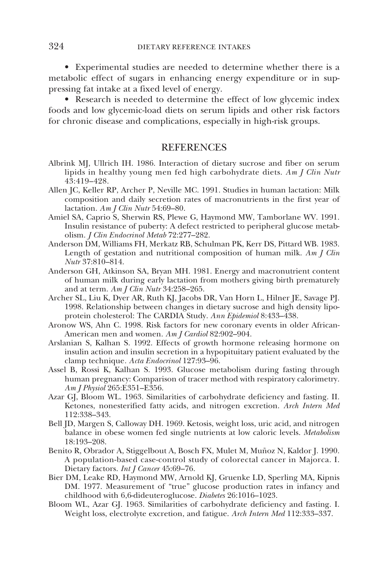• Experimental studies are needed to determine whether there is a metabolic effect of sugars in enhancing energy expenditure or in suppressing fat intake at a fixed level of energy.

• Research is needed to determine the effect of low glycemic index foods and low glycemic-load diets on serum lipids and other risk factors for chronic disease and complications, especially in high-risk groups.

## **REFERENCES**

- Albrink MJ, Ullrich IH. 1986. Interaction of dietary sucrose and fiber on serum lipids in healthy young men fed high carbohydrate diets. *Am J Clin Nutr* 43:419–428.
- Allen JC, Keller RP, Archer P, Neville MC. 1991. Studies in human lactation: Milk composition and daily secretion rates of macronutrients in the first year of lactation. *Am J Clin Nutr* 54:69–80.
- Amiel SA, Caprio S, Sherwin RS, Plewe G, Haymond MW, Tamborlane WV. 1991. Insulin resistance of puberty: A defect restricted to peripheral glucose metabolism. *J Clin Endocrinol Metab* 72:277–282.
- Anderson DM, Williams FH, Merkatz RB, Schulman PK, Kerr DS, Pittard WB. 1983. Length of gestation and nutritional composition of human milk. *Am J Clin Nutr* 37:810–814.
- Anderson GH, Atkinson SA, Bryan MH. 1981. Energy and macronutrient content of human milk during early lactation from mothers giving birth prematurely and at term. *Am J Clin Nutr* 34:258–265.
- Archer SL, Liu K, Dyer AR, Ruth KJ, Jacobs DR, Van Horn L, Hilner JE, Savage PJ. 1998. Relationship between changes in dietary sucrose and high density lipoprotein cholesterol: The CARDIA Study. *Ann Epidemiol* 8:433–438.
- Aronow WS, Ahn C. 1998. Risk factors for new coronary events in older African-American men and women. *Am J Cardiol* 82:902–904.
- Arslanian S, Kalhan S. 1992. Effects of growth hormone releasing hormone on insulin action and insulin secretion in a hypopituitary patient evaluated by the clamp technique*. Acta Endocrinol* 127:93–96.
- Assel B, Rossi K, Kalhan S. 1993. Glucose metabolism during fasting through human pregnancy: Comparison of tracer method with respiratory calorimetry. *Am J Physiol* 265:E351–E356.
- Azar GJ, Bloom WL. 1963. Similarities of carbohydrate deficiency and fasting. II. Ketones, nonesterified fatty acids, and nitrogen excretion. *Arch Intern Med* 112:338–343.
- Bell JD, Margen S, Calloway DH. 1969. Ketosis, weight loss, uric acid, and nitrogen balance in obese women fed single nutrients at low caloric levels. *Metabolism* 18:193–208.
- Benito R, Obrador A, Stiggelbout A, Bosch FX, Mulet M, Muñoz N, Kaldor J. 1990. A population-based case-control study of colorectal cancer in Majorca. I. Dietary factors. *Int J Cancer* 45:69–76.
- Bier DM, Leake RD, Haymond MW, Arnold KJ, Gruenke LD, Sperling MA, Kipnis DM. 1977. Measurement of "true" glucose production rates in infancy and childhood with 6,6-dideuteroglucose. *Diabetes* 26:1016–1023.
- Bloom WL, Azar GJ. 1963. Similarities of carbohydrate deficiency and fasting. I. Weight loss, electrolyte excretion, and fatigue. *Arch Intern Med* 112:333–337.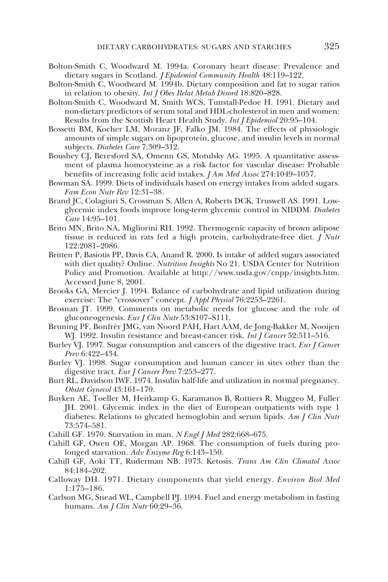- Bolton-Smith C, Woodward M. 1994a. Coronary heart disease: Prevalence and dietary sugars in Scotland. *J Epidemiol Community Health* 48:119–122.
- Bolton-Smith C, Woodward M. 1994b. Dietary composition and fat to sugar ratios in relation to obesity. *Int J Obes Relat Metab Disord* 18:820–828.
- Bolton-Smith C, Woodward M, Smith WCS, Tunstall-Pedoe H. 1991. Dietary and non-dietary predictors of serum total and HDL-cholesterol in men and women: Results from the Scottish Heart Health Study. *Int J Epidemiol* 20:95–104.
- Bossetti BM, Kocher LM, Moranz JF, Falko JM. 1984. The effects of physiologic amounts of simple sugars on lipoprotein, glucose, and insulin levels in normal subjects. *Diabetes Care* 7:309–312.
- Boushey CJ, Beresford SA, Omenn GS, Motulsky AG. 1995. A quantitative assessment of plasma homocysteine as a risk factor for vascular disease: Probable benefits of increasing folic acid intakes. *J Am Med Assoc* 274:1049–1057.
- Bowman SA. 1999. Diets of individuals based on energy intakes from added sugars. *Fam Econ Nutr Rev* 12:31–38.
- Brand JC, Colagiuri S, Crossman S, Allen A, Roberts DCK, Truswell AS. 1991. Lowglycemic index foods improve long-term glycemic control in NIDDM. *Diabetes Care* 14:95–101.
- Brito MN, Brito NA, Migliorini RH. 1992. Thermogenic capacity of brown adipose tissue is reduced in rats fed a high protein, carbohydrate-free diet. *J Nutr* 122:2081–2086.
- Britten P, Basiotis PP, Davis CA, Anand R. 2000. Is intake of added sugars associated with diet quality? Online. *Nutrition Insights* No 21. USDA Center for Nutrition Policy and Promotion. Available at http://www.usda.gov/cnpp/insights.htm. Accessed June 8, 2001.
- Brooks GA, Mercier J. 1994. Balance of carbohydrate and lipid utilization during exercise: The "crossover" concept. *J Appl Physiol* 76:2253–2261.
- Brosnan JT. 1999. Comments on metabolic needs for glucose and the role of gluconeogenesis. *Eur J Clin Nutr* 53:S107–S111.
- Bruning PF, Bonfrèr JMG, van Noord PAH, Hart AAM, de Jong-Bakker M, Nooijen WJ. 1992. Insulin resistance and breast-cancer risk. *Int J Cancer* 52:511–516.
- Burley VJ. 1997. Sugar consumption and cancers of the digestive tract. *Eur J Cancer Prev* 6:422–434.
- Burley VJ. 1998. Sugar consumption and human cancer in sites other than the digestive tract. *Eur J Cancer Prev* 7:253–277.
- Burt RL, Davidson IWF. 1974. Insulin half-life and utilization in normal pregnancy*. Obstet Gynecol* 43:161–170.
- Buyken AE, Toeller M, Heitkamp G, Karamanos B, Rottiers R, Muggeo M, Fuller JH. 2001. Glycemic index in the diet of European outpatients with type 1 diabetes: Relations to glycated hemoglobin and serum lipids. *Am J Clin Nutr* 73:574–581.
- Cahill GF. 1970. Starvation in man. *N Engl J Med* 282:668–675.
- Cahill GF, Owen OE, Morgan AP. 1968. The consumption of fuels during prolonged starvation. *Adv Enzyme Reg* 6:143–150.
- Cahill GF, Aoki TT, Ruderman NB. 1973. Ketosis. *Trans Am Clin Climatol Assoc* 84:184–202.
- Calloway DH. 1971. Dietary components that yield energy. *Environ Biol Med* 1:175–186.
- Carlson MG, Snead WL, Campbell PJ. 1994. Fuel and energy metabolism in fasting humans. *Am J Clin Nutr* 60:29–36.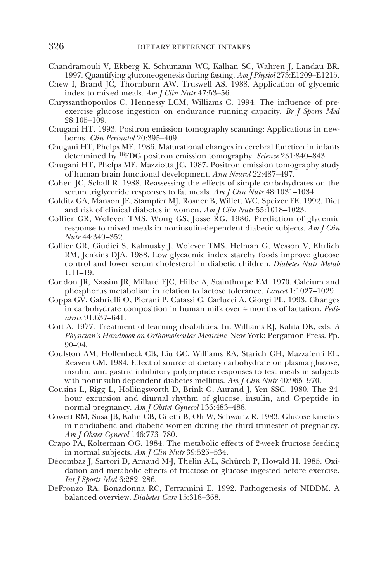- Chandramouli V, Ekberg K, Schumann WC, Kalhan SC, Wahren J, Landau BR. 1997. Quantifying gluconeogenesis during fasting. *Am J Physiol* 273:E1209–E1215.
- Chew I, Brand JC, Thornburn AW, Truswell AS. 1988. Application of glycemic index to mixed meals. *Am J Clin Nutr* 47:53–56.
- Chryssanthopoulos C, Hennessy LCM, Williams C. 1994. The influence of preexercise glucose ingestion on endurance running capacity. *Br J Sports Med* 28:105–109.
- Chugani HT. 1993. Positron emission tomography scanning: Applications in newborns*. Clin Perinatol* 20:395–409.
- Chugani HT, Phelps ME. 1986. Maturational changes in cerebral function in infants determined by 18FDG positron emission tomography. *Science* 231:840–843.
- Chugani HT, Phelps ME, Mazziotta JC. 1987. Positron emission tomography study of human brain functional development. *Ann Neurol* 22:487–497.
- Cohen JC, Schall R. 1988. Reassessing the effects of simple carbohydrates on the serum triglyceride responses to fat meals. *Am J Clin Nutr* 48:1031–1034.
- Colditz GA, Manson JE, Stampfer MJ, Rosner B, Willett WC, Speizer FE. 1992. Diet and risk of clinical diabetes in women. *Am J Clin Nutr* 55:1018–1023.
- Collier GR, Wolever TMS, Wong GS, Josse RG. 1986. Prediction of glycemic response to mixed meals in noninsulin-dependent diabetic subjects. *Am J Clin Nutr* 44:349–352.
- Collier GR, Giudici S, Kalmusky J, Wolever TMS, Helman G, Wesson V, Ehrlich RM, Jenkins DJA. 1988. Low glycaemic index starchy foods improve glucose control and lower serum cholesterol in diabetic children. *Diabetes Nutr Metab* 1:11–19.
- Condon JR, Nassim JR, Millard FJC, Hilbe A, Stainthorpe EM. 1970. Calcium and phosphorus metabolism in relation to lactose tolerance. *Lancet* 1:1027–1029*.*
- Coppa GV, Gabrielli O, Pierani P, Catassi C, Carlucci A, Giorgi PL. 1993. Changes in carbohydrate composition in human milk over 4 months of lactation. *Pediatrics* 91:637–641.
- Cott A. 1977. Treatment of learning disabilities. In: Williams RJ, Kalita DK, eds. *A Physician's Handbook on Orthomolecular Medicine*. New York: Pergamon Press. Pp. 90–94.
- Coulston AM, Hollenbeck CB, Liu GC, Williams RA, Starich GH, Mazzaferri EL, Reaven GM. 1984. Effect of source of dietary carbohydrate on plasma glucose, insulin, and gastric inhibitory polypeptide responses to test meals in subjects with noninsulin-dependent diabetes mellitus. *Am J Clin Nutr* 40:965–970.
- Cousins L, Rigg L, Hollingsworth D, Brink G, Aurand J, Yen SSC. 1980. The 24 hour excursion and diurnal rhythm of glucose, insulin, and C-peptide in normal pregnancy. *Am J Obstet Gynecol* 136:483–488.
- Cowett RM, Susa JB, Kahn CB, Giletti B, Oh W, Schwartz R. 1983. Glucose kinetics in nondiabetic and diabetic women during the third trimester of pregnancy. *Am J Obstet Gynecol* 146:773–780.
- Crapo PA, Kolterman OG. 1984. The metabolic effects of 2-week fructose feeding in normal subjects. *Am J Clin Nutr* 39:525–534.
- Décombaz J, Sartori D, Arnaud M-J, Thélin A-L, Schürch P, Howald H. 1985. Oxidation and metabolic effects of fructose or glucose ingested before exercise. *Int J Sports Med* 6:282–286.
- DeFronzo RA, Bonadonna RC, Ferrannini E. 1992. Pathogenesis of NIDDM. A balanced overview. *Diabetes Care* 15:318–368.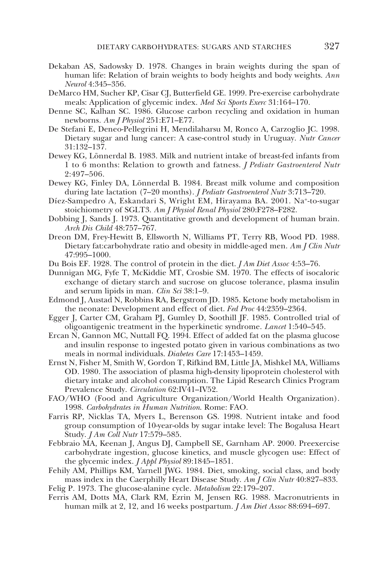- Dekaban AS, Sadowsky D. 1978. Changes in brain weights during the span of human life: Relation of brain weights to body heights and body weights. *Ann Neurol* 4:345–356.
- DeMarco HM, Sucher KP, Cisar CJ, Butterfield GE. 1999. Pre-exercise carbohydrate meals: Application of glycemic index. *Med Sci Sports Exerc* 31:164–170.
- Denne SC, Kalhan SC. 1986. Glucose carbon recycling and oxidation in human newborns*. Am J Physiol* 251:E71–E77.
- De Stefani E, Deneo-Pellegrini H, Mendilaharsu M, Ronco A, Carzoglio JC. 1998. Dietary sugar and lung cancer: A case-control study in Uruguay. *Nutr Cancer* 31:132–137.
- Dewey KG, Lönnerdal B. 1983. Milk and nutrient intake of breast-fed infants from 1 to 6 months: Relation to growth and fatness. *J Pediatr Gastroenterol Nutr* 2:497–506.
- Dewey KG, Finley DA, Lönnerdal B. 1984. Breast milk volume and composition during late lactation (7–20 months). *J Pediatr Gastroenterol Nutr* 3:713–720.
- Díez-Sampedro A, Eskandari S, Wright EM, Hirayama BA. 2001. Na+-to-sugar stoichiometry of SGLT3. *Am J Physiol Renal Physiol* 280:F278–F282.
- Dobbing J, Sands J. 1973. Quantitative growth and development of human brain. *Arch Dis Child* 48:757–767.
- Dreon DM, Frey-Hewitt B, Ellsworth N, Williams PT, Terry RB, Wood PD. 1988. Dietary fat:carbohydrate ratio and obesity in middle-aged men. *Am J Clin Nutr* 47:995–1000.
- Du Bois EF. 1928. The control of protein in the diet. *J Am Diet Assoc* 4:53–76.
- Dunnigan MG, Fyfe T, McKiddie MT, Crosbie SM. 1970. The effects of isocaloric exchange of dietary starch and sucrose on glucose tolerance, plasma insulin and serum lipids in man. *Clin Sci* 38:1–9.
- Edmond J, Austad N, Robbins RA, Bergstrom JD. 1985. Ketone body metabolism in the neonate: Development and effect of diet. *Fed Proc* 44:2359–2364.
- Egger J, Carter CM, Graham PJ, Gumley D, Soothill JF. 1985. Controlled trial of oligoantigenic treatment in the hyperkinetic syndrome. *Lancet* 1:540–545.
- Ercan N, Gannon MC, Nuttall FQ. 1994. Effect of added fat on the plasma glucose and insulin response to ingested potato given in various combinations as two meals in normal individuals. *Diabetes Care* 17:1453–1459.
- Ernst N, Fisher M, Smith W, Gordon T, Rifkind BM, Little JA, Mishkel MA, Williams OD. 1980. The association of plasma high-density lipoprotein cholesterol with dietary intake and alcohol consumption. The Lipid Research Clinics Program Prevalence Study. *Circulation* 62:IV41–IV52.
- FAO/WHO (Food and Agriculture Organization/World Health Organization). 1998. *Carbohydrates in Human Nutrition*. Rome: FAO.
- Farris RP, Nicklas TA, Myers L, Berenson GS. 1998. Nutrient intake and food group consumption of 10-year-olds by sugar intake level: The Bogalusa Heart Study. *J Am Coll Nutr* 17:579–585.
- Febbraio MA, Keenan J, Angus DJ, Campbell SE, Garnham AP. 2000. Preexercise carbohydrate ingestion, glucose kinetics, and muscle glycogen use: Effect of the glycemic index. *J Appl Physiol* 89:1845–1851.
- Fehily AM, Phillips KM, Yarnell JWG. 1984. Diet, smoking, social class, and body mass index in the Caerphilly Heart Disease Study. *Am J Clin Nutr* 40:827–833. Felig P. 1973. The glucose-alanine cycle. *Metabolism* 22:179–207.
- Ferris AM, Dotts MA, Clark RM, Ezrin M, Jensen RG. 1988. Macronutrients in human milk at 2, 12, and 16 weeks postpartum. *J Am Diet Assoc* 88:694–697.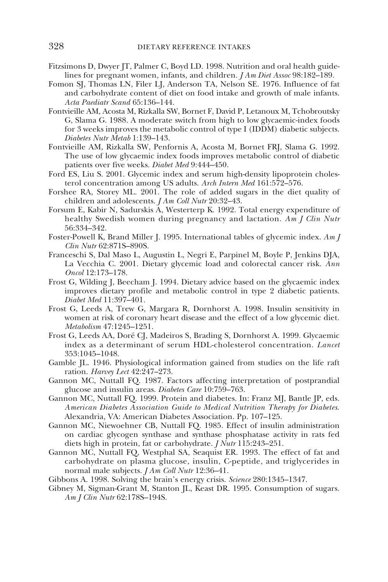- Fitzsimons D, Dwyer JT, Palmer C, Boyd LD. 1998. Nutrition and oral health guidelines for pregnant women, infants, and children. *J Am Diet Assoc* 98:182–189.
- Fomon SJ, Thomas LN, Filer LJ, Anderson TA, Nelson SE. 1976. Influence of fat and carbohydrate content of diet on food intake and growth of male infants. *Acta Paediatr Scand* 65:136–144.
- Fontvieille AM, Acosta M, Rizkalla SW, Bornet F, David P, Letanoux M, Tchobroutsky G, Slama G. 1988. A moderate switch from high to low glycaemic-index foods for 3 weeks improves the metabolic control of type I (IDDM) diabetic subjects. *Diabetes Nutr Metab* 1:139–143.
- Fontvieille AM, Rizkalla SW, Penfornis A, Acosta M, Bornet FRJ, Slama G. 1992. The use of low glycaemic index foods improves metabolic control of diabetic patients over five weeks. *Diabet Med* 9:444–450.
- Ford ES, Liu S. 2001. Glycemic index and serum high-density lipoprotein cholesterol concentration among US adults. *Arch Intern Med* 161:572–576.
- Forshee RA, Storey ML. 2001. The role of added sugars in the diet quality of children and adolescents. *J Am Coll Nutr* 20:32–43.
- Forsum E, Kabir N, Sadurskis A, Westerterp K. 1992. Total energy expenditure of healthy Swedish women during pregnancy and lactation. *Am J Clin Nutr* 56:334–342.
- Foster-Powell K, Brand Miller J. 1995. International tables of glycemic index. *Am J Clin Nutr* 62:871S–890S.
- Franceschi S, Dal Maso L, Augustin L, Negri E, Parpinel M, Boyle P, Jenkins DJA, La Vecchia C. 2001. Dietary glycemic load and colorectal cancer risk. *Ann Oncol* 12:173–178.
- Frost G, Wilding J, Beecham J. 1994. Dietary advice based on the glycaemic index improves dietary profile and metabolic control in type 2 diabetic patients. *Diabet Med* 11:397–401.
- Frost G, Leeds A, Trew G, Margara R, Dornhorst A. 1998. Insulin sensitivity in women at risk of coronary heart disease and the effect of a low glycemic diet*. Metabolism* 47:1245–1251.
- Frost G, Leeds AA, Doré CJ, Madeiros S, Brading S, Dornhorst A. 1999. Glycaemic index as a determinant of serum HDL-cholesterol concentration. *Lancet* 353:1045–1048.
- Gamble JL. 1946. Physiological information gained from studies on the life raft ration. *Harvey Lect* 42:247–273.
- Gannon MC, Nuttall FQ. 1987. Factors affecting interpretation of postprandial glucose and insulin areas. *Diabetes Care* 10:759–763.
- Gannon MC, Nuttall FQ. 1999. Protein and diabetes. In: Franz MJ, Bantle JP, eds. *American Diabetes Association Guide to Medical Nutrition Therapy for Diabetes*. Alexandria, VA: American Diabetes Association. Pp. 107–125.
- Gannon MC, Niewoehner CB, Nuttall FQ. 1985. Effect of insulin administration on cardiac glycogen synthase and synthase phosphatase activity in rats fed diets high in protein, fat or carbohydrate. *J Nutr* 115:243–251.
- Gannon MC, Nuttall FQ, Westphal SA, Seaquist ER. 1993. The effect of fat and carbohydrate on plasma glucose, insulin, C-peptide, and triglycerides in normal male subjects. *J Am Coll Nutr* 12:36–41.
- Gibbons A. 1998. Solving the brain's energy crisis. *Science* 280:1345–1347.
- Gibney M, Sigman-Grant M, Stanton JL, Keast DR. 1995. Consumption of sugars. *Am J Clin Nutr* 62:178S–194S.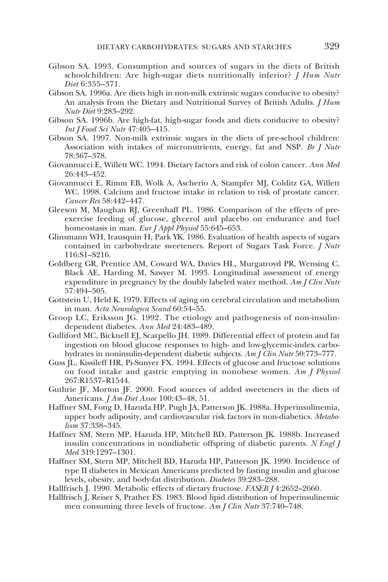- Gibson SA. 1993. Consumption and sources of sugars in the diets of British schoolchildren: Are high-sugar diets nutritionally inferior? *J Hum Nutr Diet* 6:355–371.
- Gibson SA. 1996a. Are diets high in non-milk extrinsic sugars conducive to obesity? An analysis from the Dietary and Nutritional Survey of British Adults. *J Hum Nutr Diet* 9:283–292.
- Gibson SA. 1996b. Are high-fat, high-sugar foods and diets conducive to obesity? *Int J Food Sci Nutr* 47:405–415.
- Gibson SA. 1997. Non-milk extrinsic sugars in the diets of pre-school children: Association with intakes of micronutrients, energy, fat and NSP. *Br J Nutr* 78:367–378.
- Giovannucci E, Willett WC. 1994. Dietary factors and risk of colon cancer. *Ann Med* 26:443–452.
- Giovannucci E, Rimm EB, Wolk A, Ascherio A, Stampfer MJ, Colditz GA, Willett WC. 1998. Calcium and fructose intake in relation to risk of prostate cancer. *Cancer Res* 58:442–447.
- Gleeson M, Maughan RJ, Greenhaff PL. 1986. Comparison of the effects of preexercise feeding of glucose, glycerol and placebo on endurance and fuel homeostasis in man. *Eur J Appl Physiol* 55:645–653.
- Glinsmann WH, Irausquin H, Park YK. 1986. Evaluation of health aspects of sugars contained in carbohydrate sweeteners. Report of Sugars Task Force. *J Nutr* 116:S1–S216.
- Goldberg GR, Prentice AM, Coward WA, Davies HL, Murgatroyd PR, Wensing C, Black AE, Harding M, Sawyer M. 1993. Longitudinal assessment of energy expenditure in pregnancy by the doubly labeled water method. *Am J Clin Nutr* 57:494–505.
- Gottstein U, Held K. 1979. Effects of aging on cerebral circulation and metabolism in man. *Acta Neurologica Scand* 60:54–55.
- Groop LC, Eriksson JG. 1992. The etiology and pathogenesis of non-insulindependent diabetes. *Ann Med* 24:483–489.
- Gulliford MC, Bicknell EJ, Scarpello JH. 1989. Differential effect of protein and fat ingestion on blood glucose responses to high- and low-glycemic-index carbohydrates in noninsulin-dependent diabetic subjects. *Am J Clin Nutr* 50:773–777.
- Guss JL, Kissileff HR, Pi-Sunyer FX. 1994. Effects of glucose and fructose solutions on food intake and gastric emptying in nonobese women. *Am J Physiol* 267:R1537–R1544.
- Guthrie JF, Morton JF. 2000. Food sources of added sweeteners in the diets of Americans. *J Am Diet Assoc* 100:43–48, 51.
- Haffner SM, Fong D, Hazuda HP, Pugh JA, Patterson JK. 1988a. Hyperinsulinemia, upper body adiposity, and cardiovascular risk factors in non-diabetics. *Metabolism* 37:338–345.
- Haffner SM, Stern MP, Hazuda HP, Mitchell BD, Patterson JK. 1988b. Increased insulin concentrations in nondiabetic offspring of diabetic parents. *N Engl J Med* 319:1297–1301.
- Haffner SM, Stern MP, Mitchell BD, Hazuda HP, Patterson JK. 1990. Incidence of type II diabetes in Mexican Americans predicted by fasting insulin and glucose levels, obesity, and body-fat distribution. *Diabetes* 39:283–288.
- Hallfrisch J. 1990. Metabolic effects of dietary fructose*. FASEB J* 4:2652–2660.
- Hallfrisch J, Reiser S, Prather ES. 1983. Blood lipid distribution of hyperinsulinemic men consuming three levels of fructose. *Am J Clin Nutr* 37:740–748.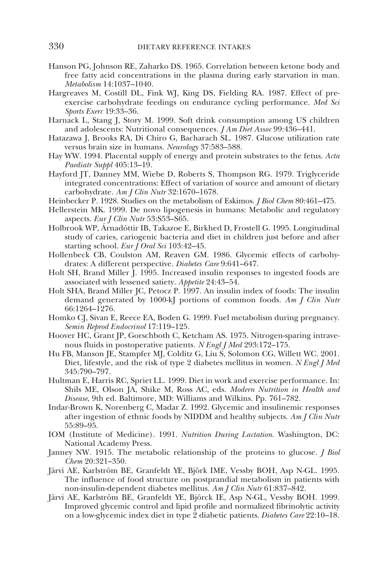- Hanson PG, Johnson RE, Zaharko DS. 1965. Correlation between ketone body and free fatty acid concentrations in the plasma during early starvation in man. *Metabolism* 14:1037–1040.
- Hargreaves M, Costill DL, Fink WJ, King DS, Fielding RA. 1987. Effect of preexercise carbohydrate feedings on endurance cycling performance. *Med Sci Sports Exerc* 19:33–36.
- Harnack L, Stang J, Story M. 1999. Soft drink consumption among US children and adolescents: Nutritional consequences*. J Am Diet Assoc* 99:436–441.
- Hatazawa J, Brooks RA, Di Chiro G, Bacharach SL. 1987. Glucose utilization rate versus brain size in humans. *Neurology* 37:583–588.
- Hay WW. 1994. Placental supply of energy and protein substrates to the fetus. *Acta Paediatr Suppl* 405:13–19.
- Hayford JT, Danney MM, Wiebe D, Roberts S, Thompson RG. 1979. Triglyceride integrated concentrations: Effect of variation of source and amount of dietary carbohydrate. *Am J Clin Nutr* 32:1670–1678.
- Heinbecker P. 1928. Studies on the metabolism of Eskimos. *J Biol Chem* 80:461–475.
- Hellerstein MK. 1999. De novo lipogenesis in humans: Metabolic and regulatory aspects. *Eur J Clin Nutr* 53:S53–S65.
- Holbrook WP, Árnadóttir IB, Takazoe E, Birkhed D, Frostell G. 1995. Longitudinal study of caries, cariogenic bacteria and diet in children just before and after starting school. *Eur J Oral Sci* 103:42–45.
- Hollenbeck CB, Coulston AM, Reaven GM. 1986. Glycemic effects of carbohydrates: A different perspective. *Diabetes Care* 9:641–647.
- Holt SH, Brand Miller J. 1995. Increased insulin responses to ingested foods are associated with lessened satiety. *Appetite* 24:43–54.
- Holt SHA, Brand Miller JC, Petocz P. 1997. An insulin index of foods: The insulin demand generated by 1000-kJ portions of common foods. *Am J Clin Nutr* 66:1264–1276.
- Homko CJ, Sivan E, Reece EA, Boden G. 1999. Fuel metabolism during pregnancy. *Semin Reprod Endocrinol* 17:119–125.
- Hoover HC, Grant JP, Gorschboth C, Ketcham AS. 1975. Nitrogen-sparing intravenous fluids in postoperative patients*. N Engl J Med* 293:172–175.
- Hu FB, Manson JE, Stampfer MJ, Colditz G, Liu S, Solomon CG, Willett WC. 2001. Diet, lifestyle, and the risk of type 2 diabetes mellitus in women. *N Engl J Med* 345:790–797.
- Hultman E, Harris RC, Spriet LL. 1999. Diet in work and exercise performance. In: Shils ME, Olson JA, Shike M, Ross AC, eds. *Modern Nutrition in Health and Disease*, 9th ed. Baltimore, MD: Williams and Wilkins. Pp. 761–782.
- Indar-Brown K, Norenberg C, Madar Z. 1992. Glycemic and insulinemic responses after ingestion of ethnic foods by NIDDM and healthy subjects. *Am J Clin Nutr* 55:89–95.
- IOM (Institute of Medicine). 1991. *Nutrition During Lactation*. Washington, DC: National Academy Press.
- Janney NW. 1915. The metabolic relationship of the proteins to glucose. *J Biol Chem* 20:321–350.
- Järvi AE, Karlström BE, Granfeldt YE, Björk IME, Vessby BOH, Asp N-GL. 1995. The influence of food structure on postprandial metabolism in patients with non-insulin-dependent diabetes mellitus. *Am J Clin Nutr* 61:837–842.
- Järvi AE, Karlström BE, Granfeldt YE, Björck IE, Asp N-GL, Vessby BOH. 1999. Improved glycemic control and lipid profile and normalized fibrinolytic activity on a low-glycemic index diet in type 2 diabetic patients. *Diabetes Care* 22:10–18.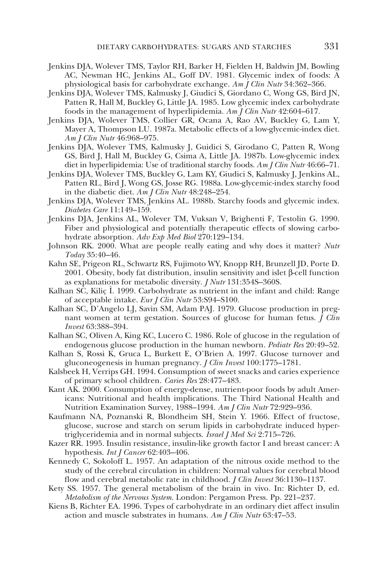- Jenkins DJA, Wolever TMS, Taylor RH, Barker H, Fielden H, Baldwin JM, Bowling AC, Newman HC, Jenkins AL, Goff DV. 1981. Glycemic index of foods: A physiological basis for carbohydrate exchange. *Am J Clin Nutr* 34:362–366.
- Jenkins DJA, Wolever TMS, Kalmusky J, Giudici S, Giordano C, Wong GS, Bird JN, Patten R, Hall M, Buckley G, Little JA. 1985. Low glycemic index carbohydrate foods in the management of hyperlipidemia. *Am J Clin Nutr* 42:604–617.
- Jenkins DJA, Wolever TMS, Collier GR, Ocana A, Rao AV, Buckley G, Lam Y, Mayer A, Thompson LU. 1987a. Metabolic effects of a low-glycemic-index diet. *Am J Clin Nutr* 46:968–975.
- Jenkins DJA, Wolever TMS, Kalmusky J, Guidici S, Girodano C, Patten R, Wong GS, Bird J, Hall M, Buckley G, Csima A, Little JA. 1987b. Low-glycemic index diet in hyperlipidemia: Use of traditional starchy foods. *Am J Clin Nutr* 46:66–71.
- Jenkins DJA, Wolever TMS, Buckley G, Lam KY, Giudici S, Kalmusky J, Jenkins AL, Patten RL, Bird J, Wong GS, Josse RG. 1988a. Low-glycemic-index starchy food in the diabetic diet. *Am J Clin Nutr* 48:248–254.
- Jenkins DJA, Wolever TMS, Jenkins AL. 1988b. Starchy foods and glycemic index. *Diabetes Care* 11:149–159.
- Jenkins DJA, Jenkins AL, Wolever TM, Vuksan V, Brighenti F, Testolin G. 1990. Fiber and physiological and potentially therapeutic effects of slowing carbohydrate absorption. *Adv Exp Med Biol* 270:129–134.
- Johnson RK. 2000. What are people really eating and why does it matter? *Nutr Today* 35:40–46.
- Kahn SE, Prigeon RL, Schwartz RS, Fujimoto WY, Knopp RH, Brunzell JD, Porte D. 2001. Obesity, body fat distribution, insulin sensitivity and islet  $\beta$ -cell function as explanations for metabolic diversity. *J Nutr* 131:354S–360S.
- Kalhan SC, Kiliç Ì. 1999. Carbohydrate as nutrient in the infant and child: Range of acceptable intake. *Eur J Clin Nutr* 53:S94–S100.
- Kalhan SC, D'Angelo LJ, Savin SM, Adam PAJ. 1979. Glucose production in pregnant women at term gestation. Sources of glucose for human fetus. *J Clin Invest* 63:388–394.
- Kalhan SC, Oliven A, King KC, Lucero C. 1986. Role of glucose in the regulation of endogenous glucose production in the human newborn. *Pediatr Res* 20:49–52.
- Kalhan S, Rossi K, Gruca L, Burkett E, O'Brien A. 1997. Glucose turnover and gluconeogenesis in human pregnancy. *J Clin Invest* 100:1775–1781.
- Kalsbeek H, Verrips GH. 1994. Consumption of sweet snacks and caries experience of primary school children. *Caries Res* 28:477–483.
- Kant AK. 2000. Consumption of energy-dense, nutrient-poor foods by adult Americans: Nutritional and health implications. The Third National Health and Nutrition Examination Survey, 1988–1994. *Am J Clin Nutr* 72:929–936.
- Kaufmann NA, Poznanski R, Blondheim SH, Stein Y. 1966. Effect of fructose, glucose, sucrose and starch on serum lipids in carbohydrate induced hypertriglyceridemia and in normal subjects. *Israel J Med Sci* 2:715–726.
- Kazer RR. 1995. Insulin resistance, insulin-like growth factor I and breast cancer: A hypothesis. *Int J Cancer* 62:403–406.
- Kennedy C, Sokoloff L. 1957. An adaptation of the nitrous oxide method to the study of the cerebral circulation in children: Normal values for cerebral blood flow and cerebral metabolic rate in childhood. *J Clin Invest* 36:1130–1137.
- Kety SS. 1957. The general metabolism of the brain in vivo. In: Richter D, ed. *Metabolism of the Nervous System.* London: Pergamon Press. Pp. 221–237.
- Kiens B, Richter EA. 1996. Types of carbohydrate in an ordinary diet affect insulin action and muscle substrates in humans. *Am J Clin Nutr* 63:47–53.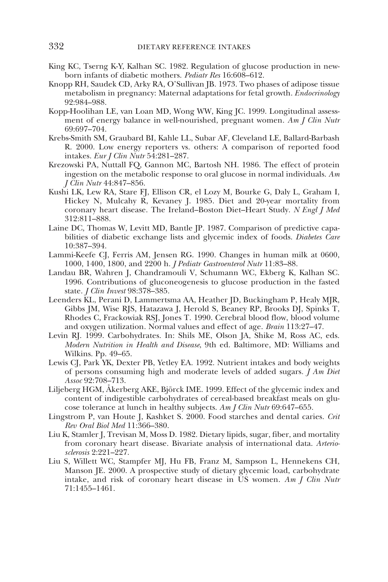- King KC, Tserng K-Y, Kalhan SC. 1982. Regulation of glucose production in newborn infants of diabetic mothers. *Pediatr Res* 16:608–612.
- Knopp RH, Saudek CD, Arky RA, O'Sullivan JB. 1973. Two phases of adipose tissue metabolism in pregnancy: Maternal adaptations for fetal growth. *Endocrinology* 92:984–988.
- Kopp-Hoolihan LE, van Loan MD, Wong WW, King JC. 1999. Longitudinal assessment of energy balance in well-nourished, pregnant women. *Am J Clin Nutr* 69:697–704.
- Krebs-Smith SM, Graubard BI, Kahle LL, Subar AF, Cleveland LE, Ballard-Barbash R. 2000. Low energy reporters vs. others: A comparison of reported food intakes. *Eur J Clin Nutr* 54:281–287.
- Krezowski PA, Nuttall FQ, Gannon MC, Bartosh NH. 1986. The effect of protein ingestion on the metabolic response to oral glucose in normal individuals. *Am J Clin Nutr* 44:847–856.
- Kushi LK, Lew RA, Stare FJ, Ellison CR, el Lozy M, Bourke G, Daly L, Graham I, Hickey N, Mulcahy R, Kevaney J. 1985. Diet and 20-year mortality from coronary heart disease. The Ireland–Boston Diet–Heart Study. *N Engl J Med* 312:811–888.
- Laine DC, Thomas W, Levitt MD, Bantle JP. 1987. Comparison of predictive capabilities of diabetic exchange lists and glycemic index of foods. *Diabetes Care* 10:387–394.
- Lammi-Keefe CJ, Ferris AM, Jensen RG. 1990. Changes in human milk at 0600, 1000, 1400, 1800, and 2200 h. *J Pediatr Gastroenterol Nutr* 11:83–88.
- Landau BR, Wahren J, Chandramouli V, Schumann WC, Ekberg K, Kalhan SC. 1996. Contributions of gluconeogenesis to glucose production in the fasted state. *J Clin Invest* 98:378–385.
- Leenders KL, Perani D, Lammertsma AA, Heather JD, Buckingham P, Healy MJR, Gibbs JM, Wise RJS, Hatazawa J, Herold S, Beaney RP, Brooks DJ, Spinks T, Rhodes C, Frackowiak RSJ, Jones T. 1990. Cerebral blood flow, blood volume and oxygen utilization. Normal values and effect of age. *Brain* 113:27–47.
- Levin RJ. 1999. Carbohydrates. In: Shils ME, Olson JA, Shike M, Ross AC, eds. *Modern Nutrition in Health and Disease*, 9th ed. Baltimore, MD: Williams and Wilkins. Pp. 49–65.
- Lewis CJ, Park YK, Dexter PB, Yetley EA. 1992. Nutrient intakes and body weights of persons consuming high and moderate levels of added sugars*. J Am Diet Assoc* 92:708–713.
- Liljeberg HGM, Åkerberg AKE, Björck IME. 1999. Effect of the glycemic index and content of indigestible carbohydrates of cereal-based breakfast meals on glucose tolerance at lunch in healthy subjects. *Am J Clin Nutr* 69:647–655.
- Lingstrom P, van Houte J, Kashket S. 2000. Food starches and dental caries. *Crit Rev Oral Biol Med* 11:366–380.
- Liu K, Stamler J, Trevisan M, Moss D. 1982. Dietary lipids, sugar, fiber, and mortality from coronary heart disease. Bivariate analysis of international data. *Arteriosclerosis* 2:221–227.
- Liu S, Willett WC, Stampfer MJ, Hu FB, Franz M, Sampson L, Hennekens CH, Manson JE. 2000. A prospective study of dietary glycemic load, carbohydrate intake, and risk of coronary heart disease in US women. *Am J Clin Nutr* 71:1455–1461.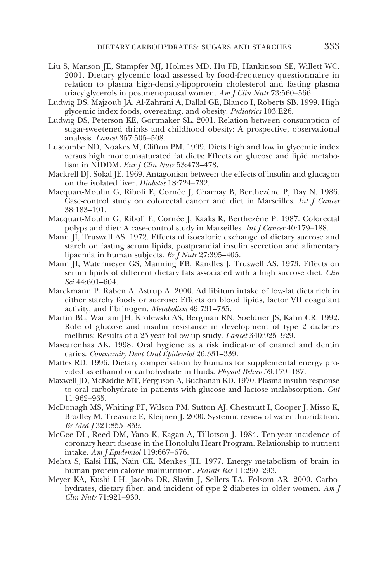- Liu S, Manson JE, Stampfer MJ, Holmes MD, Hu FB, Hankinson SE, Willett WC. 2001. Dietary glycemic load assessed by food-frequency questionnaire in relation to plasma high-density-lipoprotein cholesterol and fasting plasma triacylglycerols in postmenopausal women. *Am J Clin Nutr* 73:560–566.
- Ludwig DS, Majzoub JA, Al-Zahrani A, Dallal GE, Blanco I, Roberts SB. 1999. High glycemic index foods, overeating, and obesity. *Pediatrics* 103:E26.
- Ludwig DS, Peterson KE, Gortmaker SL. 2001. Relation between consumption of sugar-sweetened drinks and childhood obesity: A prospective, observational analysis. *Lancet* 357:505–508.
- Luscombe ND, Noakes M, Clifton PM. 1999. Diets high and low in glycemic index versus high monounsaturated fat diets: Effects on glucose and lipid metabolism in NIDDM. *Eur J Clin Nutr* 53:473–478.
- Mackrell DJ, Sokal JE. 1969. Antagonism between the effects of insulin and glucagon on the isolated liver. *Diabetes* 18:724–732.
- Macquart-Moulin G, Riboli E, Cornée J, Charnay B, Berthezène P, Day N. 1986. Case-control study on colorectal cancer and diet in Marseilles. *Int J Cancer* 38:183–191.
- Macquart-Moulin G, Riboli E, Cornée J, Kaaks R, Berthezène P. 1987. Colorectal polyps and diet: A case-control study in Marseilles. *Int J Cancer* 40:179–188.
- Mann JI, Truswell AS. 1972. Effects of isocaloric exchange of dietary sucrose and starch on fasting serum lipids, postprandial insulin secretion and alimentary lipaemia in human subjects. *Br J Nutr* 27:395–405.
- Mann JI, Watermeyer GS, Manning EB, Randles J, Truswell AS. 1973. Effects on serum lipids of different dietary fats associated with a high sucrose diet. *Clin Sci* 44:601–604.
- Marckmann P, Raben A, Astrup A. 2000. Ad libitum intake of low-fat diets rich in either starchy foods or sucrose: Effects on blood lipids, factor VII coagulant activity, and fibrinogen. *Metabolism* 49:731–735.
- Martin BC, Warram JH, Krolewski AS, Bergman RN, Soeldner JS, Kahn CR. 1992. Role of glucose and insulin resistance in development of type 2 diabetes mellitus: Results of a 25-year follow-up study. *Lancet* 340:925–929.
- Mascarenhas AK. 1998. Oral hygiene as a risk indicator of enamel and dentin caries. *Community Dent Oral Epidemiol* 26:331–339.
- Mattes RD. 1996. Dietary compensation by humans for supplemental energy provided as ethanol or carbohydrate in fluids. *Physiol Behav* 59:179–187.
- Maxwell JD, McKiddie MT, Ferguson A, Buchanan KD. 1970. Plasma insulin response to oral carbohydrate in patients with glucose and lactose malabsorption. *Gut* 11:962–965.
- McDonagh MS, Whiting PF, Wilson PM, Sutton AJ, Chestnutt I, Cooper J, Misso K, Bradley M, Treasure E, Kleijnen J. 2000. Systemic review of water fluoridation. *Br Med J* 321:855–859.
- McGee DL, Reed DM, Yano K, Kagan A, Tillotson J. 1984. Ten-year incidence of coronary heart disease in the Honolulu Heart Program. Relationship to nutrient intake. *Am J Epidemiol* 119:667–676.
- Mehta S, Kalsi HK, Nain CK, Menkes JH. 1977. Energy metabolism of brain in human protein-calorie malnutrition. *Pediatr Res* 11:290–293.
- Meyer KA, Kushi LH, Jacobs DR, Slavin J, Sellers TA, Folsom AR. 2000. Carbohydrates, dietary fiber, and incident of type 2 diabetes in older women. *Am J Clin Nutr* 71:921–930.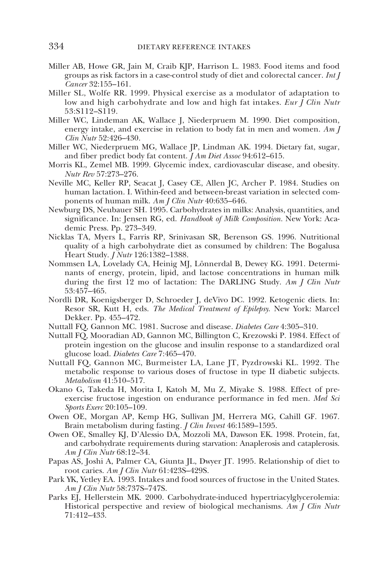- Miller AB, Howe GR, Jain M, Craib KJP, Harrison L. 1983. Food items and food groups as risk factors in a case-control study of diet and colorectal cancer. *Int J Cancer* 32:155–161.
- Miller SL, Wolfe RR. 1999. Physical exercise as a modulator of adaptation to low and high carbohydrate and low and high fat intakes. *Eur J Clin Nutr* 53:S112–S119.
- Miller WC, Lindeman AK, Wallace J, Niederpruem M. 1990. Diet composition, energy intake, and exercise in relation to body fat in men and women. *Am J Clin Nutr* 52:426–430.
- Miller WC, Niederpruem MG, Wallace JP, Lindman AK. 1994. Dietary fat, sugar, and fiber predict body fat content. *J Am Diet Assoc* 94:612–615.
- Morris KL, Zemel MB. 1999. Glycemic index, cardiovascular disease, and obesity. *Nutr Rev* 57:273–276.
- Neville MC, Keller RP, Seacat J, Casey CE, Allen JC, Archer P. 1984. Studies on human lactation. I. Within-feed and between-breast variation in selected components of human milk. *Am J Clin Nutr* 40:635–646.
- Newburg DS, Neubauer SH. 1995. Carbohydrates in milks: Analysis, quantities, and significance. In: Jensen RG, ed. *Handbook of Milk Composition.* New York: Academic Press. Pp. 273–349.
- Nicklas TA, Myers L, Farris RP, Srinivasan SR, Berenson GS. 1996. Nutritional quality of a high carbohydrate diet as consumed by children: The Bogalusa Heart Study. *J Nutr* 126:1382–1388.
- Nommsen LA, Lovelady CA, Heinig MJ, Lönnerdal B, Dewey KG. 1991. Determinants of energy, protein, lipid, and lactose concentrations in human milk during the first 12 mo of lactation: The DARLING Study. *Am J Clin Nutr* 53:457–465.
- Nordli DR, Koenigsberger D, Schroeder J, deVivo DC. 1992. Ketogenic diets. In: Resor SR, Kutt H, eds. *The Medical Treatment of Epilepsy*. New York: Marcel Dekker. Pp. 455–472.
- Nuttall FQ, Gannon MC. 1981. Sucrose and disease. *Diabetes Care* 4:305–310.
- Nuttall FQ, Mooradian AD, Gannon MC, Billington C, Krezowski P. 1984. Effect of protein ingestion on the glucose and insulin response to a standardized oral glucose load. *Diabetes Care* 7:465–470.
- Nuttall FQ, Gannon MC, Burmeister LA, Lane JT, Pyzdrowski KL. 1992. The metabolic response to various doses of fructose in type II diabetic subjects. *Metabolism* 41:510–517.
- Okano G, Takeda H, Morita I, Katoh M, Mu Z, Miyake S. 1988. Effect of preexercise fructose ingestion on endurance performance in fed men. *Med Sci Sports Exerc* 20:105–109.
- Owen OE, Morgan AP, Kemp HG, Sullivan JM, Herrera MG, Cahill GF. 1967. Brain metabolism during fasting*. J Clin Invest* 46:1589–1595.
- Owen OE, Smalley KJ, D'Alessio DA, Mozzoli MA, Dawson EK. 1998. Protein, fat, and carbohydrate requirements during starvation: Anaplerosis and cataplerosis. *Am J Clin Nutr* 68:12–34.
- Papas AS, Joshi A, Palmer CA, Giunta JL, Dwyer JT. 1995. Relationship of diet to root caries. *Am J Clin Nutr* 61:423S–429S.
- Park YK, Yetley EA. 1993. Intakes and food sources of fructose in the United States. *Am J Clin Nutr* 58:737S–747S.
- Parks EJ, Hellerstein MK. 2000. Carbohydrate-induced hypertriacylglycerolemia: Historical perspective and review of biological mechanisms. *Am J Clin Nutr* 71:412–433.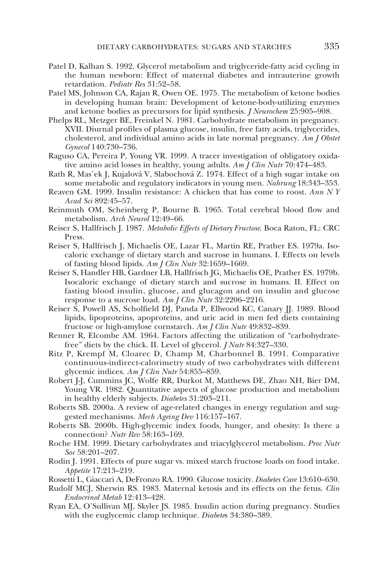- Patel D, Kalhan S. 1992. Glycerol metabolism and triglyceride-fatty acid cycling in the human newborn: Effect of maternal diabetes and intrauterine growth retardation. *Pediatr Res* 31:52–58.
- Patel MS, Johnson CA, Rajan R, Owen OE. 1975. The metabolism of ketone bodies in developing human brain: Development of ketone-body-utilizing enzymes and ketone bodies as precursors for lipid synthesis. *J Neurochem* 25:905–908.
- Phelps RL, Metzger BE, Freinkel N. 1981. Carbohydrate metabolism in pregnancy. XVII. Diurnal profiles of plasma glucose, insulin, free fatty acids, triglycerides, cholesterol, and individual amino acids in late normal pregnancy. *Am J Obstet Gynecol* 140:730–736.
- Raguso CA, Pereira P, Young VR. 1999. A tracer investigation of obligatory oxidative amino acid losses in healthy, young adults. *Am J Clin Nutr* 70:474–483.
- Rath R, Mas'ek J, Kujalová V, Slabochová Z. 1974. Effect of a high sugar intake on some metabolic and regulatory indicators in young men. *Nahrung* 18:343–353.
- Reaven GM. 1999. Insulin resistance: A chicken that has come to roost. *Ann N Y Acad Sci* 892:45–57.
- Reinmuth OM, Scheinberg P, Bourne B. 1965. Total cerebral blood flow and metabolism. *Arch Neurol* 12:49–66.
- Reiser S, Hallfrisch J. 1987. *Metabolic Effects of Dietary Fructose*. Boca Raton, FL: CRC Press.
- Reiser S, Hallfrisch J, Michaelis OE, Lazar FL, Martin RE, Prather ES. 1979a. Isocaloric exchange of dietary starch and sucrose in humans. I. Effects on levels of fasting blood lipids. *Am J Clin Nutr* 32:1659–1669.
- Reiser S, Handler HB, Gardner LB, Hallfrisch JG, Michaelis OE, Prather ES. 1979b. Isocaloric exchange of dietary starch and sucrose in humans. II. Effect on fasting blood insulin, glucose, and glucagon and on insulin and glucose response to a sucrose load. *Am J Clin Nutr* 32:2206–2216.
- Reiser S, Powell AS, Scholfield DJ, Panda P, Ellwood KC, Canary JJ. 1989. Blood lipids, lipoproteins, apoproteins, and uric acid in men fed diets containing fructose or high-amylose cornstarch. *Am J Clin Nutr* 49:832–839.
- Renner R, Elcombe AM. 1964. Factors affecting the utilization of "carbohydratefree" diets by the chick. II. Level of glycerol. *J Nutr* 84:327–330.
- Ritz P, Krempf M, Cloarec D, Champ M, Charbonnel B. 1991. Comparative continuous-indirect-calorimetry study of two carbohydrates with different glycemic indices. *Am J Clin Nutr* 54:855–859.
- Robert J-J, Cummins JC, Wolfe RR, Durkot M, Matthews DE, Zhao XH, Bier DM, Young VR. 1982. Quantitative aspects of glucose production and metabolism in healthy elderly subjects. *Diabetes* 31:203–211.
- Roberts SB. 2000a. A review of age-related changes in energy regulation and suggested mechanisms. *Mech Ageing Dev* 116:157–167.
- Roberts SB. 2000b. High-glycemic index foods, hunger, and obesity: Is there a connection? *Nutr Rev* 58:163–169.
- Roche HM. 1999. Dietary carbohydrates and triacylglycerol metabolism. *Proc Nutr Soc* 58:201–207.
- Rodin J. 1991. Effects of pure sugar vs. mixed starch fructose loads on food intake. *Appetite* 17:213–219.
- Rossetti L, Giaccari A, DeFronzo RA. 1990. Glucose toxicity. *Diabetes Care* 13:610–630.
- Rudolf MCJ, Sherwin RS. 1983. Maternal ketosis and its effects on the fetus. *Clin Endocrinol Metab* 12:413–428.
- Ryan EA, O'Sullivan MJ, Skyler JS. 1985. Insulin action during pregnancy. Studies with the euglycemic clamp technique. *Diabete*s 34:380–389.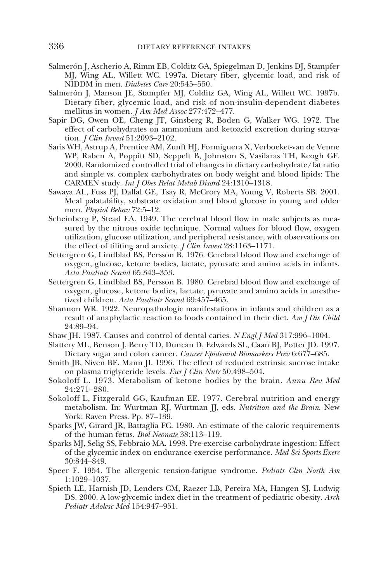- Salmerón J, Ascherio A, Rimm EB, Colditz GA, Spiegelman D, Jenkins DJ, Stampfer MJ, Wing AL, Willett WC. 1997a. Dietary fiber, glycemic load, and risk of NIDDM in men. *Diabetes Care* 20:545–550.
- Salmerón J, Manson JE, Stampfer MJ, Colditz GA, Wing AL, Willett WC. 1997b. Dietary fiber, glycemic load, and risk of non-insulin-dependent diabetes mellitus in women. *J Am Med Assoc* 277:472–477.
- Sapir DG, Owen OE, Cheng JT, Ginsberg R, Boden G, Walker WG. 1972. The effect of carbohydrates on ammonium and ketoacid excretion during starvation. *J Clin Invest* 51:2093–2102.
- Saris WH, Astrup A, Prentice AM, Zunft HJ, Formiguera X, Verboeket-van de Venne WP, Raben A, Poppitt SD, Seppelt B, Johnston S, Vasilaras TH, Keogh GF. 2000. Randomized controlled trial of changes in dietary carbohydrate/fat ratio and simple vs. complex carbohydrates on body weight and blood lipids: The CARMEN study. *Int J Obes Relat Metab Disord* 24:1310–1318.
- Sawaya AL, Fuss PJ, Dallal GE, Tsay R, McCrory MA, Young V, Roberts SB. 2001. Meal palatability, substrate oxidation and blood glucose in young and older men. *Physiol Behav* 72:5–12.
- Scheinberg P, Stead EA. 1949. The cerebral blood flow in male subjects as measured by the nitrous oxide technique. Normal values for blood flow, oxygen utilization, glucose utilization, and peripheral resistance, with observations on the effect of tiliting and anxiety. *J Clin Invest* 28:1163–1171.
- Settergren G, Lindblad BS, Persson B. 1976. Cerebral blood flow and exchange of oxygen, glucose, ketone bodies, lactate, pyruvate and amino acids in infants. *Acta Paediatr Scand* 65:343–353.
- Settergren G, Lindblad BS, Persson B. 1980. Cerebral blood flow and exchange of oxygen, glucose, ketone bodies, lactate, pyruvate and amino acids in anesthetized children. *Acta Paediatr Scand* 69:457–465.
- Shannon WR. 1922. Neuropathologic manifestations in infants and children as a result of anaphylactic reaction to foods contained in their diet. *Am J Dis Child* 24:89–94.
- Shaw JH. 1987. Causes and control of dental caries. *N Engl J Med* 317:996–1004.
- Slattery ML, Benson J, Berry TD, Duncan D, Edwards SL, Caan BJ, Potter JD. 1997. Dietary sugar and colon cancer. *Cancer Epidemiol Biomarkers Prev* 6:677–685.
- Smith JB, Niven BE, Mann JI. 1996. The effect of reduced extrinsic sucrose intake on plasma triglyceride levels*. Eur J Clin Nutr* 50:498–504.
- Sokoloff L. 1973. Metabolism of ketone bodies by the brain. *Annu Rev Med* 24:271–280.
- Sokoloff L, Fitzgerald GG, Kaufman EE. 1977. Cerebral nutrition and energy metabolism. In: Wurtman RJ, Wurtman JJ, eds. *Nutrition and the Brain*. New York: Raven Press. Pp. 87–139.
- Sparks JW, Girard JR, Battaglia FC. 1980. An estimate of the caloric requirements of the human fetus. *Biol Neonate* 38:113–119.
- Sparks MJ, Selig SS, Febbraio MA. 1998. Pre-exercise carbohydrate ingestion: Effect of the glycemic index on endurance exercise performance. *Med Sci Sports Exerc* 30:844–849.
- Speer F. 1954. The allergenic tension-fatigue syndrome. *Pediatr Clin North Am* 1:1029–1037.
- Spieth LE, Harnish JD, Lenders CM, Raezer LB, Pereira MA, Hangen SJ, Ludwig DS. 2000. A low-glycemic index diet in the treatment of pediatric obesity. *Arch Pediatr Adolesc Med* 154:947–951.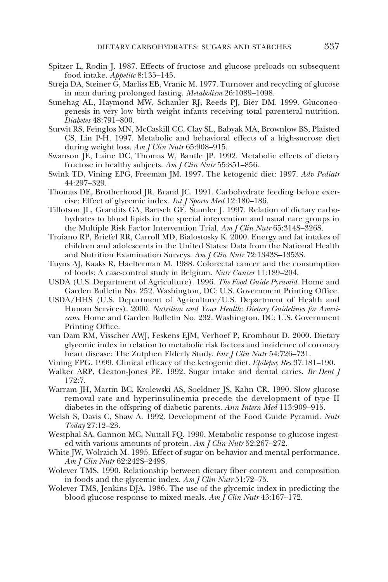- Spitzer L, Rodin J. 1987. Effects of fructose and glucose preloads on subsequent food intake. *Appetite* 8:135–145.
- Streja DA, Steiner G, Marliss EB, Vranic M. 1977. Turnover and recycling of glucose in man during prolonged fasting. *Metabolism* 26:1089–1098.
- Sunehag AL, Haymond MW, Schanler RJ, Reeds PJ, Bier DM. 1999. Gluconeogenesis in very low birth weight infants receiving total parenteral nutrition. *Diabetes* 48:791–800.
- Surwit RS, Feinglos MN, McCaskill CC, Clay SL, Babyak MA, Brownlow BS, Plaisted CS, Lin P-H. 1997. Metabolic and behavioral effects of a high-sucrose diet during weight loss. *Am J Clin Nutr* 65:908–915.
- Swanson JE, Laine DC, Thomas W, Bantle JP. 1992. Metabolic effects of dietary fructose in healthy subjects. *Am J Clin Nutr* 55:851–856.
- Swink TD, Vining EPG, Freeman JM. 1997. The ketogenic diet: 1997. *Adv Pediatr* 44:297–329.
- Thomas DE, Brotherhood JR, Brand JC. 1991. Carbohydrate feeding before exercise: Effect of glycemic index. *Int J Sports Med* 12:180–186.
- Tillotson JL, Grandits GA, Bartsch GE, Stamler J. 1997. Relation of dietary carbohydrates to blood lipids in the special intervention and usual care groups in the Multiple Risk Factor Intervention Trial. *Am J Clin Nutr* 65:314S–326S.
- Troiano RP, Briefel RR, Carroll MD, Bialostosky K. 2000. Energy and fat intakes of children and adolescents in the United States: Data from the National Health and Nutrition Examination Surveys. *Am J Clin Nutr* 72:1343S–1353S.
- Tuyns AJ, Kaaks R, Haelterman M. 1988. Colorectal cancer and the consumption of foods: A case-control study in Belgium. *Nutr Cancer* 11:189–204.
- USDA (U.S. Department of Agriculture). 1996. *The Food Guide Pyramid*. Home and Garden Bulletin No. 252. Washington, DC: U.S. Government Printing Office.
- USDA/HHS (U.S. Department of Agriculture/U.S. Department of Health and Human Services). 2000. *Nutrition and Your Health: Dietary Guidelines for Americans*. Home and Garden Bulletin No. 232. Washington, DC: U.S. Government Printing Office.
- van Dam RM, Visscher AWJ, Feskens EJM, Verhoef P, Kromhout D. 2000. Dietary glycemic index in relation to metabolic risk factors and incidence of coronary heart disease: The Zutphen Elderly Study. *Eur J Clin Nutr* 54:726–731.
- Vining EPG. 1999. Clinical efficacy of the ketogenic diet. *Epilepsy Res* 37:181–190.
- Walker ARP, Cleaton-Jones PE. 1992. Sugar intake and dental caries. *Br Dent J* 172:7.
- Warram JH, Martin BC, Krolewski AS, Soeldner JS, Kahn CR. 1990. Slow glucose removal rate and hyperinsulinemia precede the development of type II diabetes in the offspring of diabetic parents. *Ann Intern Med* 113:909–915.
- Welsh S, Davis C, Shaw A. 1992. Development of the Food Guide Pyramid. *Nutr Today* 27:12–23.
- Westphal SA, Gannon MC, Nuttall FQ. 1990. Metabolic response to glucose ingested with various amounts of protein. *Am J Clin Nutr* 52:267–272.
- White JW, Wolraich M. 1995. Effect of sugar on behavior and mental performance. *Am J Clin Nutr* 62:242S–249S.
- Wolever TMS. 1990. Relationship between dietary fiber content and composition in foods and the glycemic index. *Am J Clin Nutr* 51:72–75.
- Wolever TMS, Jenkins DJA. 1986. The use of the glycemic index in predicting the blood glucose response to mixed meals. *Am J Clin Nutr* 43:167–172.